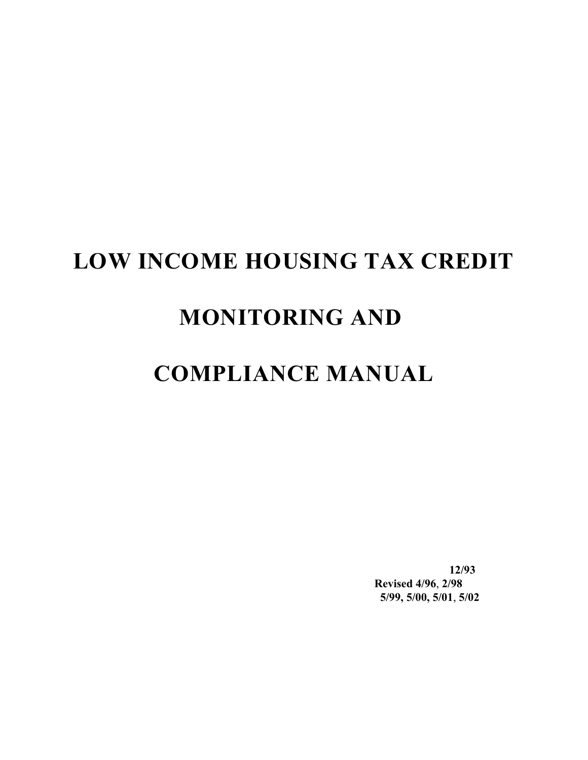# **LOW INCOME HOUSING TAX CREDIT**

# **MONITORING AND**

# **COMPLIANCE MANUAL**

**12/93 Revised 4/96**, **2/98 5/99, 5/00, 5/01**, **5/02**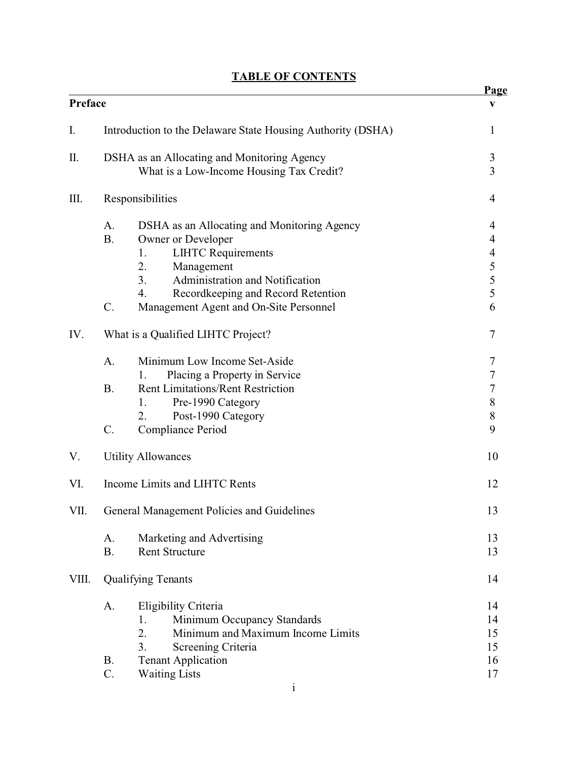|         |                                                             | <b>Page</b>                           |
|---------|-------------------------------------------------------------|---------------------------------------|
| Preface |                                                             | V                                     |
| I.      | Introduction to the Delaware State Housing Authority (DSHA) | 1                                     |
| Π.      | DSHA as an Allocating and Monitoring Agency                 | $\mathfrak{Z}$                        |
|         | What is a Low-Income Housing Tax Credit?                    | $\overline{3}$                        |
| III.    | Responsibilities                                            | $\overline{4}$                        |
|         | DSHA as an Allocating and Monitoring Agency<br>A.           | 4                                     |
|         | <b>B.</b><br>Owner or Developer                             | $\overline{\mathcal{A}}$              |
|         | <b>LIHTC Requirements</b><br>1.                             | $\frac{4}{5}$<br>$\frac{5}{5}$        |
|         | 2.<br>Management                                            |                                       |
|         | 3 <sub>1</sub><br>Administration and Notification           |                                       |
|         | Recordkeeping and Record Retention<br>4.                    |                                       |
|         | Management Agent and On-Site Personnel<br>$C$ .             | 6                                     |
| IV.     | What is a Qualified LIHTC Project?                          | 7                                     |
|         | Minimum Low Income Set-Aside<br>A.                          | 7                                     |
|         | Placing a Property in Service<br>1.                         | $\overline{7}$                        |
|         | <b>Rent Limitations/Rent Restriction</b><br><b>B.</b>       | $\overline{7}$                        |
|         | Pre-1990 Category<br>1.                                     | $\begin{array}{c} 8 \\ 8 \end{array}$ |
|         | Post-1990 Category<br>2.                                    |                                       |
|         | C.<br>Compliance Period                                     | 9                                     |
| V.      | <b>Utility Allowances</b>                                   | 10                                    |
| VI.     | Income Limits and LIHTC Rents                               | 12                                    |
| VII.    | General Management Policies and Guidelines                  | 13                                    |
|         | Marketing and Advertising<br>A.                             | 13                                    |
|         | <b>B.</b><br><b>Rent Structure</b>                          | 13                                    |
| VIII.   | <b>Qualifying Tenants</b>                                   | 14                                    |
|         | A.<br>Eligibility Criteria                                  | 14                                    |
|         | 1.<br>Minimum Occupancy Standards                           | 14                                    |
|         | 2.<br>Minimum and Maximum Income Limits                     | 15                                    |
|         | 3.<br>Screening Criteria                                    | 15                                    |
|         | <b>Tenant Application</b><br><b>B.</b>                      | 16                                    |
|         | C.<br><b>Waiting Lists</b>                                  | 17                                    |
|         |                                                             |                                       |

## **TABLE OF CONTENTS**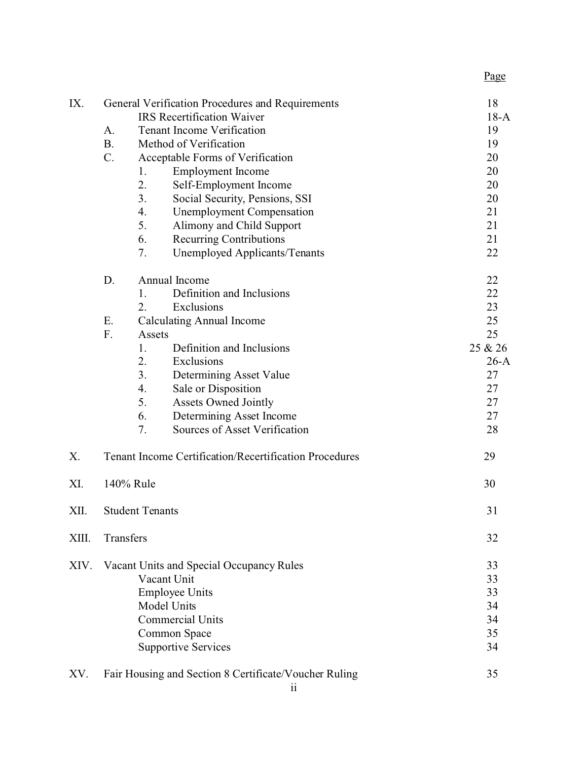| IX.   |                                                               | General Verification Procedures and Requirements      | 18      |
|-------|---------------------------------------------------------------|-------------------------------------------------------|---------|
|       |                                                               | <b>IRS</b> Recertification Waiver                     | $18-A$  |
|       | A.                                                            | <b>Tenant Income Verification</b>                     | 19      |
|       | <b>B.</b>                                                     | Method of Verification                                | 19      |
|       | C.                                                            | Acceptable Forms of Verification                      | 20      |
|       |                                                               | <b>Employment</b> Income<br>1.                        | 20      |
|       |                                                               | 2.<br>Self-Employment Income                          | 20      |
|       |                                                               | 3.<br>Social Security, Pensions, SSI                  | 20      |
|       |                                                               | 4.<br><b>Unemployment Compensation</b>                | 21      |
|       |                                                               | 5.<br>Alimony and Child Support                       | 21      |
|       |                                                               | 6.<br><b>Recurring Contributions</b>                  | 21      |
|       |                                                               | 7.<br>Unemployed Applicants/Tenants                   | 22      |
|       | D.                                                            | Annual Income                                         | 22      |
|       |                                                               | Definition and Inclusions<br>1.                       | 22      |
|       |                                                               | 2.<br>Exclusions                                      | 23      |
|       | Ε.                                                            | <b>Calculating Annual Income</b>                      | 25      |
|       | F.                                                            | Assets                                                | 25      |
|       |                                                               | Definition and Inclusions<br>1.                       | 25 & 26 |
|       |                                                               | Exclusions<br>2.                                      | $26-A$  |
|       |                                                               | 3.<br>Determining Asset Value                         | 27      |
|       |                                                               | 4.<br>Sale or Disposition                             | 27      |
|       |                                                               | 5.<br><b>Assets Owned Jointly</b>                     | 27      |
|       |                                                               | 6.<br>Determining Asset Income                        | 27      |
|       |                                                               | 7.<br>Sources of Asset Verification                   | 28      |
| Χ.    | <b>Tenant Income Certification/Recertification Procedures</b> |                                                       | 29      |
| XI.   |                                                               | 140% Rule                                             | 30      |
| XII.  | <b>Student Tenants</b>                                        |                                                       | 31      |
|       |                                                               |                                                       |         |
| XIII. | Transfers                                                     |                                                       | 32      |
| XIV.  |                                                               | Vacant Units and Special Occupancy Rules              | 33      |
|       |                                                               | Vacant Unit                                           | 33      |
|       |                                                               | 33                                                    |         |
|       |                                                               | 34                                                    |         |
|       |                                                               | 34                                                    |         |
|       |                                                               | 35                                                    |         |
|       |                                                               | <b>Supportive Services</b>                            | 34      |
| XV.   |                                                               | Fair Housing and Section 8 Certificate/Voucher Ruling | 35      |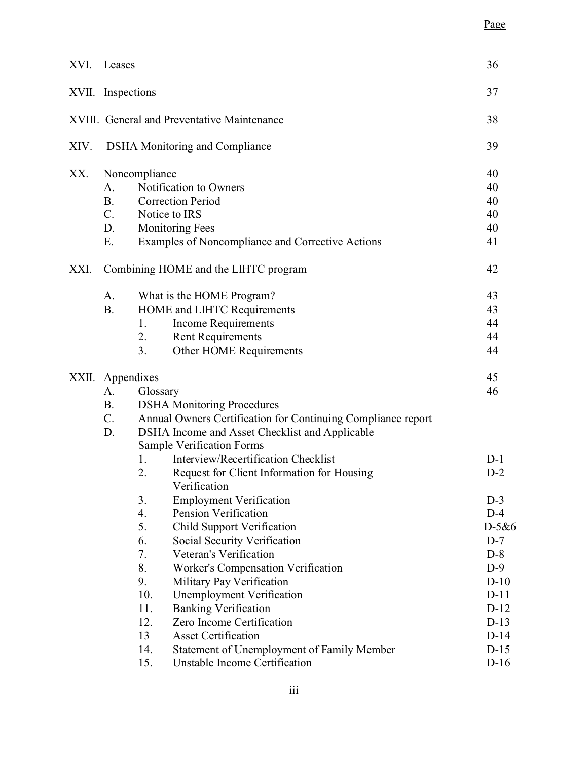## Page

| XVI. | Leases                               |          |                                                              | 36      |
|------|--------------------------------------|----------|--------------------------------------------------------------|---------|
|      | XVII. Inspections                    |          |                                                              |         |
|      |                                      |          | XVIII. General and Preventative Maintenance                  | 38      |
| XIV. |                                      |          | <b>DSHA</b> Monitoring and Compliance                        | 39      |
| XX.  | Noncompliance                        |          |                                                              |         |
|      | A.                                   |          | Notification to Owners                                       | 40      |
|      | <b>B.</b>                            |          | <b>Correction Period</b>                                     | 40      |
|      | $C_{\cdot}$                          |          | Notice to IRS                                                | 40      |
|      | D.                                   |          | <b>Monitoring Fees</b>                                       | 40      |
|      | Ε.                                   |          | Examples of Noncompliance and Corrective Actions             | 41      |
| XXI. | Combining HOME and the LIHTC program |          |                                                              |         |
|      | A.                                   |          | What is the HOME Program?                                    | 43      |
|      | <b>B.</b>                            |          | HOME and LIHTC Requirements                                  | 43      |
|      |                                      | 1.       | <b>Income Requirements</b>                                   | 44      |
|      |                                      | 2.       | <b>Rent Requirements</b>                                     | 44      |
|      |                                      | 3.       | Other HOME Requirements                                      | 44      |
|      | XXII. Appendixes                     |          |                                                              | 45      |
|      | A.                                   | Glossary |                                                              | 46      |
|      | <b>B.</b>                            |          | <b>DSHA Monitoring Procedures</b>                            |         |
|      | C.                                   |          | Annual Owners Certification for Continuing Compliance report |         |
|      | D.                                   |          | DSHA Income and Asset Checklist and Applicable               |         |
|      |                                      |          | Sample Verification Forms                                    |         |
|      |                                      | 1.       | Interview/Recertification Checklist                          | $D-1$   |
|      |                                      | 2.       | Request for Client Information for Housing<br>Verification   | $D-2$   |
|      |                                      | 3.       | <b>Employment Verification</b>                               | $D-3$   |
|      |                                      | 4.       | Pension Verification                                         | $D-4$   |
|      |                                      | 5.       | <b>Child Support Verification</b>                            | $D-5&6$ |
|      |                                      | 6.       | Social Security Verification                                 | $D-7$   |
|      |                                      | 7.       | Veteran's Verification                                       | $D-8$   |
|      |                                      | 8.       | Worker's Compensation Verification                           | $D-9$   |
|      |                                      | 9.       | Military Pay Verification                                    | $D-10$  |
|      |                                      | 10.      | <b>Unemployment Verification</b>                             | $D-11$  |
|      |                                      | 11.      | <b>Banking Verification</b>                                  | $D-12$  |
|      |                                      | 12.      | Zero Income Certification                                    | $D-13$  |
|      |                                      | 13       | <b>Asset Certification</b>                                   | $D-14$  |
|      |                                      | 14.      | Statement of Unemployment of Family Member                   | $D-15$  |
|      |                                      |          | Unstable Income Certification                                |         |
|      |                                      | 15.      |                                                              | $D-16$  |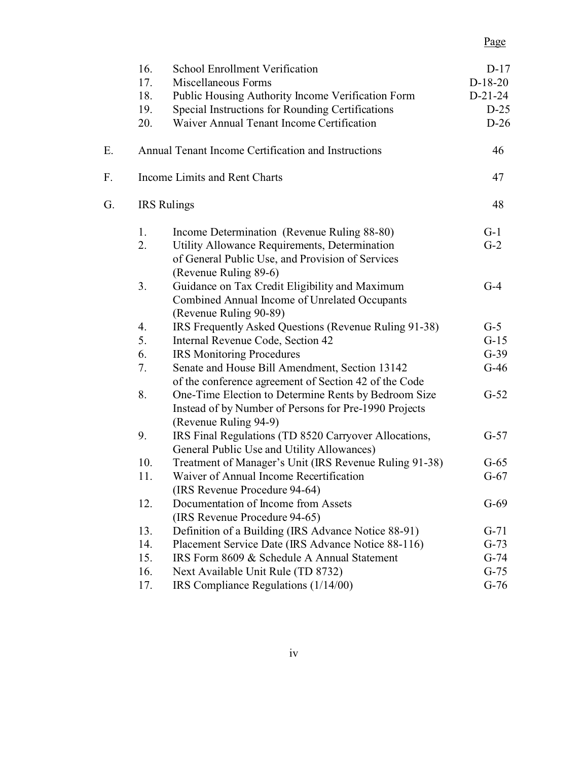# Page

|    | 16. | <b>School Enrollment Verification</b>                                                                                                  | $D-17$    |
|----|-----|----------------------------------------------------------------------------------------------------------------------------------------|-----------|
|    | 17. | Miscellaneous Forms                                                                                                                    | $D-18-20$ |
|    | 18. | Public Housing Authority Income Verification Form                                                                                      | $D-21-24$ |
|    | 19. | Special Instructions for Rounding Certifications                                                                                       | $D-25$    |
|    | 20. | Waiver Annual Tenant Income Certification                                                                                              | $D-26$    |
| Е. |     | Annual Tenant Income Certification and Instructions                                                                                    | 46        |
| F. |     | Income Limits and Rent Charts                                                                                                          | 47        |
| G. |     | <b>IRS</b> Rulings                                                                                                                     | 48        |
|    | 1.  | Income Determination (Revenue Ruling 88-80)                                                                                            | $G-1$     |
|    | 2.  | Utility Allowance Requirements, Determination<br>of General Public Use, and Provision of Services<br>(Revenue Ruling 89-6)             | $G-2$     |
|    | 3.  | Guidance on Tax Credit Eligibility and Maximum<br>Combined Annual Income of Unrelated Occupants<br>(Revenue Ruling 90-89)              | $G-4$     |
|    | 4.  | IRS Frequently Asked Questions (Revenue Ruling 91-38)                                                                                  | $G-5$     |
|    | 5.  | Internal Revenue Code, Section 42                                                                                                      | $G-15$    |
|    | 6.  | <b>IRS Monitoring Procedures</b>                                                                                                       | $G-39$    |
|    | 7.  | Senate and House Bill Amendment, Section 13142<br>of the conference agreement of Section 42 of the Code                                | $G-46$    |
|    | 8.  | One-Time Election to Determine Rents by Bedroom Size<br>Instead of by Number of Persons for Pre-1990 Projects<br>(Revenue Ruling 94-9) | $G-52$    |
|    | 9.  | IRS Final Regulations (TD 8520 Carryover Allocations,<br>General Public Use and Utility Allowances)                                    | $G-57$    |
|    | 10. | Treatment of Manager's Unit (IRS Revenue Ruling 91-38)                                                                                 | $G-65$    |
|    | 11. | Waiver of Annual Income Recertification<br>(IRS Revenue Procedure 94-64)                                                               | $G-67$    |
|    | 12. | Documentation of Income from Assets<br>(IRS Revenue Procedure 94-65)                                                                   | $G-69$    |
|    | 13. | Definition of a Building (IRS Advance Notice 88-91)                                                                                    | $G-71$    |
|    | 14. | Placement Service Date (IRS Advance Notice 88-116)                                                                                     | $G-73$    |
|    | 15. | IRS Form 8609 & Schedule A Annual Statement                                                                                            | $G-74$    |
|    | 16. | Next Available Unit Rule (TD 8732)                                                                                                     | $G-75$    |
|    | 17. | IRS Compliance Regulations (1/14/00)                                                                                                   | $G-76$    |
|    |     |                                                                                                                                        |           |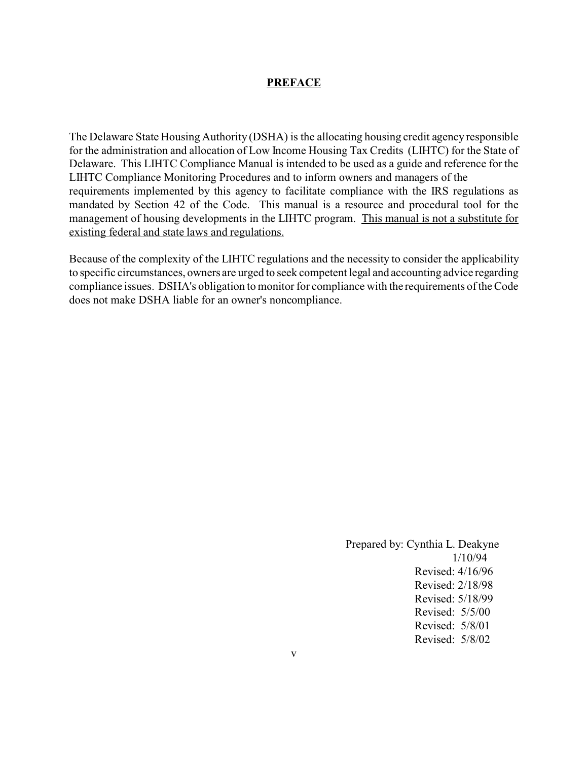#### **PREFACE**

The Delaware State Housing Authority (DSHA) is the allocating housing credit agency responsible for the administration and allocation of Low Income Housing Tax Credits (LIHTC) for the State of Delaware. This LIHTC Compliance Manual is intended to be used as a guide and reference for the LIHTC Compliance Monitoring Procedures and to inform owners and managers of the requirements implemented by this agency to facilitate compliance with the IRS regulations as mandated by Section 42 of the Code. This manual is a resource and procedural tool for the management of housing developments in the LIHTC program. This manual is not a substitute for existing federal and state laws and regulations.

Because of the complexity of the LIHTC regulations and the necessity to consider the applicability to specific circumstances, owners are urged to seek competent legal and accounting advice regarding compliance issues. DSHA's obligation to monitor for compliance with the requirements of the Code does not make DSHA liable for an owner's noncompliance.

> Prepared by: Cynthia L. Deakyne 1/10/94 Revised: 4/16/96 Revised: 2/18/98 Revised: 5/18/99 Revised: 5/5/00 Revised: 5/8/01 Revised: 5/8/02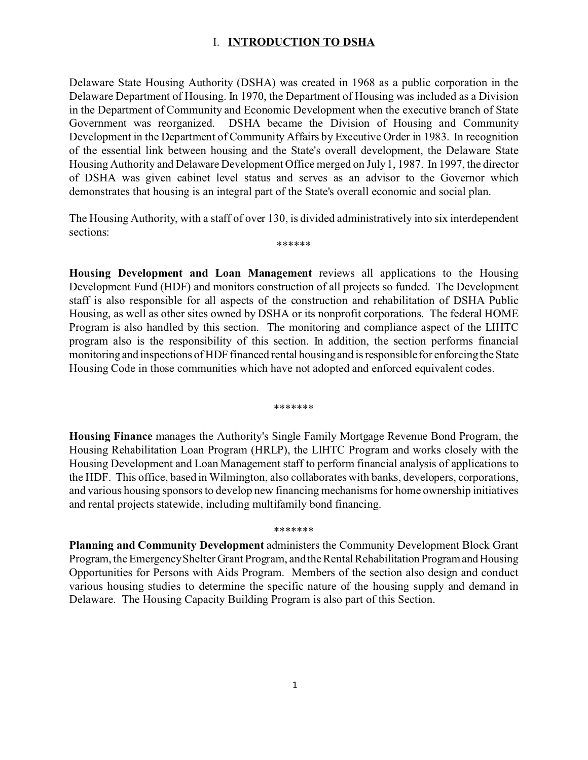#### I. **INTRODUCTION TO DSHA**

Delaware State Housing Authority (DSHA) was created in 1968 as a public corporation in the Delaware Department of Housing. In 1970, the Department of Housing was included as a Division in the Department of Community and Economic Development when the executive branch of State Government was reorganized. DSHA became the Division of Housing and Community Development in the Department of Community Affairs by Executive Order in 1983. In recognition of the essential link between housing and the State's overall development, the Delaware State Housing Authority and Delaware Development Office merged on July 1, 1987. In 1997, the director of DSHA was given cabinet level status and serves as an advisor to the Governor which demonstrates that housing is an integral part of the State's overall economic and social plan.

The Housing Authority, with a staff of over 130, is divided administratively into six interdependent sections: \*\*\*\*\*\*

**Housing Development and Loan Management** reviews all applications to the Housing Development Fund (HDF) and monitors construction of all projects so funded. The Development staff is also responsible for all aspects of the construction and rehabilitation of DSHA Public Housing, as well as other sites owned by DSHA or its nonprofit corporations. The federal HOME Program is also handled by this section. The monitoring and compliance aspect of the LIHTC program also is the responsibility of this section. In addition, the section performs financial monitoring and inspections of HDF financed rental housing and is responsible for enforcing the State Housing Code in those communities which have not adopted and enforced equivalent codes.

\*\*\*\*\*\*\*

**Housing Finance** manages the Authority's Single Family Mortgage Revenue Bond Program, the Housing Rehabilitation Loan Program (HRLP), the LIHTC Program and works closely with the Housing Development and Loan Management staff to perform financial analysis of applications to the HDF. This office, based in Wilmington, also collaborates with banks, developers, corporations, and various housing sponsors to develop new financing mechanisms for home ownership initiatives and rental projects statewide, including multifamily bond financing.

\*\*\*\*\*\*\*

**Planning and Community Development** administers the Community Development Block Grant Program, the Emergency Shelter Grant Program, and the Rental Rehabilitation Program and Housing Opportunities for Persons with Aids Program. Members of the section also design and conduct various housing studies to determine the specific nature of the housing supply and demand in Delaware. The Housing Capacity Building Program is also part of this Section.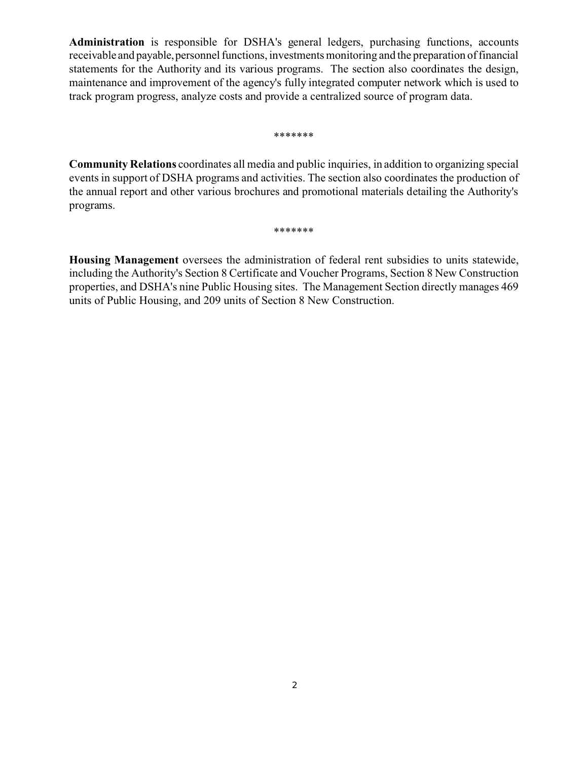**Administration** is responsible for DSHA's general ledgers, purchasing functions, accounts receivable and payable, personnel functions, investments monitoring and the preparation of financial statements for the Authority and its various programs. The section also coordinates the design, maintenance and improvement of the agency's fully integrated computer network which is used to track program progress, analyze costs and provide a centralized source of program data.

#### \*\*\*\*\*\*\*

**Community Relations** coordinates all media and public inquiries, in addition to organizing special events in support of DSHA programs and activities. The section also coordinates the production of the annual report and other various brochures and promotional materials detailing the Authority's programs.

#### \*\*\*\*\*\*\*

**Housing Management** oversees the administration of federal rent subsidies to units statewide, including the Authority's Section 8 Certificate and Voucher Programs, Section 8 New Construction properties, and DSHA's nine Public Housing sites. The Management Section directly manages 469 units of Public Housing, and 209 units of Section 8 New Construction.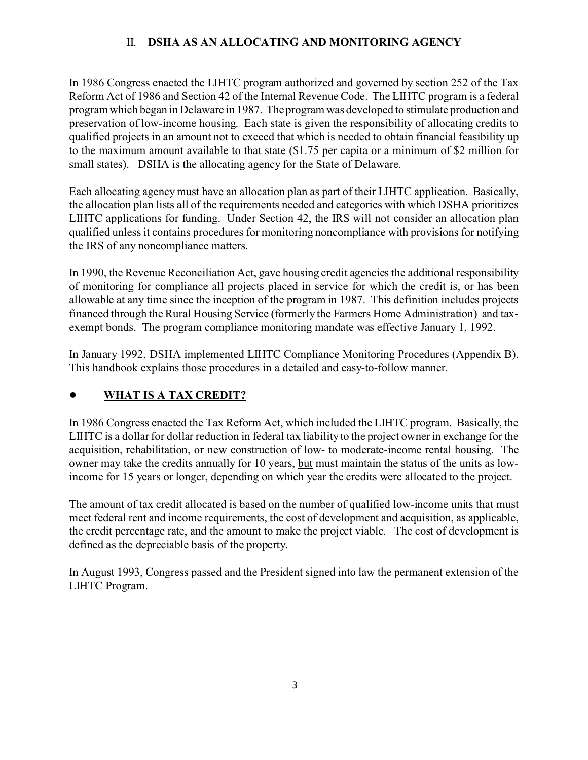## II. **DSHA AS AN ALLOCATING AND MONITORING AGENCY**

In 1986 Congress enacted the LIHTC program authorized and governed by section 252 of the Tax Reform Act of 1986 and Section 42 of the Internal Revenue Code. The LIHTC program is a federal program which began in Delaware in 1987. The program was developed to stimulate production and preservation of low-income housing. Each state is given the responsibility of allocating credits to qualified projects in an amount not to exceed that which is needed to obtain financial feasibility up to the maximum amount available to that state (\$1.75 per capita or a minimum of \$2 million for small states). DSHA is the allocating agency for the State of Delaware.

Each allocating agency must have an allocation plan as part of their LIHTC application. Basically, the allocation plan lists all of the requirements needed and categories with which DSHA prioritizes LIHTC applications for funding. Under Section 42, the IRS will not consider an allocation plan qualified unless it contains procedures for monitoring noncompliance with provisions for notifying the IRS of any noncompliance matters.

In 1990, the Revenue Reconciliation Act, gave housing credit agencies the additional responsibility of monitoring for compliance all projects placed in service for which the credit is, or has been allowable at any time since the inception of the program in 1987. This definition includes projects financed through the Rural Housing Service (formerly the Farmers Home Administration) and taxexempt bonds. The program compliance monitoring mandate was effective January 1, 1992.

In January 1992, DSHA implemented LIHTC Compliance Monitoring Procedures (Appendix B). This handbook explains those procedures in a detailed and easy-to-follow manner.

## ! **WHAT IS A TAX CREDIT?**

In 1986 Congress enacted the Tax Reform Act, which included the LIHTC program. Basically, the LIHTC is a dollar for dollar reduction in federal tax liability to the project owner in exchange for the acquisition, rehabilitation, or new construction of low- to moderate-income rental housing. The owner may take the credits annually for 10 years, but must maintain the status of the units as lowincome for 15 years or longer, depending on which year the credits were allocated to the project.

The amount of tax credit allocated is based on the number of qualified low-income units that must meet federal rent and income requirements, the cost of development and acquisition, as applicable, the credit percentage rate, and the amount to make the project viable. The cost of development is defined as the depreciable basis of the property.

In August 1993, Congress passed and the President signed into law the permanent extension of the LIHTC Program.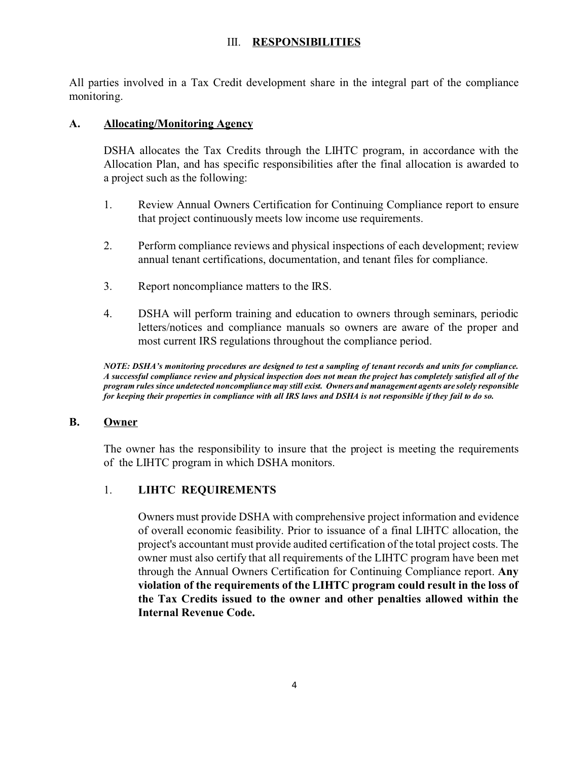#### III. **RESPONSIBILITIES**

All parties involved in a Tax Credit development share in the integral part of the compliance monitoring.

#### **A. Allocating/Monitoring Agency**

DSHA allocates the Tax Credits through the LIHTC program, in accordance with the Allocation Plan, and has specific responsibilities after the final allocation is awarded to a project such as the following:

- 1. Review Annual Owners Certification for Continuing Compliance report to ensure that project continuously meets low income use requirements.
- 2. Perform compliance reviews and physical inspections of each development; review annual tenant certifications, documentation, and tenant files for compliance.
- 3. Report noncompliance matters to the IRS.
- 4. DSHA will perform training and education to owners through seminars, periodic letters/notices and compliance manuals so owners are aware of the proper and most current IRS regulations throughout the compliance period.

*NOTE: DSHA's monitoring procedures are designed to test a sampling of tenant records and units for compliance. A successful compliance review and physical inspection does not mean the project has completely satisfied all of the program rules since undetected noncompliance may still exist. Owners and management agents are solely responsible for keeping their properties in compliance with all IRS laws and DSHA is not responsible if they fail to do so.*

#### **B. Owner**

The owner has the responsibility to insure that the project is meeting the requirements of the LIHTC program in which DSHA monitors.

#### 1. **LIHTC REQUIREMENTS**

Owners must provide DSHA with comprehensive project information and evidence of overall economic feasibility. Prior to issuance of a final LIHTC allocation, the project's accountant must provide audited certification of the total project costs. The owner must also certify that all requirements of the LIHTC program have been met through the Annual Owners Certification for Continuing Compliance report. **Any violation of the requirements of the LIHTC program could result in the loss of the Tax Credits issued to the owner and other penalties allowed within the Internal Revenue Code.**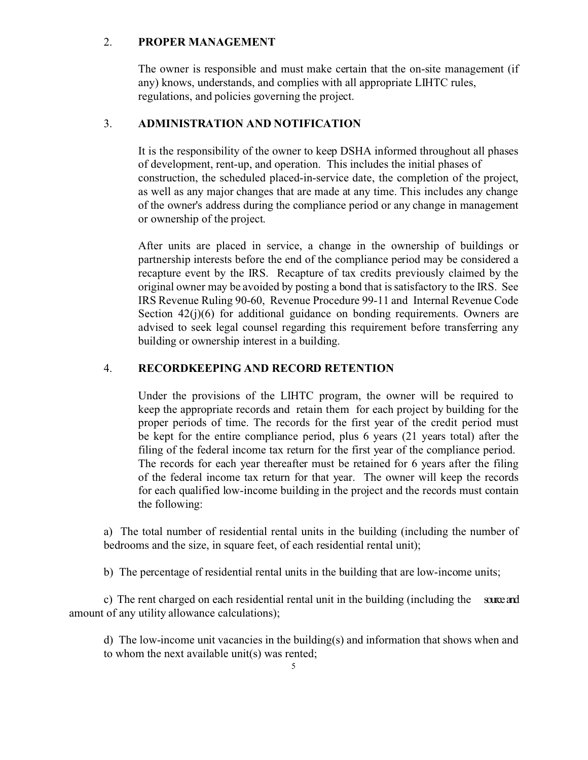#### 2. **PROPER MANAGEMENT**

The owner is responsible and must make certain that the on-site management (if any) knows, understands, and complies with all appropriate LIHTC rules, regulations, and policies governing the project.

#### 3. **ADMINISTRATION AND NOTIFICATION**

It is the responsibility of the owner to keep DSHA informed throughout all phases of development, rent-up, and operation. This includes the initial phases of construction, the scheduled placed-in-service date, the completion of the project, as well as any major changes that are made at any time. This includes any change of the owner's address during the compliance period or any change in management or ownership of the project.

After units are placed in service, a change in the ownership of buildings or partnership interests before the end of the compliance period may be considered a recapture event by the IRS. Recapture of tax credits previously claimed by the original owner may be avoided by posting a bond that is satisfactory to the IRS. See IRS Revenue Ruling 90-60, Revenue Procedure 99-11 and Internal Revenue Code Section 42(j)(6) for additional guidance on bonding requirements. Owners are advised to seek legal counsel regarding this requirement before transferring any building or ownership interest in a building.

#### 4. **RECORDKEEPING AND RECORD RETENTION**

Under the provisions of the LIHTC program, the owner will be required to keep the appropriate records and retain them for each project by building for the proper periods of time. The records for the first year of the credit period must be kept for the entire compliance period, plus 6 years (21 years total) after the filing of the federal income tax return for the first year of the compliance period. The records for each year thereafter must be retained for 6 years after the filing of the federal income tax return for that year. The owner will keep the records for each qualified low-income building in the project and the records must contain the following:

a) The total number of residential rental units in the building (including the number of bedrooms and the size, in square feet, of each residential rental unit);

b) The percentage of residential rental units in the building that are low-income units;

c) The rent charged on each residential rental unit in the building (including the sourceand amount of any utility allowance calculations);

d) The low-income unit vacancies in the building(s) and information that shows when and to whom the next available unit(s) was rented;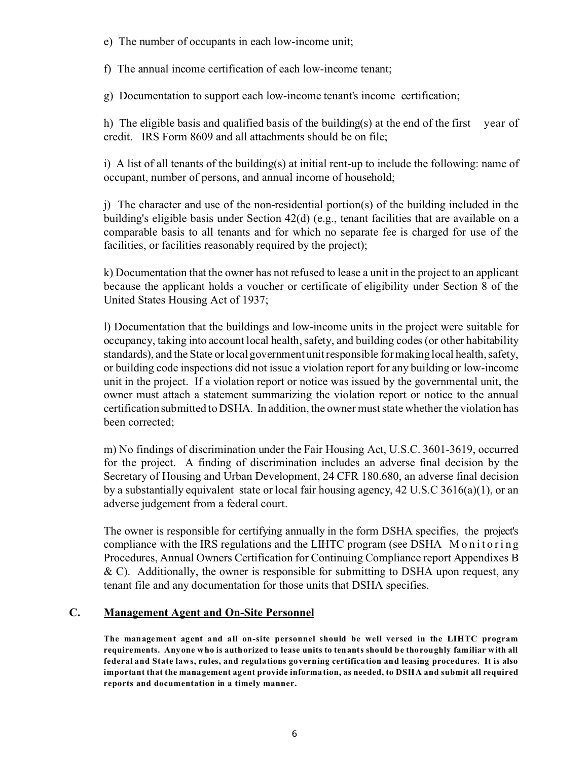e) The number of occupants in each low-income unit;

f) The annual income certification of each low-income tenant;

g) Documentation to support each low-income tenant's income certification;

h) The eligible basis and qualified basis of the building(s) at the end of the first vear of credit. IRS Form 8609 and all attachments should be on file;

i) A list of all tenants of the building(s) at initial rent-up to include the following: name of occupant, number of persons, and annual income of household;

j) The character and use of the non-residential portion(s) of the building included in the building's eligible basis under Section 42(d) (e.g., tenant facilities that are available on a comparable basis to all tenants and for which no separate fee is charged for use of the facilities, or facilities reasonably required by the project);

k) Documentation that the owner has not refused to lease a unit in the project to an applicant because the applicant holds a voucher or certificate of eligibility under Section 8 of the United States Housing Act of 1937;

l) Documentation that the buildings and low-income units in the project were suitable for occupancy, taking into account local health, safety, and building codes (or other habitability standards), and the State or local government unit responsible for making local health, safety, or building code inspections did not issue a violation report for any building or low-income unit in the project. If a violation report or notice was issued by the governmental unit, the owner must attach a statement summarizing the violation report or notice to the annual certification submitted to DSHA. In addition, the owner must state whether the violation has been corrected;

m) No findings of discrimination under the Fair Housing Act, U.S.C. 3601-3619, occurred for the project. A finding of discrimination includes an adverse final decision by the Secretary of Housing and Urban Development, 24 CFR 180.680, an adverse final decision by a substantially equivalent state or local fair housing agency, 42 U.S.C 3616(a)(1), or an adverse judgement from a federal court.

The owner is responsible for certifying annually in the form DSHA specifies, the project's compliance with the IRS regulations and the LIHTC program (see DSHA Monitoring Procedures, Annual Owners Certification for Continuing Compliance report Appendixes B  $\&$  C). Additionally, the owner is responsible for submitting to DSHA upon request, any tenant file and any documentation for those units that DSHA specifies.

#### **C. Management Agent and On-Site Personnel**

**The management agent and all on-site personnel should be well versed in the LIHTC program requirements. Anyone who is authorized to lease units to tenants should be thoroughly familiar with all federal and State laws, rules, and regulations governing certification and leasing procedures. It is also important that the management agent provide information, as needed, to DSHA and submit all required reports and documentation in a timely manner.**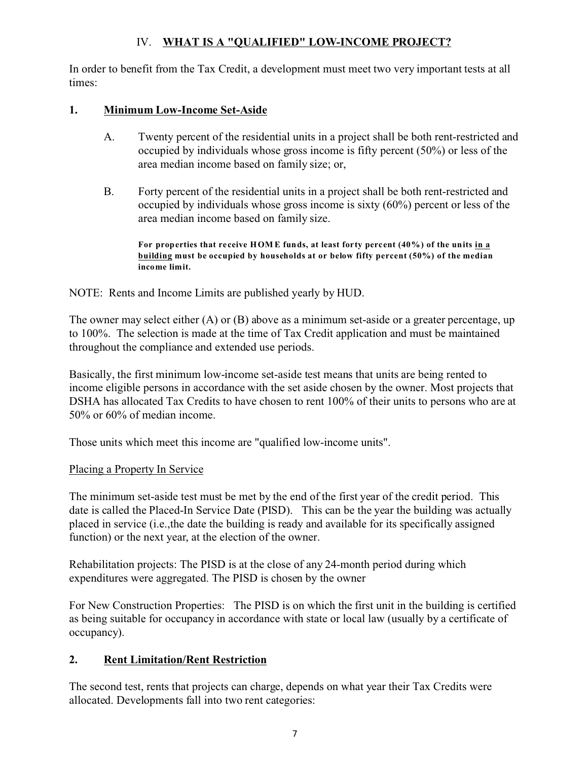## IV. **WHAT IS A "QUALIFIED" LOW-INCOME PROJECT?**

In order to benefit from the Tax Credit, a development must meet two very important tests at all times:

#### **1. Minimum Low-Income Set-Aside**

- A. Twenty percent of the residential units in a project shall be both rent-restricted and occupied by individuals whose gross income is fifty percent (50%) or less of the area median income based on family size; or,
- B. Forty percent of the residential units in a project shall be both rent-restricted and occupied by individuals whose gross income is sixty (60%) percent or less of the area median income based on family size.

**For properties that receive HOM E funds, at least forty percent (40%) of the units in a building must be occupied by households at or below fifty percent (50%) of the median income limit.** 

#### NOTE: Rents and Income Limits are published yearly by HUD.

The owner may select either (A) or (B) above as a minimum set-aside or a greater percentage, up to 100%. The selection is made at the time of Tax Credit application and must be maintained throughout the compliance and extended use periods.

Basically, the first minimum low-income set-aside test means that units are being rented to income eligible persons in accordance with the set aside chosen by the owner. Most projects that DSHA has allocated Tax Credits to have chosen to rent 100% of their units to persons who are at 50% or 60% of median income.

Those units which meet this income are "qualified low-income units".

#### Placing a Property In Service

The minimum set-aside test must be met by the end of the first year of the credit period. This date is called the Placed-In Service Date (PISD). This can be the year the building was actually placed in service (i.e.,the date the building is ready and available for its specifically assigned function) or the next year, at the election of the owner.

Rehabilitation projects: The PISD is at the close of any 24-month period during which expenditures were aggregated. The PISD is chosen by the owner

For New Construction Properties: The PISD is on which the first unit in the building is certified as being suitable for occupancy in accordance with state or local law (usually by a certificate of occupancy).

## **2. Rent Limitation/Rent Restriction**

The second test, rents that projects can charge, depends on what year their Tax Credits were allocated. Developments fall into two rent categories: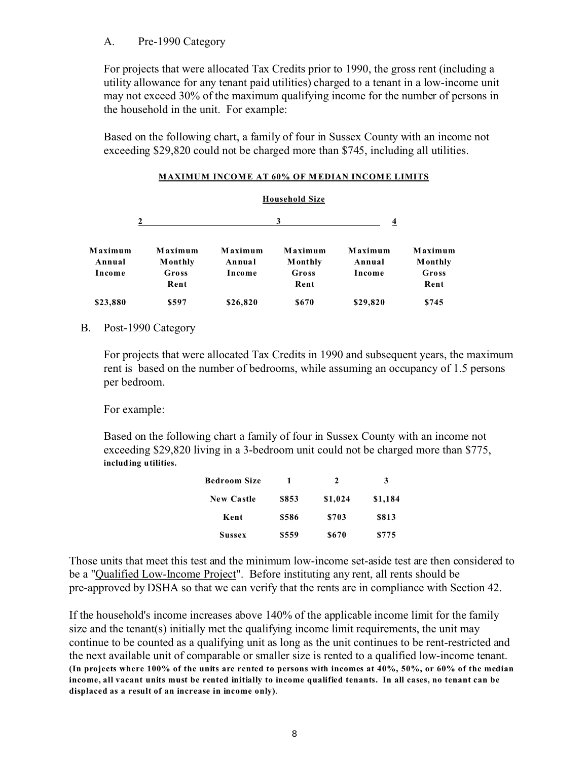#### A. Pre-1990 Category

For projects that were allocated Tax Credits prior to 1990, the gross rent (including a utility allowance for any tenant paid utilities) charged to a tenant in a low-income unit may not exceed 30% of the maximum qualifying income for the number of persons in the household in the unit. For example:

Based on the following chart, a family of four in Sussex County with an income not exceeding \$29,820 could not be charged more than \$745, including all utilities.

|                             |                                            |                             | <b>Household Size</b>                       |                             |                                             |
|-----------------------------|--------------------------------------------|-----------------------------|---------------------------------------------|-----------------------------|---------------------------------------------|
|                             |                                            |                             | 3                                           | $\overline{4}$              |                                             |
| Maximum<br>Annual<br>Income | Maximum<br><b>Monthly</b><br>Gross<br>Rent | Maximum<br>Annual<br>Income | Maximum<br><b>M</b> onthly<br>Gross<br>Rent | Maximum<br>Annual<br>Income | Maximum<br><b>M</b> onthly<br>Gross<br>Rent |
| \$23,880                    | \$597                                      | \$26,820                    | \$670                                       | \$29,820                    | \$745                                       |

#### **MAXIMUM INCOME AT 60% OF M EDIAN INCOME LIMITS**

#### B. Post-1990 Category

For projects that were allocated Tax Credits in 1990 and subsequent years, the maximum rent is based on the number of bedrooms, while assuming an occupancy of 1.5 persons per bedroom.

For example:

Based on the following chart a family of four in Sussex County with an income not exceeding \$29,820 living in a 3-bedroom unit could not be charged more than \$775, **including utilities.** 

|       | 2       | 3       |
|-------|---------|---------|
| \$853 | \$1,024 | \$1,184 |
| \$586 | \$703   | \$813   |
| \$559 | \$670   | \$775   |
|       |         |         |

Those units that meet this test and the minimum low-income set-aside test are then considered to be a "Qualified Low-Income Project". Before instituting any rent, all rents should be pre-approved by DSHA so that we can verify that the rents are in compliance with Section 42.

If the household's income increases above 140% of the applicable income limit for the family size and the tenant(s) initially met the qualifying income limit requirements, the unit may continue to be counted as a qualifying unit as long as the unit continues to be rent-restricted and the next available unit of comparable or smaller size is rented to a qualified low-income tenant. **(In projects where 100% of the units are rented to persons with incomes at 40%, 50%, or 60% of the median income, all vacant units must be rented initially to income qualified tenants. In all cases, no tenant can be displaced as a result of an increase in income only)**.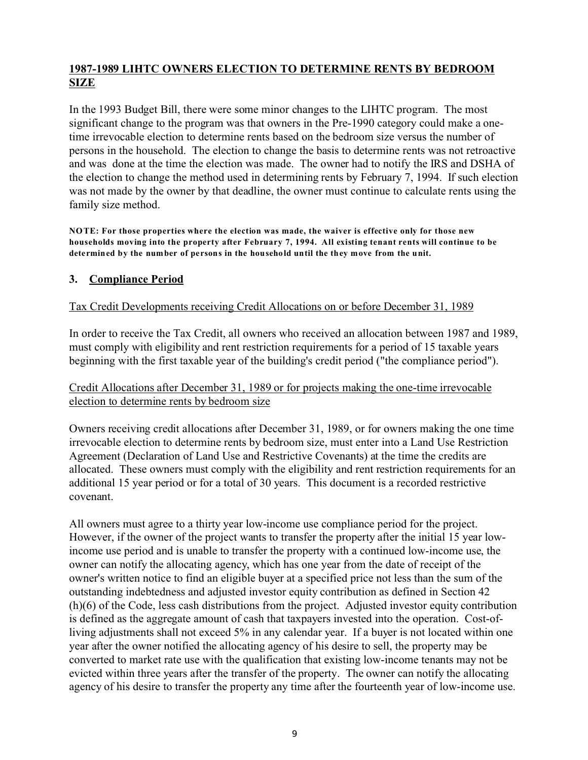### **1987-1989 LIHTC OWNERS ELECTION TO DETERMINE RENTS BY BEDROOM SIZE**

In the 1993 Budget Bill, there were some minor changes to the LIHTC program. The most significant change to the program was that owners in the Pre-1990 category could make a onetime irrevocable election to determine rents based on the bedroom size versus the number of persons in the household. The election to change the basis to determine rents was not retroactive and was done at the time the election was made. The owner had to notify the IRS and DSHA of the election to change the method used in determining rents by February 7, 1994. If such election was not made by the owner by that deadline, the owner must continue to calculate rents using the family size method.

**NOTE: For those properties where the election was made, the waiver is effective only for those new households moving into the property after February 7, 1994. All existing tenant rents will continue to be determined by the number of persons in the household until the they move from the unit.** 

#### **3. Compliance Period**

#### Tax Credit Developments receiving Credit Allocations on or before December 31, 1989

In order to receive the Tax Credit, all owners who received an allocation between 1987 and 1989, must comply with eligibility and rent restriction requirements for a period of 15 taxable years beginning with the first taxable year of the building's credit period ("the compliance period").

#### Credit Allocations after December 31, 1989 or for projects making the one-time irrevocable election to determine rents by bedroom size

Owners receiving credit allocations after December 31, 1989, or for owners making the one time irrevocable election to determine rents by bedroom size, must enter into a Land Use Restriction Agreement (Declaration of Land Use and Restrictive Covenants) at the time the credits are allocated. These owners must comply with the eligibility and rent restriction requirements for an additional 15 year period or for a total of 30 years. This document is a recorded restrictive covenant.

All owners must agree to a thirty year low-income use compliance period for the project. However, if the owner of the project wants to transfer the property after the initial 15 year lowincome use period and is unable to transfer the property with a continued low-income use, the owner can notify the allocating agency, which has one year from the date of receipt of the owner's written notice to find an eligible buyer at a specified price not less than the sum of the outstanding indebtedness and adjusted investor equity contribution as defined in Section 42 (h)(6) of the Code, less cash distributions from the project. Adjusted investor equity contribution is defined as the aggregate amount of cash that taxpayers invested into the operation. Cost-ofliving adjustments shall not exceed 5% in any calendar year. If a buyer is not located within one year after the owner notified the allocating agency of his desire to sell, the property may be converted to market rate use with the qualification that existing low-income tenants may not be evicted within three years after the transfer of the property. The owner can notify the allocating agency of his desire to transfer the property any time after the fourteenth year of low-income use.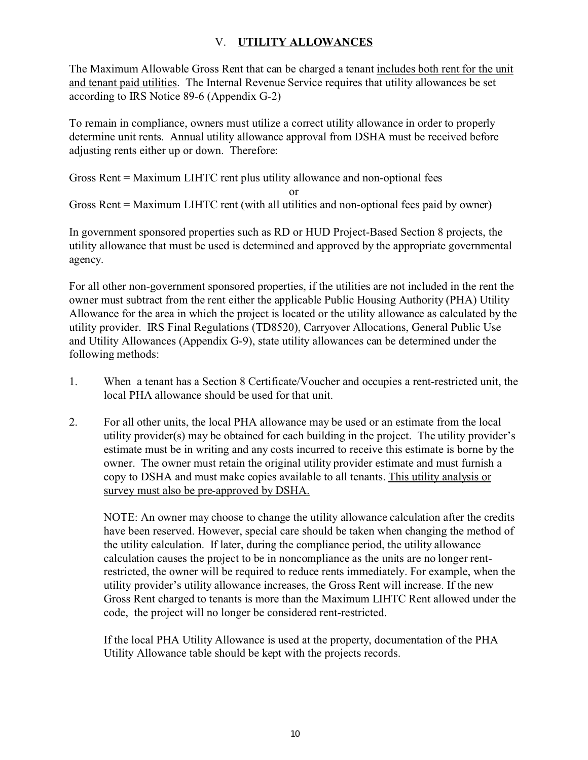## V. **UTILITY ALLOWANCES**

The Maximum Allowable Gross Rent that can be charged a tenant includes both rent for the unit and tenant paid utilities. The Internal Revenue Service requires that utility allowances be set according to IRS Notice 89-6 (Appendix G-2)

To remain in compliance, owners must utilize a correct utility allowance in order to properly determine unit rents. Annual utility allowance approval from DSHA must be received before adjusting rents either up or down. Therefore:

Gross Rent = Maximum LIHTC rent plus utility allowance and non-optional fees

or

Gross Rent = Maximum LIHTC rent (with all utilities and non-optional fees paid by owner)

In government sponsored properties such as RD or HUD Project-Based Section 8 projects, the utility allowance that must be used is determined and approved by the appropriate governmental agency.

For all other non-government sponsored properties, if the utilities are not included in the rent the owner must subtract from the rent either the applicable Public Housing Authority (PHA) Utility Allowance for the area in which the project is located or the utility allowance as calculated by the utility provider. IRS Final Regulations (TD8520), Carryover Allocations, General Public Use and Utility Allowances (Appendix G-9), state utility allowances can be determined under the following methods:

- 1. When a tenant has a Section 8 Certificate/Voucher and occupies a rent-restricted unit, the local PHA allowance should be used for that unit.
- 2. For all other units, the local PHA allowance may be used or an estimate from the local utility provider(s) may be obtained for each building in the project. The utility provider's estimate must be in writing and any costs incurred to receive this estimate is borne by the owner. The owner must retain the original utility provider estimate and must furnish a copy to DSHA and must make copies available to all tenants. This utility analysis or survey must also be pre-approved by DSHA.

NOTE: An owner may choose to change the utility allowance calculation after the credits have been reserved. However, special care should be taken when changing the method of the utility calculation. If later, during the compliance period, the utility allowance calculation causes the project to be in noncompliance as the units are no longer rentrestricted, the owner will be required to reduce rents immediately. For example, when the utility provider's utility allowance increases, the Gross Rent will increase. If the new Gross Rent charged to tenants is more than the Maximum LIHTC Rent allowed under the code, the project will no longer be considered rent-restricted.

If the local PHA Utility Allowance is used at the property, documentation of the PHA Utility Allowance table should be kept with the projects records.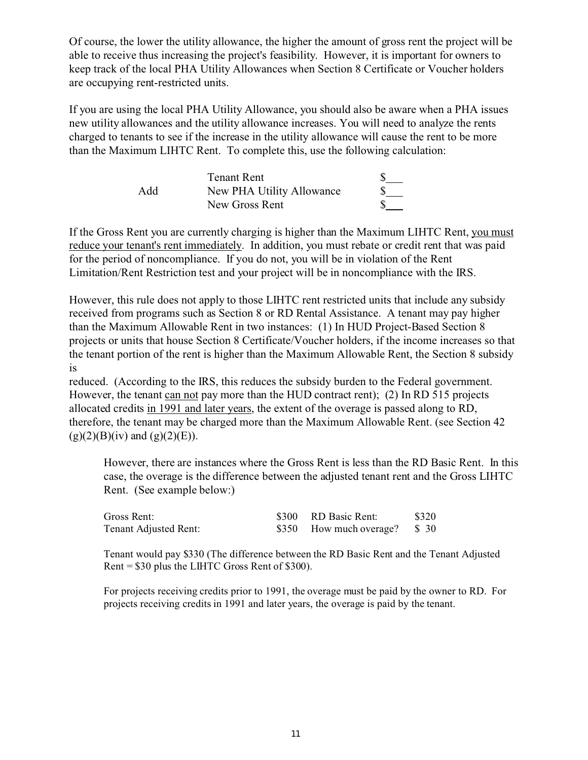Of course, the lower the utility allowance, the higher the amount of gross rent the project will be able to receive thus increasing the project's feasibility. However, it is important for owners to keep track of the local PHA Utility Allowances when Section 8 Certificate or Voucher holders are occupying rent-restricted units.

If you are using the local PHA Utility Allowance, you should also be aware when a PHA issues new utility allowances and the utility allowance increases. You will need to analyze the rents charged to tenants to see if the increase in the utility allowance will cause the rent to be more than the Maximum LIHTC Rent. To complete this, use the following calculation:

|     | <b>Tenant Rent</b>        |  |
|-----|---------------------------|--|
| Add | New PHA Utility Allowance |  |
|     | New Gross Rent            |  |

If the Gross Rent you are currently charging is higher than the Maximum LIHTC Rent, you must reduce your tenant's rent immediately. In addition, you must rebate or credit rent that was paid for the period of noncompliance. If you do not, you will be in violation of the Rent Limitation/Rent Restriction test and your project will be in noncompliance with the IRS.

However, this rule does not apply to those LIHTC rent restricted units that include any subsidy received from programs such as Section 8 or RD Rental Assistance. A tenant may pay higher than the Maximum Allowable Rent in two instances: (1) In HUD Project-Based Section 8 projects or units that house Section 8 Certificate/Voucher holders, if the income increases so that the tenant portion of the rent is higher than the Maximum Allowable Rent, the Section 8 subsidy is

reduced. (According to the IRS, this reduces the subsidy burden to the Federal government. However, the tenant can not pay more than the HUD contract rent); (2) In RD 515 projects allocated credits in 1991 and later years, the extent of the overage is passed along to RD, therefore, the tenant may be charged more than the Maximum Allowable Rent. (see Section 42  $(g)(2)(B)(iv)$  and  $(g)(2)(E)$ ).

However, there are instances where the Gross Rent is less than the RD Basic Rent. In this case, the overage is the difference between the adjusted tenant rent and the Gross LIHTC Rent. (See example below:)

| Gross Rent:           | \$300 RD Basic Rent:         | \$320 |
|-----------------------|------------------------------|-------|
| Tenant Adjusted Rent: | \$350 How much overage? \$30 |       |

Tenant would pay \$330 (The difference between the RD Basic Rent and the Tenant Adjusted Rent = \$30 plus the LIHTC Gross Rent of \$300).

For projects receiving credits prior to 1991, the overage must be paid by the owner to RD. For projects receiving credits in 1991 and later years, the overage is paid by the tenant.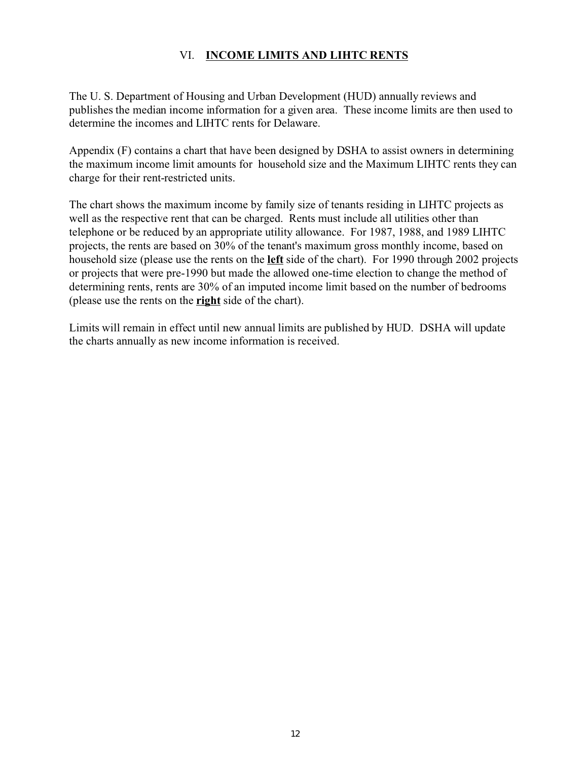## VI. **INCOME LIMITS AND LIHTC RENTS**

The U. S. Department of Housing and Urban Development (HUD) annually reviews and publishes the median income information for a given area. These income limits are then used to determine the incomes and LIHTC rents for Delaware.

Appendix (F) contains a chart that have been designed by DSHA to assist owners in determining the maximum income limit amounts for household size and the Maximum LIHTC rents they can charge for their rent-restricted units.

The chart shows the maximum income by family size of tenants residing in LIHTC projects as well as the respective rent that can be charged. Rents must include all utilities other than telephone or be reduced by an appropriate utility allowance. For 1987, 1988, and 1989 LIHTC projects, the rents are based on 30% of the tenant's maximum gross monthly income, based on household size (please use the rents on the **left** side of the chart). For 1990 through 2002 projects or projects that were pre-1990 but made the allowed one-time election to change the method of determining rents, rents are 30% of an imputed income limit based on the number of bedrooms (please use the rents on the **right** side of the chart).

Limits will remain in effect until new annual limits are published by HUD. DSHA will update the charts annually as new income information is received.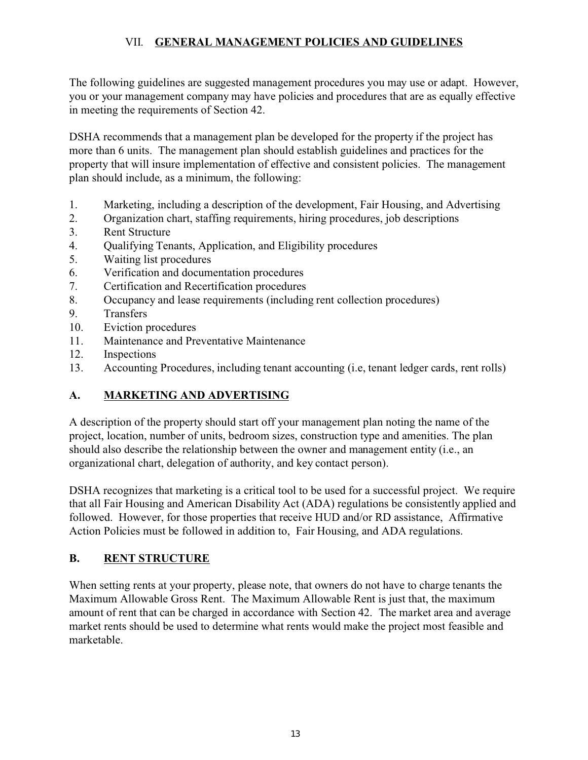## VII. **GENERAL MANAGEMENT POLICIES AND GUIDELINES**

The following guidelines are suggested management procedures you may use or adapt. However, you or your management company may have policies and procedures that are as equally effective in meeting the requirements of Section 42.

DSHA recommends that a management plan be developed for the property if the project has more than 6 units. The management plan should establish guidelines and practices for the property that will insure implementation of effective and consistent policies. The management plan should include, as a minimum, the following:

- 1. Marketing, including a description of the development, Fair Housing, and Advertising
- 2. Organization chart, staffing requirements, hiring procedures, job descriptions
- 3. Rent Structure
- 4. Qualifying Tenants, Application, and Eligibility procedures
- 5. Waiting list procedures
- 6. Verification and documentation procedures
- 7. Certification and Recertification procedures
- 8. Occupancy and lease requirements (including rent collection procedures)
- 9. Transfers
- 10. Eviction procedures
- 11. Maintenance and Preventative Maintenance
- 12. Inspections
- 13. Accounting Procedures, including tenant accounting (i.e, tenant ledger cards, rent rolls)

## **A. MARKETING AND ADVERTISING**

A description of the property should start off your management plan noting the name of the project, location, number of units, bedroom sizes, construction type and amenities. The plan should also describe the relationship between the owner and management entity (i.e., an organizational chart, delegation of authority, and key contact person).

DSHA recognizes that marketing is a critical tool to be used for a successful project. We require that all Fair Housing and American Disability Act (ADA) regulations be consistently applied and followed. However, for those properties that receive HUD and/or RD assistance, Affirmative Action Policies must be followed in addition to, Fair Housing, and ADA regulations.

#### **B. RENT STRUCTURE**

When setting rents at your property, please note, that owners do not have to charge tenants the Maximum Allowable Gross Rent. The Maximum Allowable Rent is just that, the maximum amount of rent that can be charged in accordance with Section 42. The market area and average market rents should be used to determine what rents would make the project most feasible and marketable.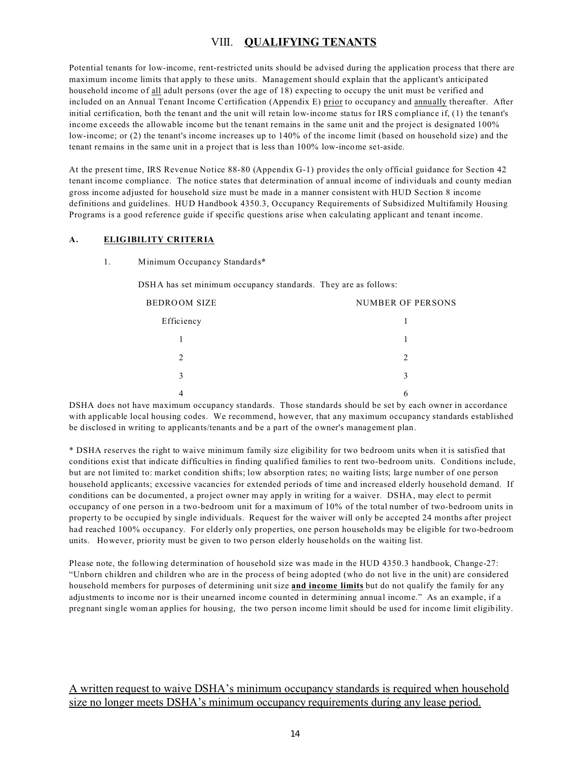#### VIII. **QUALIFYING TENANTS**

Potential tenants for low-income, rent-restricted units should be advised during the application process that there are maximum income limits that apply to these units. Management should explain that the applicant's anticipated household income of all adult persons (over the age of 18) expecting to occupy the unit must be verified and included on an Annual Tenant Income Certification (Appendix E) prior to occupancy and annually thereafter. After initial certification, both the tenant and the unit will retain low-income status for IRS compliance if, (1) the tenant's income exceeds the allowable income but the tenant remains in the same unit and the project is designated 100% low-income; or (2) the tenant's income increases up to 140% of the income limit (based on household size) and the tenant remains in the same unit in a project that is less than 100% low-income set-aside.

At the present time, IRS Revenue Notice 88-80 (Appendix G-1) provides the only official guidance for Section 42 tenant income compliance. The notice states that determination of annual income of individuals and county median gross income adjusted for household size must be made in a manner consistent with HUD Section 8 income definitions and guidelines. HUD Handbook 4350.3, Occupancy Requirements of Subsidized Multifamily Housing Programs is a good reference guide if specific questions arise when calculating applicant and tenant income.

#### **A. ELIGIBILITY CRITERIA**

1. Minimum Occupancy Standards\*

DSHA has set minimum occupancy standards. They are as follows:

| BEDROOM SIZE             | <b>NUMBER OF PERSONS</b> |
|--------------------------|--------------------------|
| Efficiency               |                          |
|                          |                          |
| $\mathfrak{D}_{1}^{(1)}$ | $\mathcal{D}$            |
| 3                        | 3                        |
|                          | h                        |

DSHA does not have maximum occupancy standards. Those standards should be set by each owner in accordance with applicable local housing codes. We recommend, however, that any maximum occupancy standards established be disclosed in writing to applicants/tenants and be a part of the owner's management plan.

\* DSHA reserves the right to waive minimum family size eligibility for two bedroom units when it is satisfied that conditions exist that indicate difficulties in finding qualified families to rent two-bedroom units. Conditions include, but are not limited to: market condition shifts; low absorption rates; no waiting lists; large number of one person household applicants; excessive vacancies for extended periods of time and increased elderly household demand. If conditions can be documented, a project owner may apply in writing for a waiver. DSHA, may elect to permit occupancy of one person in a two-bedroom unit for a maximum of 10% of the total number of two-bedroom units in property to be occupied by single individuals. Request for the waiver will only be accepted 24 months after project had reached 100% occupancy. For elderly only properties, one person households may be eligible for two-bedroom units. However, priority must be given to two person elderly households on the waiting list.

Please note, the following determination of household size was made in the HUD 4350.3 handbook, Change-27: "Unborn children and children who are in the process of being adopted (who do not live in the unit) are considered household members for purposes of determining unit size **and income limits** but do not qualify the family for any adjustments to income nor is their unearned income counted in determining annual income." As an example, if a pregnant single woman applies for housing, the two person income limit should be used for income limit eligibility.

#### A written request to waive DSHA's minimum occupancy standards is required when household size no longer meets DSHA's minimum occupancy requirements during any lease period.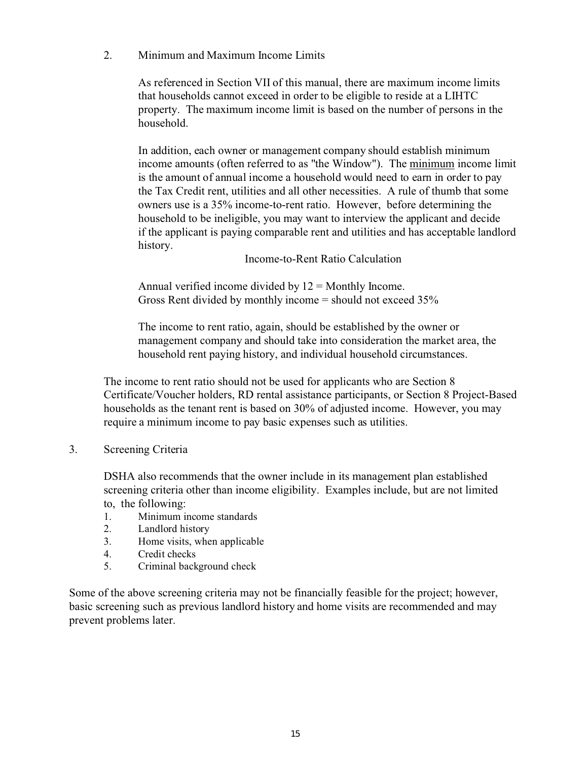2. Minimum and Maximum Income Limits

As referenced in Section VII of this manual, there are maximum income limits that households cannot exceed in order to be eligible to reside at a LIHTC property. The maximum income limit is based on the number of persons in the household.

In addition, each owner or management company should establish minimum income amounts (often referred to as "the Window"). The minimum income limit is the amount of annual income a household would need to earn in order to pay the Tax Credit rent, utilities and all other necessities. A rule of thumb that some owners use is a 35% income-to-rent ratio. However, before determining the household to be ineligible, you may want to interview the applicant and decide if the applicant is paying comparable rent and utilities and has acceptable landlord history.

Income-to-Rent Ratio Calculation

Annual verified income divided by  $12 =$  Monthly Income. Gross Rent divided by monthly income = should not exceed 35%

The income to rent ratio, again, should be established by the owner or management company and should take into consideration the market area, the household rent paying history, and individual household circumstances.

The income to rent ratio should not be used for applicants who are Section 8 Certificate/Voucher holders, RD rental assistance participants, or Section 8 Project-Based households as the tenant rent is based on 30% of adjusted income. However, you may require a minimum income to pay basic expenses such as utilities.

3. Screening Criteria

DSHA also recommends that the owner include in its management plan established screening criteria other than income eligibility. Examples include, but are not limited to, the following:

- 1. Minimum income standards
- 2. Landlord history
- 3. Home visits, when applicable
- 4. Credit checks
- 5. Criminal background check

Some of the above screening criteria may not be financially feasible for the project; however, basic screening such as previous landlord history and home visits are recommended and may prevent problems later.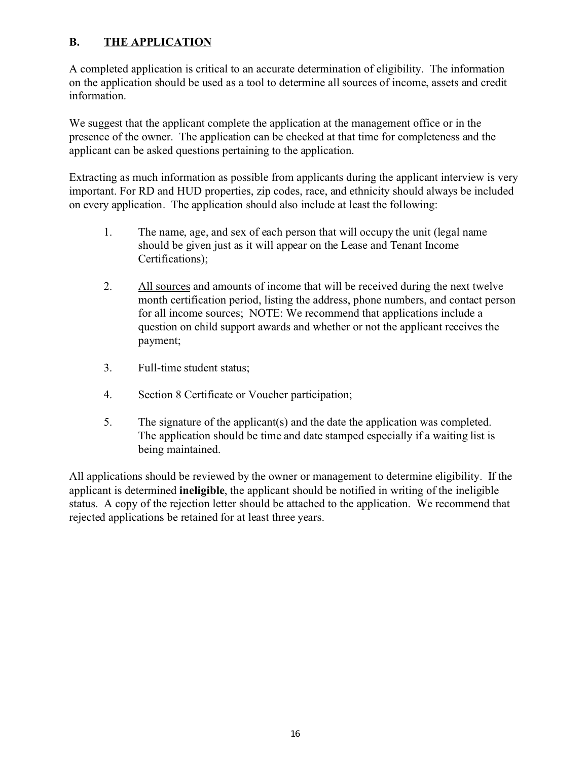## **B. THE APPLICATION**

A completed application is critical to an accurate determination of eligibility. The information on the application should be used as a tool to determine all sources of income, assets and credit information.

We suggest that the applicant complete the application at the management office or in the presence of the owner. The application can be checked at that time for completeness and the applicant can be asked questions pertaining to the application.

Extracting as much information as possible from applicants during the applicant interview is very important. For RD and HUD properties, zip codes, race, and ethnicity should always be included on every application. The application should also include at least the following:

- 1. The name, age, and sex of each person that will occupy the unit (legal name should be given just as it will appear on the Lease and Tenant Income Certifications);
- 2. All sources and amounts of income that will be received during the next twelve month certification period, listing the address, phone numbers, and contact person for all income sources; NOTE: We recommend that applications include a question on child support awards and whether or not the applicant receives the payment;
- 3. Full-time student status;
- 4. Section 8 Certificate or Voucher participation;
- 5. The signature of the applicant(s) and the date the application was completed. The application should be time and date stamped especially if a waiting list is being maintained.

All applications should be reviewed by the owner or management to determine eligibility. If the applicant is determined **ineligible**, the applicant should be notified in writing of the ineligible status. A copy of the rejection letter should be attached to the application. We recommend that rejected applications be retained for at least three years.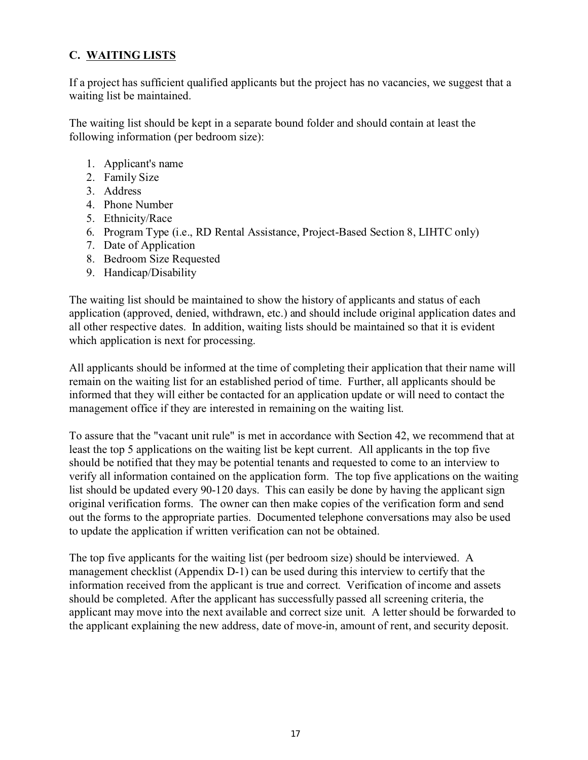## **C. WAITING LISTS**

If a project has sufficient qualified applicants but the project has no vacancies, we suggest that a waiting list be maintained.

The waiting list should be kept in a separate bound folder and should contain at least the following information (per bedroom size):

- 1. Applicant's name
- 2. Family Size
- 3. Address
- 4. Phone Number
- 5. Ethnicity/Race
- 6. Program Type (i.e., RD Rental Assistance, Project-Based Section 8, LIHTC only)
- 7. Date of Application
- 8. Bedroom Size Requested
- 9. Handicap/Disability

The waiting list should be maintained to show the history of applicants and status of each application (approved, denied, withdrawn, etc.) and should include original application dates and all other respective dates. In addition, waiting lists should be maintained so that it is evident which application is next for processing.

All applicants should be informed at the time of completing their application that their name will remain on the waiting list for an established period of time. Further, all applicants should be informed that they will either be contacted for an application update or will need to contact the management office if they are interested in remaining on the waiting list.

To assure that the "vacant unit rule" is met in accordance with Section 42, we recommend that at least the top 5 applications on the waiting list be kept current. All applicants in the top five should be notified that they may be potential tenants and requested to come to an interview to verify all information contained on the application form. The top five applications on the waiting list should be updated every 90-120 days. This can easily be done by having the applicant sign original verification forms. The owner can then make copies of the verification form and send out the forms to the appropriate parties. Documented telephone conversations may also be used to update the application if written verification can not be obtained.

The top five applicants for the waiting list (per bedroom size) should be interviewed. A management checklist (Appendix D-1) can be used during this interview to certify that the information received from the applicant is true and correct. Verification of income and assets should be completed. After the applicant has successfully passed all screening criteria, the applicant may move into the next available and correct size unit. A letter should be forwarded to the applicant explaining the new address, date of move-in, amount of rent, and security deposit.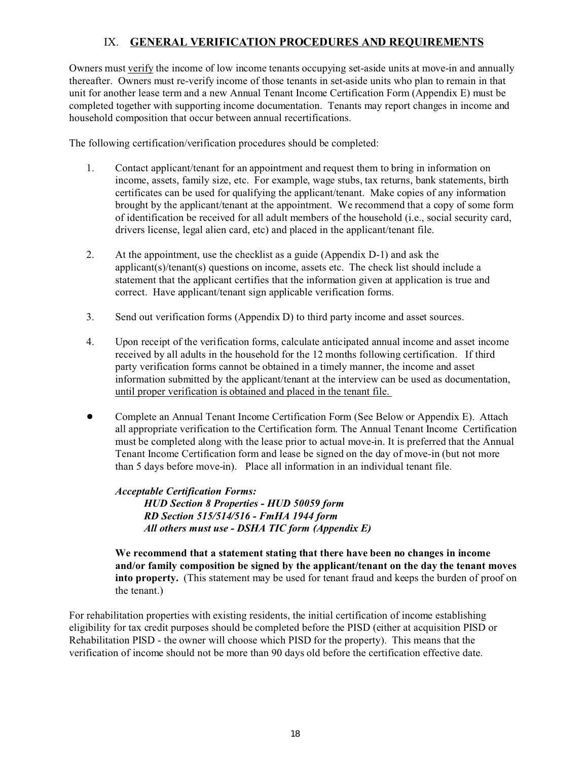### IX. **GENERAL VERIFICATION PROCEDURES AND REQUIREMENTS**

Owners must verify the income of low income tenants occupying set-aside units at move-in and annually thereafter. Owners must re-verify income of those tenants in set-aside units who plan to remain in that unit for another lease term and a new Annual Tenant Income Certification Form (Appendix E) must be completed together with supporting income documentation. Tenants may report changes in income and household composition that occur between annual recertifications.

The following certification/verification procedures should be completed:

- 1. Contact applicant/tenant for an appointment and request them to bring in information on income, assets, family size, etc. For example, wage stubs, tax returns, bank statements, birth certificates can be used for qualifying the applicant/tenant. Make copies of any information brought by the applicant/tenant at the appointment. We recommend that a copy of some form of identification be received for all adult members of the household (i.e., social security card, drivers license, legal alien card, etc) and placed in the applicant/tenant file.
- 2. At the appointment, use the checklist as a guide (Appendix D-1) and ask the applicant(s)/tenant(s) questions on income, assets etc. The check list should include a statement that the applicant certifies that the information given at application is true and correct. Have applicant/tenant sign applicable verification forms.
- 3. Send out verification forms (Appendix D) to third party income and asset sources.
- 4. Upon receipt of the verification forms, calculate anticipated annual income and asset income received by all adults in the household for the 12 months following certification. If third party verification forms cannot be obtained in a timely manner, the income and asset information submitted by the applicant/tenant at the interview can be used as documentation, until proper verification is obtained and placed in the tenant file.
- ! Complete an Annual Tenant Income Certification Form (See Below or Appendix E). Attach all appropriate verification to the Certification form. The Annual Tenant Income Certification must be completed along with the lease prior to actual move-in. It is preferred that the Annual Tenant Income Certification form and lease be signed on the day of move-in (but not more than 5 days before move-in). Place all information in an individual tenant file.

#### *Acceptable Certification Forms:*

*HUD Section 8 Properties - HUD 50059 form RD Section 515/514/516 - FmHA 1944 form All others must use - DSHA TIC form (Appendix E)*

**We recommend that a statement stating that there have been no changes in income and/or family composition be signed by the applicant/tenant on the day the tenant moves into property.** (This statement may be used for tenant fraud and keeps the burden of proof on the tenant.)

For rehabilitation properties with existing residents, the initial certification of income establishing eligibility for tax credit purposes should be completed before the PISD (either at acquisition PISD or Rehabilitation PISD - the owner will choose which PISD for the property). This means that the verification of income should not be more than 90 days old before the certification effective date.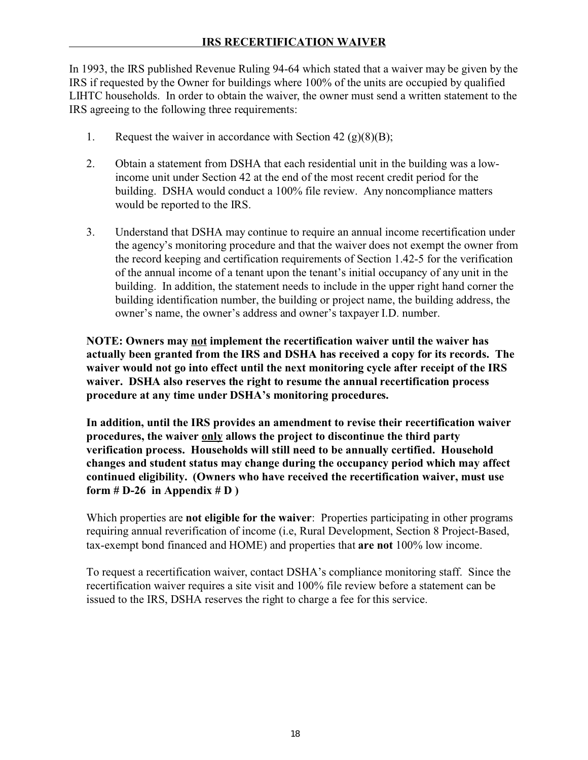### **IRS RECERTIFICATION WAIVER**

In 1993, the IRS published Revenue Ruling 94-64 which stated that a waiver may be given by the IRS if requested by the Owner for buildings where 100% of the units are occupied by qualified LIHTC households. In order to obtain the waiver, the owner must send a written statement to the IRS agreeing to the following three requirements:

- 1. Request the waiver in accordance with Section 42  $(g)(8)(B)$ ;
- 2. Obtain a statement from DSHA that each residential unit in the building was a lowincome unit under Section 42 at the end of the most recent credit period for the building. DSHA would conduct a 100% file review. Any noncompliance matters would be reported to the IRS.
- 3. Understand that DSHA may continue to require an annual income recertification under the agency's monitoring procedure and that the waiver does not exempt the owner from the record keeping and certification requirements of Section 1.42-5 for the verification of the annual income of a tenant upon the tenant's initial occupancy of any unit in the building. In addition, the statement needs to include in the upper right hand corner the building identification number, the building or project name, the building address, the owner's name, the owner's address and owner's taxpayer I.D. number.

**NOTE: Owners may not implement the recertification waiver until the waiver has actually been granted from the IRS and DSHA has received a copy for its records. The waiver would not go into effect until the next monitoring cycle after receipt of the IRS waiver. DSHA also reserves the right to resume the annual recertification process procedure at any time under DSHA's monitoring procedures.**

**In addition, until the IRS provides an amendment to revise their recertification waiver procedures, the waiver only allows the project to discontinue the third party verification process. Households will still need to be annually certified. Household changes and student status may change during the occupancy period which may affect continued eligibility. (Owners who have received the recertification waiver, must use** form  $# D-26$  in Appendix  $# D$ )

Which properties are **not eligible for the waiver**: Properties participating in other programs requiring annual reverification of income (i.e, Rural Development, Section 8 Project-Based, tax-exempt bond financed and HOME) and properties that **are not** 100% low income.

To request a recertification waiver, contact DSHA's compliance monitoring staff. Since the recertification waiver requires a site visit and 100% file review before a statement can be issued to the IRS, DSHA reserves the right to charge a fee for this service.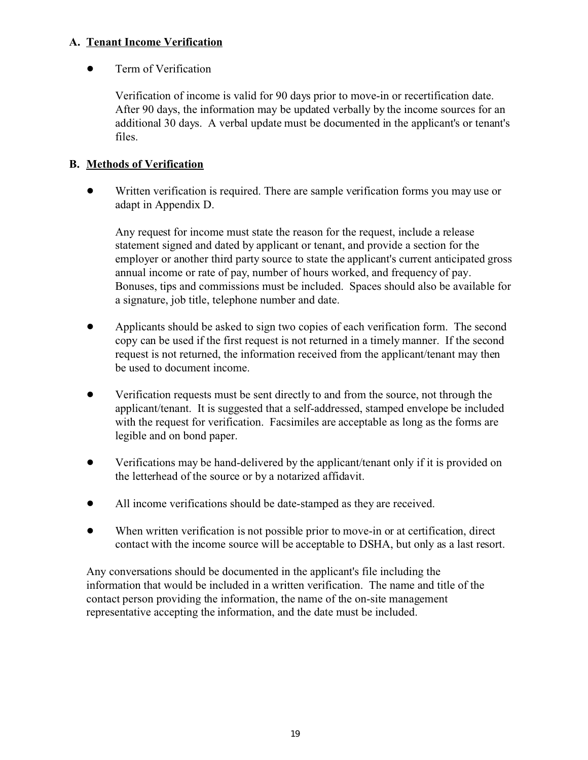#### **A. Tenant Income Verification**

• Term of Verification

Verification of income is valid for 90 days prior to move-in or recertification date. After 90 days, the information may be updated verbally by the income sources for an additional 30 days. A verbal update must be documented in the applicant's or tenant's files.

## **B. Methods of Verification**

! Written verification is required. There are sample verification forms you may use or adapt in Appendix D.

Any request for income must state the reason for the request, include a release statement signed and dated by applicant or tenant, and provide a section for the employer or another third party source to state the applicant's current anticipated gross annual income or rate of pay, number of hours worked, and frequency of pay. Bonuses, tips and commissions must be included. Spaces should also be available for a signature, job title, telephone number and date.

- ! Applicants should be asked to sign two copies of each verification form. The second copy can be used if the first request is not returned in a timely manner. If the second request is not returned, the information received from the applicant/tenant may then be used to document income.
- Verification requests must be sent directly to and from the source, not through the applicant/tenant. It is suggested that a self-addressed, stamped envelope be included with the request for verification. Facsimiles are acceptable as long as the forms are legible and on bond paper.
- Verifications may be hand-delivered by the applicant/tenant only if it is provided on the letterhead of the source or by a notarized affidavit.
- All income verifications should be date-stamped as they are received.
- ! When written verification is not possible prior to move-in or at certification, direct contact with the income source will be acceptable to DSHA, but only as a last resort.

Any conversations should be documented in the applicant's file including the information that would be included in a written verification. The name and title of the contact person providing the information, the name of the on-site management representative accepting the information, and the date must be included.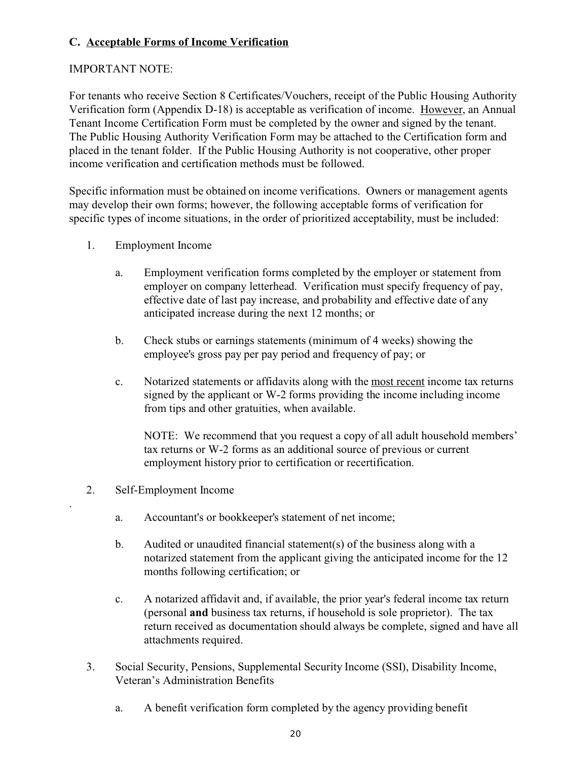## **C. Acceptable Forms of Income Verification**

#### IMPORTANT NOTE:

For tenants who receive Section 8 Certificates/Vouchers, receipt of the Public Housing Authority Verification form (Appendix D-18) is acceptable as verification of income. However, an Annual Tenant Income Certification Form must be completed by the owner and signed by the tenant. The Public Housing Authority Verification Form may be attached to the Certification form and placed in the tenant folder. If the Public Housing Authority is not cooperative, other proper income verification and certification methods must be followed.

Specific information must be obtained on income verifications. Owners or management agents may develop their own forms; however, the following acceptable forms of verification for specific types of income situations, in the order of prioritized acceptability, must be included:

- 1. Employment Income
	- a. Employment verification forms completed by the employer or statement from employer on company letterhead. Verification must specify frequency of pay, effective date of last pay increase, and probability and effective date of any anticipated increase during the next 12 months; or
	- b. Check stubs or earnings statements (minimum of 4 weeks) showing the employee's gross pay per pay period and frequency of pay; or
	- c. Notarized statements or affidavits along with the most recent income tax returns signed by the applicant or W-2 forms providing the income including income from tips and other gratuities, when available.

NOTE: We recommend that you request a copy of all adult household members' tax returns or W-2 forms as an additional source of previous or current employment history prior to certification or recertification.

2. Self-Employment Income

.

- a. Accountant's or bookkeeper's statement of net income;
- b. Audited or unaudited financial statement(s) of the business along with a notarized statement from the applicant giving the anticipated income for the 12 months following certification; or
- c. A notarized affidavit and, if available, the prior year's federal income tax return (personal **and** business tax returns, if household is sole proprietor). The tax return received as documentation should always be complete, signed and have all attachments required.
- 3. Social Security, Pensions, Supplemental Security Income (SSI), Disability Income, Veteran's Administration Benefits
	- a. A benefit verification form completed by the agency providing benefit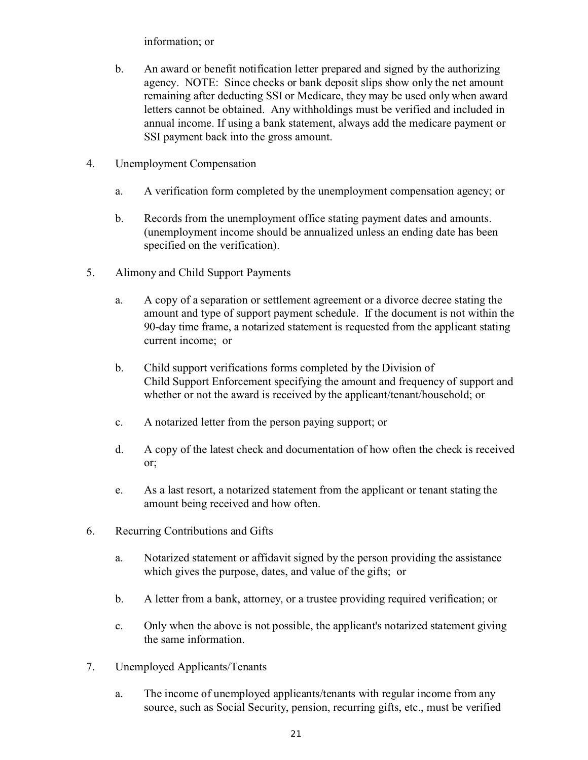information; or

- b. An award or benefit notification letter prepared and signed by the authorizing agency. NOTE: Since checks or bank deposit slips show only the net amount remaining after deducting SSI or Medicare, they may be used only when award letters cannot be obtained. Any withholdings must be verified and included in annual income. If using a bank statement, always add the medicare payment or SSI payment back into the gross amount.
- 4. Unemployment Compensation
	- a. A verification form completed by the unemployment compensation agency; or
	- b. Records from the unemployment office stating payment dates and amounts. (unemployment income should be annualized unless an ending date has been specified on the verification).
- 5. Alimony and Child Support Payments
	- a. A copy of a separation or settlement agreement or a divorce decree stating the amount and type of support payment schedule. If the document is not within the 90-day time frame, a notarized statement is requested from the applicant stating current income; or
	- b. Child support verifications forms completed by the Division of Child Support Enforcement specifying the amount and frequency of support and whether or not the award is received by the applicant/tenant/household; or
	- c. A notarized letter from the person paying support; or
	- d. A copy of the latest check and documentation of how often the check is received or;
	- e. As a last resort, a notarized statement from the applicant or tenant stating the amount being received and how often.
- 6. Recurring Contributions and Gifts
	- a. Notarized statement or affidavit signed by the person providing the assistance which gives the purpose, dates, and value of the gifts; or
	- b. A letter from a bank, attorney, or a trustee providing required verification; or
	- c. Only when the above is not possible, the applicant's notarized statement giving the same information.
- 7. Unemployed Applicants/Tenants
	- a. The income of unemployed applicants/tenants with regular income from any source, such as Social Security, pension, recurring gifts, etc., must be verified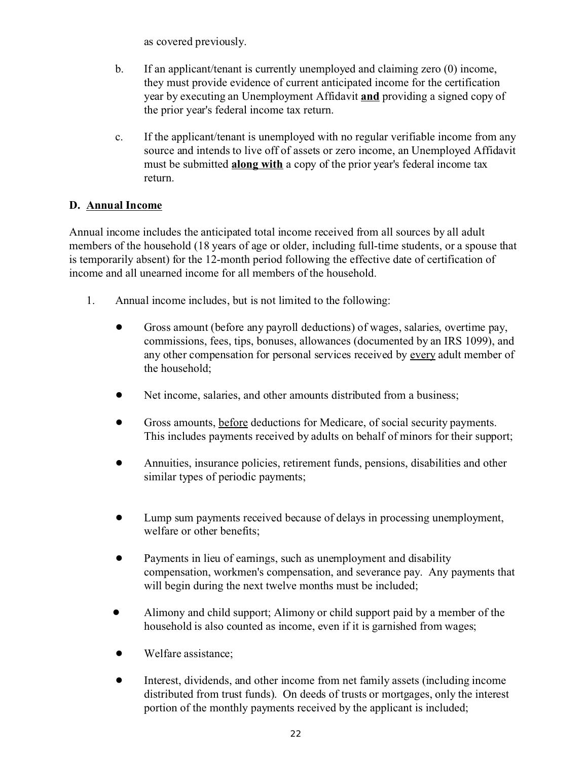as covered previously.

- b. If an applicant/tenant is currently unemployed and claiming zero (0) income, they must provide evidence of current anticipated income for the certification year by executing an Unemployment Affidavit **and** providing a signed copy of the prior year's federal income tax return.
- c. If the applicant/tenant is unemployed with no regular verifiable income from any source and intends to live off of assets or zero income, an Unemployed Affidavit must be submitted **along with** a copy of the prior year's federal income tax return.

## **D. Annual Income**

Annual income includes the anticipated total income received from all sources by all adult members of the household (18 years of age or older, including full-time students, or a spouse that is temporarily absent) for the 12-month period following the effective date of certification of income and all unearned income for all members of the household.

- 1. Annual income includes, but is not limited to the following:
	- ! Gross amount (before any payroll deductions) of wages, salaries, overtime pay, commissions, fees, tips, bonuses, allowances (documented by an IRS 1099), and any other compensation for personal services received by every adult member of the household;
	- ! Net income, salaries, and other amounts distributed from a business;
	- ! Gross amounts, before deductions for Medicare, of social security payments. This includes payments received by adults on behalf of minors for their support;
	- ! Annuities, insurance policies, retirement funds, pensions, disabilities and other similar types of periodic payments;
	- ! Lump sum payments received because of delays in processing unemployment, welfare or other benefits;
	- Payments in lieu of earnings, such as unemployment and disability compensation, workmen's compensation, and severance pay. Any payments that will begin during the next twelve months must be included;
	- ! Alimony and child support; Alimony or child support paid by a member of the household is also counted as income, even if it is garnished from wages;
	- Welfare assistance;
	- ! Interest, dividends, and other income from net family assets (including income distributed from trust funds). On deeds of trusts or mortgages, only the interest portion of the monthly payments received by the applicant is included;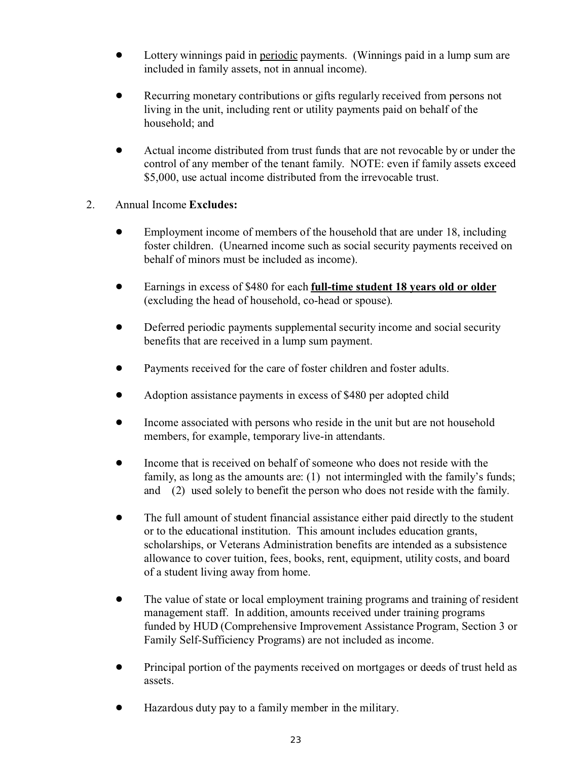- Lottery winnings paid in periodic payments. (Winnings paid in a lump sum are included in family assets, not in annual income).
- Recurring monetary contributions or gifts regularly received from persons not living in the unit, including rent or utility payments paid on behalf of the household; and
- Actual income distributed from trust funds that are not revocable by or under the control of any member of the tenant family. NOTE: even if family assets exceed \$5,000, use actual income distributed from the irrevocable trust.

## 2. Annual Income **Excludes:**

- Employment income of members of the household that are under 18, including foster children. (Unearned income such as social security payments received on behalf of minors must be included as income).
- ! Earnings in excess of \$480 for each **full-time student 18 years old or older** (excluding the head of household, co-head or spouse).
- ! Deferred periodic payments supplemental security income and social security benefits that are received in a lump sum payment.
- Payments received for the care of foster children and foster adults.
- Adoption assistance payments in excess of \$480 per adopted child
- Income associated with persons who reside in the unit but are not household members, for example, temporary live-in attendants.
- Income that is received on behalf of someone who does not reside with the family, as long as the amounts are: (1) not intermingled with the family's funds; and (2) used solely to benefit the person who does not reside with the family.
- The full amount of student financial assistance either paid directly to the student or to the educational institution. This amount includes education grants, scholarships, or Veterans Administration benefits are intended as a subsistence allowance to cover tuition, fees, books, rent, equipment, utility costs, and board of a student living away from home.
- The value of state or local employment training programs and training of resident management staff. In addition, amounts received under training programs funded by HUD (Comprehensive Improvement Assistance Program, Section 3 or Family Self-Sufficiency Programs) are not included as income.
- ! Principal portion of the payments received on mortgages or deeds of trust held as assets.
- ! Hazardous duty pay to a family member in the military.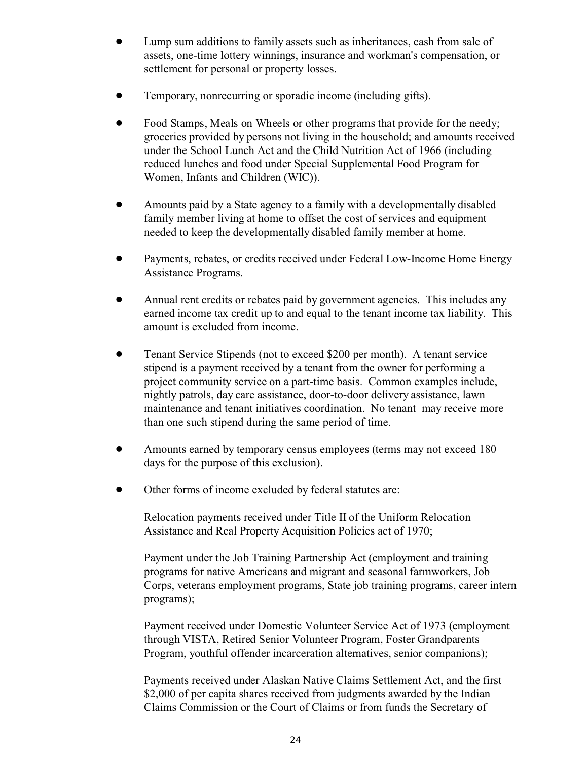- ! Lump sum additions to family assets such as inheritances, cash from sale of assets, one-time lottery winnings, insurance and workman's compensation, or settlement for personal or property losses.
- ! Temporary, nonrecurring or sporadic income (including gifts).
- Food Stamps, Meals on Wheels or other programs that provide for the needy; groceries provided by persons not living in the household; and amounts received under the School Lunch Act and the Child Nutrition Act of 1966 (including reduced lunches and food under Special Supplemental Food Program for Women, Infants and Children (WIC)).
- ! Amounts paid by a State agency to a family with a developmentally disabled family member living at home to offset the cost of services and equipment needed to keep the developmentally disabled family member at home.
- ! Payments, rebates, or credits received under Federal Low-Income Home Energy Assistance Programs.
- Annual rent credits or rebates paid by government agencies. This includes any earned income tax credit up to and equal to the tenant income tax liability. This amount is excluded from income.
- Tenant Service Stipends (not to exceed \$200 per month). A tenant service stipend is a payment received by a tenant from the owner for performing a project community service on a part-time basis. Common examples include, nightly patrols, day care assistance, door-to-door delivery assistance, lawn maintenance and tenant initiatives coordination. No tenant may receive more than one such stipend during the same period of time.
- Amounts earned by temporary census employees (terms may not exceed 180 days for the purpose of this exclusion).
- ! Other forms of income excluded by federal statutes are:

Relocation payments received under Title II of the Uniform Relocation Assistance and Real Property Acquisition Policies act of 1970;

Payment under the Job Training Partnership Act (employment and training programs for native Americans and migrant and seasonal farmworkers, Job Corps, veterans employment programs, State job training programs, career intern programs);

Payment received under Domestic Volunteer Service Act of 1973 (employment through VISTA, Retired Senior Volunteer Program, Foster Grandparents Program, youthful offender incarceration alternatives, senior companions);

Payments received under Alaskan Native Claims Settlement Act, and the first \$2,000 of per capita shares received from judgments awarded by the Indian Claims Commission or the Court of Claims or from funds the Secretary of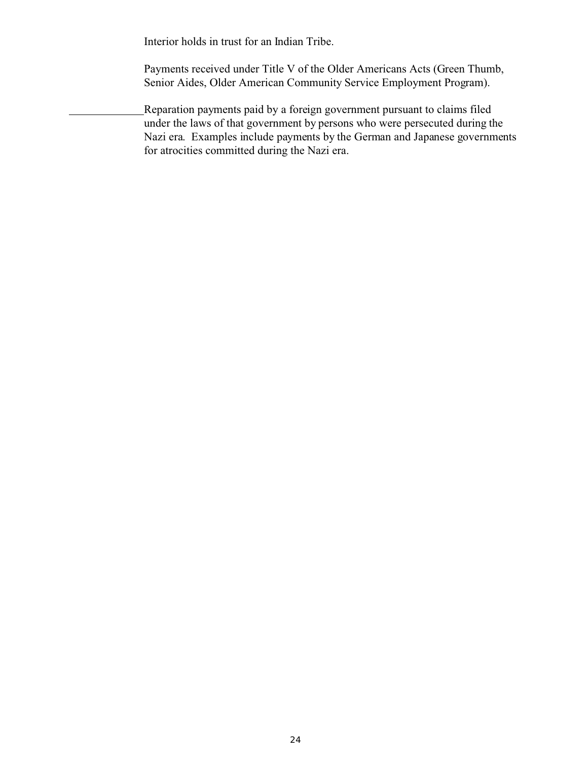Interior holds in trust for an Indian Tribe.

Payments received under Title V of the Older Americans Acts (Green Thumb, Senior Aides, Older American Community Service Employment Program).

Reparation payments paid by a foreign government pursuant to claims filed under the laws of that government by persons who were persecuted during the Nazi era. Examples include payments by the German and Japanese governments for atrocities committed during the Nazi era.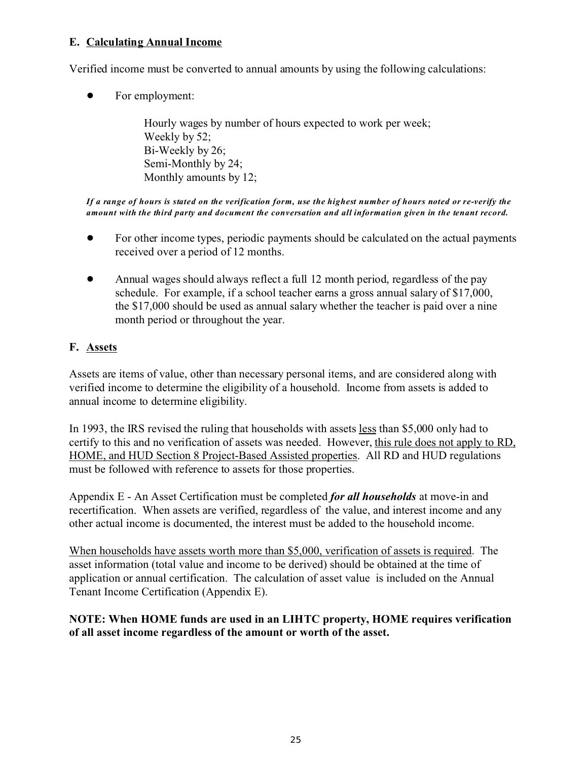#### **E. Calculating Annual Income**

Verified income must be converted to annual amounts by using the following calculations:

• For employment:

Hourly wages by number of hours expected to work per week; Weekly by 52; Bi-Weekly by 26; Semi-Monthly by 24; Monthly amounts by 12;

*If a range of hours is stated on the verification form, use the highest number of hours noted or re-verify the amount with the third party and document the conversation and all information given in the tenant record.*

- ! For other income types, periodic payments should be calculated on the actual payments received over a period of 12 months.
- Annual wages should always reflect a full 12 month period, regardless of the pay schedule. For example, if a school teacher earns a gross annual salary of \$17,000, the \$17,000 should be used as annual salary whether the teacher is paid over a nine month period or throughout the year.

## **F. Assets**

Assets are items of value, other than necessary personal items, and are considered along with verified income to determine the eligibility of a household. Income from assets is added to annual income to determine eligibility.

In 1993, the IRS revised the ruling that households with assets less than \$5,000 only had to certify to this and no verification of assets was needed. However, this rule does not apply to RD, HOME, and HUD Section 8 Project-Based Assisted properties. All RD and HUD regulations must be followed with reference to assets for those properties.

Appendix E - An Asset Certification must be completed *for all households* at move-in and recertification. When assets are verified, regardless of the value, and interest income and any other actual income is documented, the interest must be added to the household income.

When households have assets worth more than \$5,000, verification of assets is required. The asset information (total value and income to be derived) should be obtained at the time of application or annual certification. The calculation of asset value is included on the Annual Tenant Income Certification (Appendix E).

#### **NOTE: When HOME funds are used in an LIHTC property, HOME requires verification of all asset income regardless of the amount or worth of the asset.**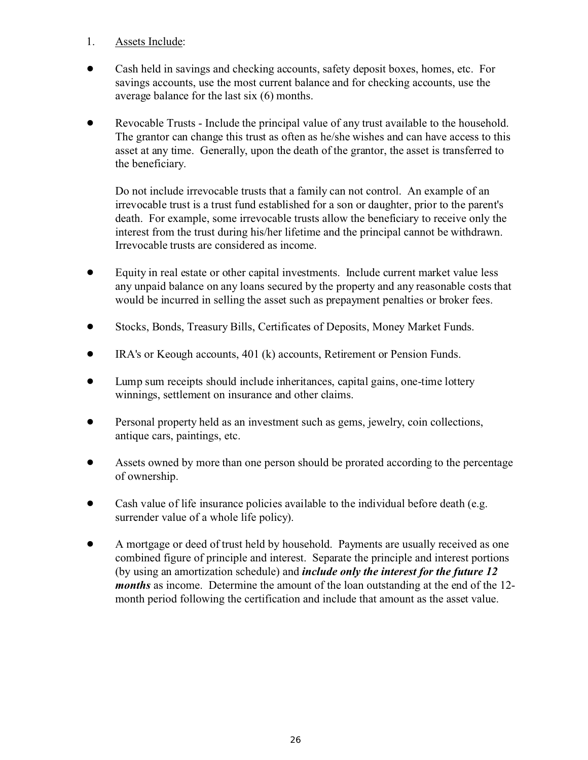- 1. Assets Include:
- ! Cash held in savings and checking accounts, safety deposit boxes, homes, etc. For savings accounts, use the most current balance and for checking accounts, use the average balance for the last six (6) months.
- ! Revocable Trusts Include the principal value of any trust available to the household. The grantor can change this trust as often as he/she wishes and can have access to this asset at any time. Generally, upon the death of the grantor, the asset is transferred to the beneficiary.

Do not include irrevocable trusts that a family can not control. An example of an irrevocable trust is a trust fund established for a son or daughter, prior to the parent's death. For example, some irrevocable trusts allow the beneficiary to receive only the interest from the trust during his/her lifetime and the principal cannot be withdrawn. Irrevocable trusts are considered as income.

- Equity in real estate or other capital investments. Include current market value less any unpaid balance on any loans secured by the property and any reasonable costs that would be incurred in selling the asset such as prepayment penalties or broker fees.
- ! Stocks, Bonds, Treasury Bills, Certificates of Deposits, Money Market Funds.
- ! IRA's or Keough accounts, 401 (k) accounts, Retirement or Pension Funds.
- ! Lump sum receipts should include inheritances, capital gains, one-time lottery winnings, settlement on insurance and other claims.
- ! Personal property held as an investment such as gems, jewelry, coin collections, antique cars, paintings, etc.
- ! Assets owned by more than one person should be prorated according to the percentage of ownership.
- Cash value of life insurance policies available to the individual before death (e.g. surrender value of a whole life policy).
- ! A mortgage or deed of trust held by household. Payments are usually received as one combined figure of principle and interest. Separate the principle and interest portions (by using an amortization schedule) and *include only the interest for the future 12 months* as income. Determine the amount of the loan outstanding at the end of the 12 month period following the certification and include that amount as the asset value.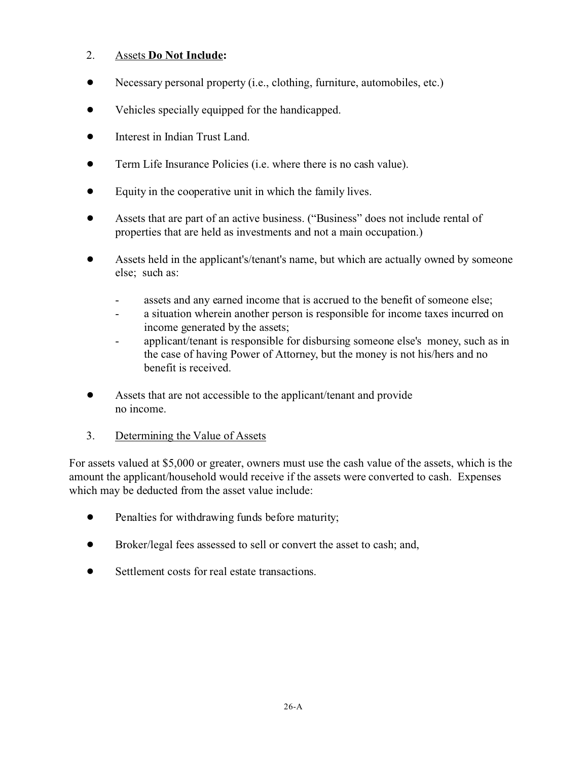## 2. Assets **Do Not Include:**

- Necessary personal property (i.e., clothing, furniture, automobiles, etc.)
- Vehicles specially equipped for the handicapped.
- $\bullet$  Interest in Indian Trust Land.
- Term Life Insurance Policies (i.e. where there is no cash value).
- Equity in the cooperative unit in which the family lives.
- ! Assets that are part of an active business. ("Business" does not include rental of properties that are held as investments and not a main occupation.)
- ! Assets held in the applicant's/tenant's name, but which are actually owned by someone else; such as:
	- assets and any earned income that is accrued to the benefit of someone else;
	- a situation wherein another person is responsible for income taxes incurred on income generated by the assets;
	- applicant/tenant is responsible for disbursing someone else's money, such as in the case of having Power of Attorney, but the money is not his/hers and no benefit is received.
- Assets that are not accessible to the applicant/tenant and provide no income.
- 3. Determining the Value of Assets

For assets valued at \$5,000 or greater, owners must use the cash value of the assets, which is the amount the applicant/household would receive if the assets were converted to cash. Expenses which may be deducted from the asset value include:

- Penalties for withdrawing funds before maturity;
- Broker/legal fees assessed to sell or convert the asset to cash; and,
- Settlement costs for real estate transactions.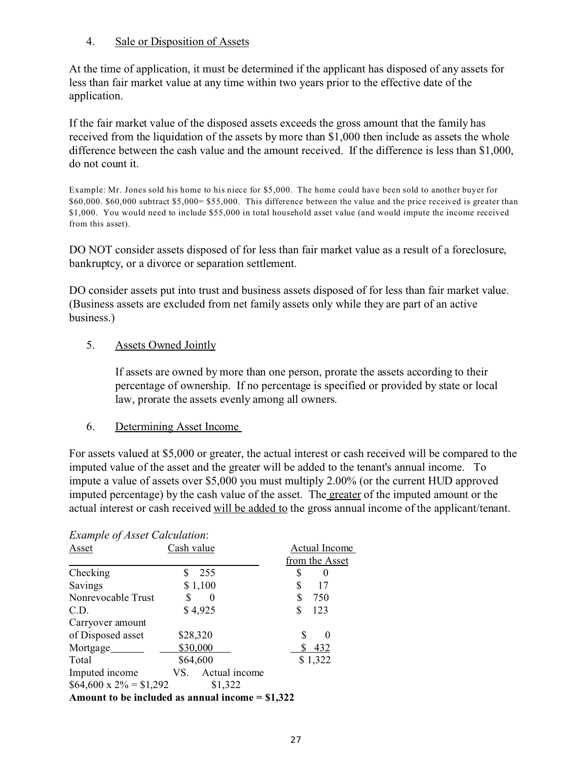#### 4. Sale or Disposition of Assets

At the time of application, it must be determined if the applicant has disposed of any assets for less than fair market value at any time within two years prior to the effective date of the application.

If the fair market value of the disposed assets exceeds the gross amount that the family has received from the liquidation of the assets by more than \$1,000 then include as assets the whole difference between the cash value and the amount received. If the difference is less than \$1,000, do not count it.

Example: Mr. Jones sold his home to his niece for \$5,000. The home could have been sold to another buyer for \$60,000. \$60,000 subtract \$5,000= \$55,000. This difference between the value and the price received is greater than \$1,000. You would need to include \$55,000 in total household asset value (and would impute the income received from this asset).

DO NOT consider assets disposed of for less than fair market value as a result of a foreclosure, bankruptcy, or a divorce or separation settlement.

DO consider assets put into trust and business assets disposed of for less than fair market value. (Business assets are excluded from net family assets only while they are part of an active business.)

#### 5. Assets Owned Jointly

If assets are owned by more than one person, prorate the assets according to their percentage of ownership. If no percentage is specified or provided by state or local law, prorate the assets evenly among all owners.

#### 6. Determining Asset Income

For assets valued at \$5,000 or greater, the actual interest or cash received will be compared to the imputed value of the asset and the greater will be added to the tenant's annual income. To impute a value of assets over \$5,000 you must multiply 2.00% (or the current HUD approved imputed percentage) by the cash value of the asset. The greater of the imputed amount or the actual interest or cash received will be added to the gross annual income of the applicant/tenant.

| <b>Example of Asset Calculation:</b> |                                                   |                |
|--------------------------------------|---------------------------------------------------|----------------|
| Asset                                | Cash value                                        | Actual Income  |
|                                      |                                                   | from the Asset |
| Checking                             | 255<br>S                                          | \$             |
| Savings                              | \$1,100                                           | \$<br>17       |
| Nonrevocable Trust                   | $\theta$                                          | S<br>750       |
| C.D.                                 | \$4,925                                           | S<br>123       |
| Carryover amount                     |                                                   |                |
| of Disposed asset                    | \$28,320                                          | S<br>0         |
| Mortgage                             | \$30,000                                          | 432            |
| Total                                | \$64,600                                          | \$1,322        |
| Imputed income                       | Actual income<br>VS.                              |                |
| $$64,600 \times 2\% = $1,292$        | \$1,322                                           |                |
|                                      | Amount to be included as annual income $= $1,322$ |                |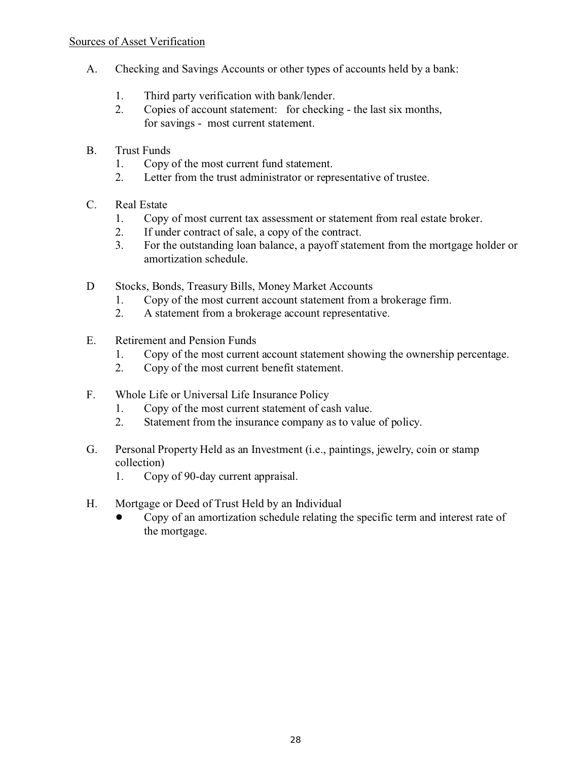- A. Checking and Savings Accounts or other types of accounts held by a bank:
	- 1. Third party verification with bank/lender.
	- 2. Copies of account statement: for checking the last six months, for savings - most current statement.
- B. Trust Funds
	- 1. Copy of the most current fund statement.
	- 2. Letter from the trust administrator or representative of trustee.
- C. Real Estate
	- 1. Copy of most current tax assessment or statement from real estate broker.
	- 2. If under contract of sale, a copy of the contract.
	- 3. For the outstanding loan balance, a payoff statement from the mortgage holder or amortization schedule.
- D Stocks, Bonds, Treasury Bills, Money Market Accounts
	- 1. Copy of the most current account statement from a brokerage firm.
	- 2. A statement from a brokerage account representative.
- E. Retirement and Pension Funds
	- 1. Copy of the most current account statement showing the ownership percentage.
	- 2. Copy of the most current benefit statement.
- F. Whole Life or Universal Life Insurance Policy
	- 1. Copy of the most current statement of cash value.
	- 2. Statement from the insurance company as to value of policy.
- G. Personal Property Held as an Investment (i.e., paintings, jewelry, coin or stamp collection)
	- 1. Copy of 90-day current appraisal.
- H. Mortgage or Deed of Trust Held by an Individual
	- ! Copy of an amortization schedule relating the specific term and interest rate of the mortgage.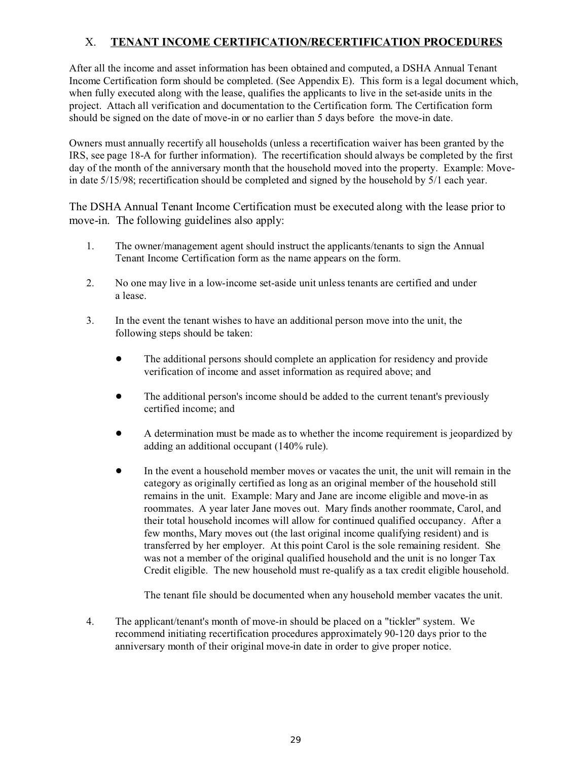# X. **TENANT INCOME CERTIFICATION/RECERTIFICATION PROCEDURES**

After all the income and asset information has been obtained and computed, a DSHA Annual Tenant Income Certification form should be completed. (See Appendix E). This form is a legal document which, when fully executed along with the lease, qualifies the applicants to live in the set-aside units in the project. Attach all verification and documentation to the Certification form. The Certification form should be signed on the date of move-in or no earlier than 5 days before the move-in date.

Owners must annually recertify all households (unless a recertification waiver has been granted by the IRS, see page 18-A for further information). The recertification should always be completed by the first day of the month of the anniversary month that the household moved into the property. Example: Movein date 5/15/98; recertification should be completed and signed by the household by 5/1 each year.

The DSHA Annual Tenant Income Certification must be executed along with the lease prior to move-in. The following guidelines also apply:

- 1. The owner/management agent should instruct the applicants/tenants to sign the Annual Tenant Income Certification form as the name appears on the form.
- 2. No one may live in a low-income set-aside unit unless tenants are certified and under a lease.
- 3. In the event the tenant wishes to have an additional person move into the unit, the following steps should be taken:
	- ! The additional persons should complete an application for residency and provide verification of income and asset information as required above; and
	- The additional person's income should be added to the current tenant's previously certified income; and
	- ! A determination must be made as to whether the income requirement is jeopardized by adding an additional occupant (140% rule).
	- In the event a household member moves or vacates the unit, the unit will remain in the category as originally certified as long as an original member of the household still remains in the unit. Example: Mary and Jane are income eligible and move-in as roommates. A year later Jane moves out. Mary finds another roommate, Carol, and their total household incomes will allow for continued qualified occupancy. After a few months, Mary moves out (the last original income qualifying resident) and is transferred by her employer. At this point Carol is the sole remaining resident. She was not a member of the original qualified household and the unit is no longer Tax Credit eligible. The new household must re-qualify as a tax credit eligible household.

The tenant file should be documented when any household member vacates the unit.

4. The applicant/tenant's month of move-in should be placed on a "tickler" system. We recommend initiating recertification procedures approximately 90-120 days prior to the anniversary month of their original move-in date in order to give proper notice.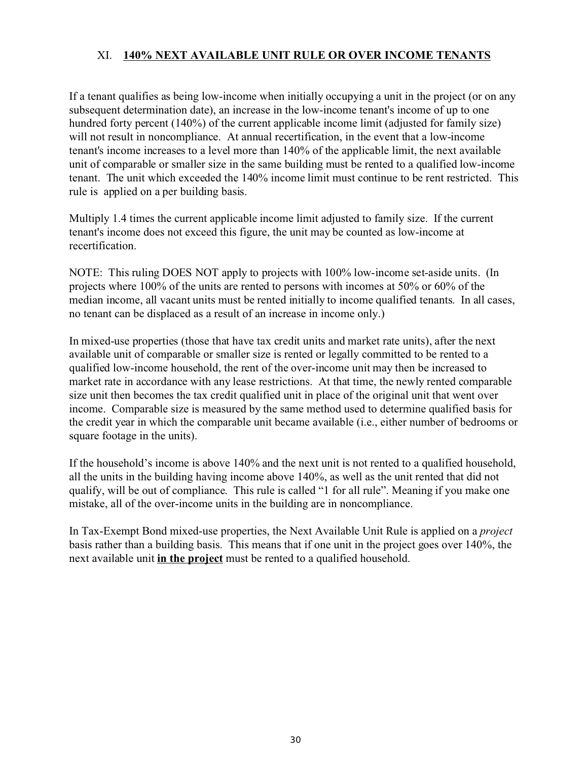## XI. **140% NEXT AVAILABLE UNIT RULE OR OVER INCOME TENANTS**

If a tenant qualifies as being low-income when initially occupying a unit in the project (or on any subsequent determination date), an increase in the low-income tenant's income of up to one hundred forty percent (140%) of the current applicable income limit (adjusted for family size) will not result in noncompliance. At annual recertification, in the event that a low-income tenant's income increases to a level more than 140% of the applicable limit, the next available unit of comparable or smaller size in the same building must be rented to a qualified low-income tenant. The unit which exceeded the 140% income limit must continue to be rent restricted. This rule is applied on a per building basis.

Multiply 1.4 times the current applicable income limit adjusted to family size. If the current tenant's income does not exceed this figure, the unit may be counted as low-income at recertification.

NOTE: This ruling DOES NOT apply to projects with 100% low-income set-aside units. (In projects where 100% of the units are rented to persons with incomes at 50% or 60% of the median income, all vacant units must be rented initially to income qualified tenants. In all cases, no tenant can be displaced as a result of an increase in income only.)

In mixed-use properties (those that have tax credit units and market rate units), after the next available unit of comparable or smaller size is rented or legally committed to be rented to a qualified low-income household, the rent of the over-income unit may then be increased to market rate in accordance with any lease restrictions. At that time, the newly rented comparable size unit then becomes the tax credit qualified unit in place of the original unit that went over income. Comparable size is measured by the same method used to determine qualified basis for the credit year in which the comparable unit became available (i.e., either number of bedrooms or square footage in the units).

If the household's income is above 140% and the next unit is not rented to a qualified household, all the units in the building having income above 140%, as well as the unit rented that did not qualify, will be out of compliance. This rule is called "1 for all rule". Meaning if you make one mistake, all of the over-income units in the building are in noncompliance.

In Tax-Exempt Bond mixed-use properties, the Next Available Unit Rule is applied on a *project* basis rather than a building basis. This means that if one unit in the project goes over 140%, the next available unit **in the project** must be rented to a qualified household.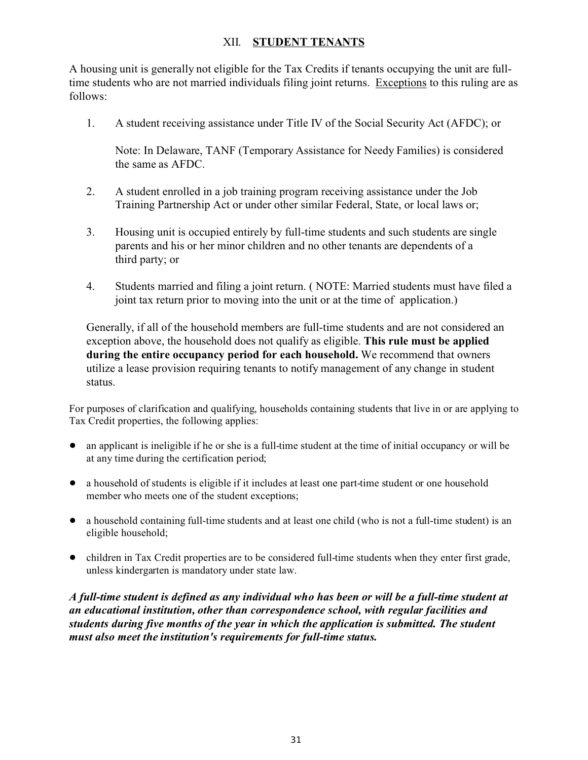## XII. **STUDENT TENANTS**

A housing unit is generally not eligible for the Tax Credits if tenants occupying the unit are fulltime students who are not married individuals filing joint returns. Exceptions to this ruling are as follows:

1. A student receiving assistance under Title IV of the Social Security Act (AFDC); or

Note: In Delaware, TANF (Temporary Assistance for Needy Families) is considered the same as AFDC.

- 2. A student enrolled in a job training program receiving assistance under the Job Training Partnership Act or under other similar Federal, State, or local laws or;
- 3. Housing unit is occupied entirely by full-time students and such students are single parents and his or her minor children and no other tenants are dependents of a third party; or
- 4. Students married and filing a joint return. ( NOTE: Married students must have filed a joint tax return prior to moving into the unit or at the time of application.)

Generally, if all of the household members are full-time students and are not considered an exception above, the household does not qualify as eligible. **This rule must be applied during the entire occupancy period for each household.** We recommend that owners utilize a lease provision requiring tenants to notify management of any change in student status.

For purposes of clarification and qualifying, households containing students that live in or are applying to Tax Credit properties, the following applies:

- ! an applicant is ineligible if he or she is a full-time student at the time of initial occupancy or will be at any time during the certification period;
- a household of students is eligible if it includes at least one part-time student or one household member who meets one of the student exceptions;
- ! a household containing full-time students and at least one child (who is not a full-time student) is an eligible household;
- ! children in Tax Credit properties are to be considered full-time students when they enter first grade, unless kindergarten is mandatory under state law.

*A full-time student is defined as any individual who has been or will be a full-time student at an educational institution, other than correspondence school, with regular facilities and students during five months of the year in which the application is submitted. The student must also meet the institution's requirements for full-time status.*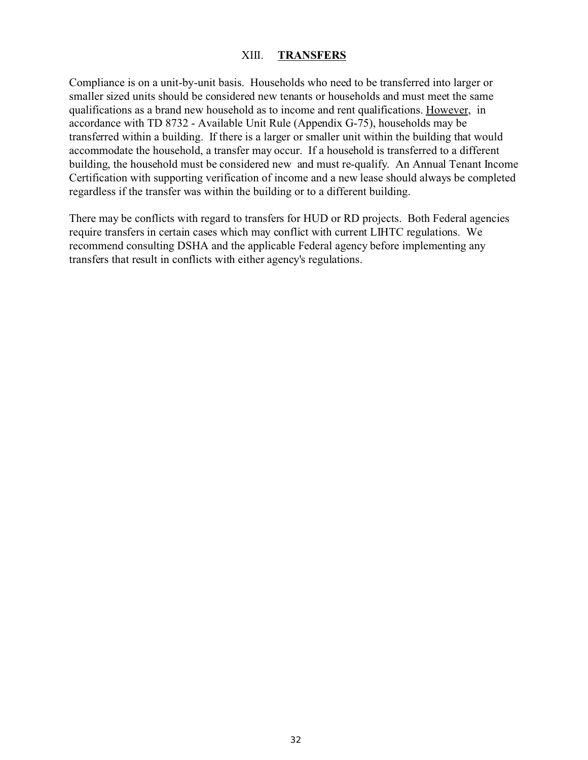#### XIII. **TRANSFERS**

Compliance is on a unit-by-unit basis. Households who need to be transferred into larger or smaller sized units should be considered new tenants or households and must meet the same qualifications as a brand new household as to income and rent qualifications. However, in accordance with TD 8732 - Available Unit Rule (Appendix G-75), households may be transferred within a building. If there is a larger or smaller unit within the building that would accommodate the household, a transfer may occur. If a household is transferred to a different building, the household must be considered new and must re-qualify. An Annual Tenant Income Certification with supporting verification of income and a new lease should always be completed regardless if the transfer was within the building or to a different building.

There may be conflicts with regard to transfers for HUD or RD projects. Both Federal agencies require transfers in certain cases which may conflict with current LIHTC regulations. We recommend consulting DSHA and the applicable Federal agency before implementing any transfers that result in conflicts with either agency's regulations.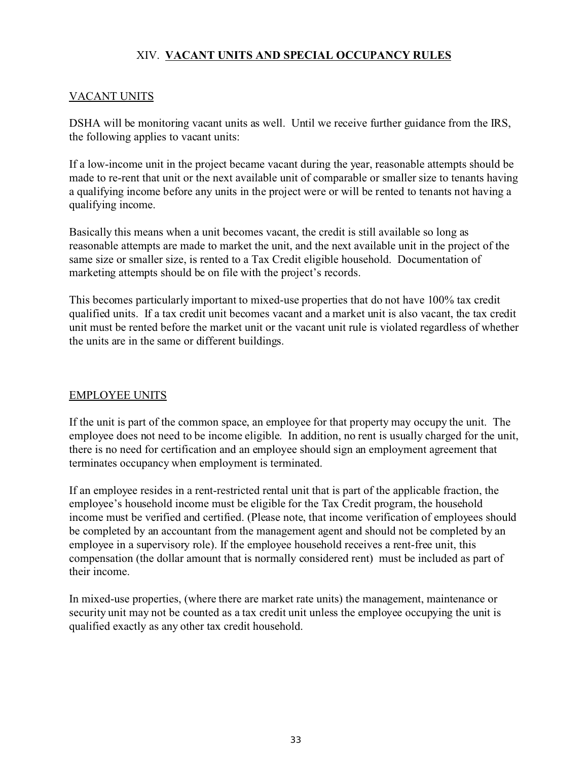# XIV. **VACANT UNITS AND SPECIAL OCCUPANCY RULES**

## VACANT UNITS

DSHA will be monitoring vacant units as well. Until we receive further guidance from the IRS, the following applies to vacant units:

If a low-income unit in the project became vacant during the year, reasonable attempts should be made to re-rent that unit or the next available unit of comparable or smaller size to tenants having a qualifying income before any units in the project were or will be rented to tenants not having a qualifying income.

Basically this means when a unit becomes vacant, the credit is still available so long as reasonable attempts are made to market the unit, and the next available unit in the project of the same size or smaller size, is rented to a Tax Credit eligible household. Documentation of marketing attempts should be on file with the project's records.

This becomes particularly important to mixed-use properties that do not have 100% tax credit qualified units. If a tax credit unit becomes vacant and a market unit is also vacant, the tax credit unit must be rented before the market unit or the vacant unit rule is violated regardless of whether the units are in the same or different buildings.

## EMPLOYEE UNITS

If the unit is part of the common space, an employee for that property may occupy the unit. The employee does not need to be income eligible. In addition, no rent is usually charged for the unit, there is no need for certification and an employee should sign an employment agreement that terminates occupancy when employment is terminated.

If an employee resides in a rent-restricted rental unit that is part of the applicable fraction, the employee's household income must be eligible for the Tax Credit program, the household income must be verified and certified. (Please note, that income verification of employees should be completed by an accountant from the management agent and should not be completed by an employee in a supervisory role). If the employee household receives a rent-free unit, this compensation (the dollar amount that is normally considered rent) must be included as part of their income.

In mixed-use properties, (where there are market rate units) the management, maintenance or security unit may not be counted as a tax credit unit unless the employee occupying the unit is qualified exactly as any other tax credit household.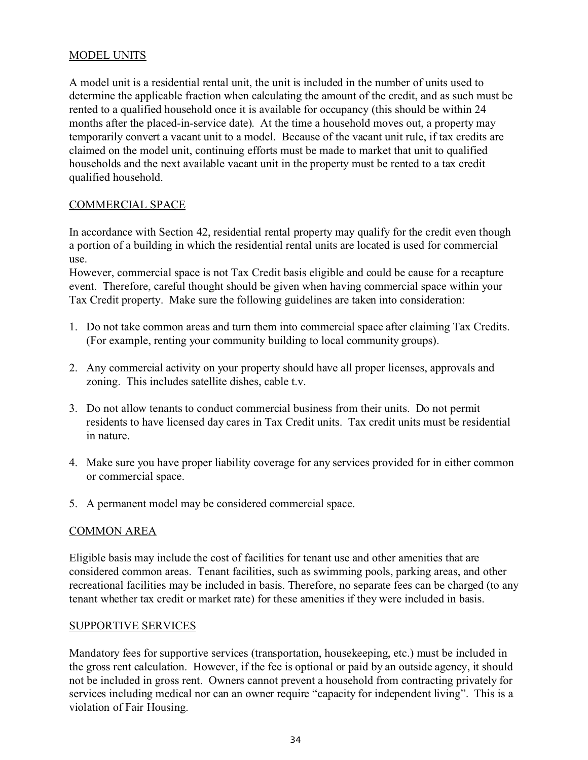## MODEL UNITS

A model unit is a residential rental unit, the unit is included in the number of units used to determine the applicable fraction when calculating the amount of the credit, and as such must be rented to a qualified household once it is available for occupancy (this should be within 24 months after the placed-in-service date). At the time a household moves out, a property may temporarily convert a vacant unit to a model. Because of the vacant unit rule, if tax credits are claimed on the model unit, continuing efforts must be made to market that unit to qualified households and the next available vacant unit in the property must be rented to a tax credit qualified household.

## COMMERCIAL SPACE

In accordance with Section 42, residential rental property may qualify for the credit even though a portion of a building in which the residential rental units are located is used for commercial use.

However, commercial space is not Tax Credit basis eligible and could be cause for a recapture event. Therefore, careful thought should be given when having commercial space within your Tax Credit property. Make sure the following guidelines are taken into consideration:

- 1. Do not take common areas and turn them into commercial space after claiming Tax Credits. (For example, renting your community building to local community groups).
- 2. Any commercial activity on your property should have all proper licenses, approvals and zoning. This includes satellite dishes, cable t.v.
- 3. Do not allow tenants to conduct commercial business from their units. Do not permit residents to have licensed day cares in Tax Credit units. Tax credit units must be residential in nature.
- 4. Make sure you have proper liability coverage for any services provided for in either common or commercial space.
- 5. A permanent model may be considered commercial space.

## COMMON AREA

Eligible basis may include the cost of facilities for tenant use and other amenities that are considered common areas. Tenant facilities, such as swimming pools, parking areas, and other recreational facilities may be included in basis. Therefore, no separate fees can be charged (to any tenant whether tax credit or market rate) for these amenities if they were included in basis.

## SUPPORTIVE SERVICES

Mandatory fees for supportive services (transportation, housekeeping, etc.) must be included in the gross rent calculation. However, if the fee is optional or paid by an outside agency, it should not be included in gross rent. Owners cannot prevent a household from contracting privately for services including medical nor can an owner require "capacity for independent living". This is a violation of Fair Housing.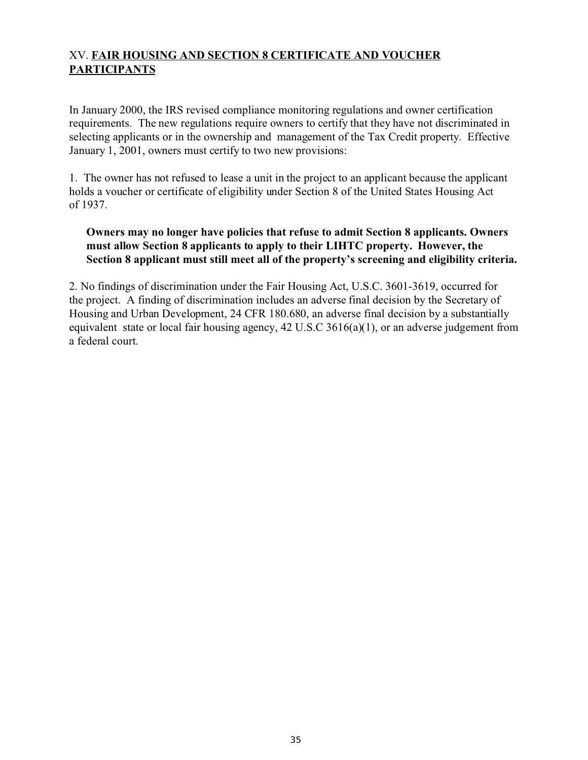# XV. **FAIR HOUSING AND SECTION 8 CERTIFICATE AND VOUCHER PARTICIPANTS**

In January 2000, the IRS revised compliance monitoring regulations and owner certification requirements. The new regulations require owners to certify that they have not discriminated in selecting applicants or in the ownership and management of the Tax Credit property. Effective January 1, 2001, owners must certify to two new provisions:

1. The owner has not refused to lease a unit in the project to an applicant because the applicant holds a voucher or certificate of eligibility under Section 8 of the United States Housing Act of 1937.

## **Owners may no longer have policies that refuse to admit Section 8 applicants. Owners must allow Section 8 applicants to apply to their LIHTC property. However, the Section 8 applicant must still meet all of the property's screening and eligibility criteria.**

2. No findings of discrimination under the Fair Housing Act, U.S.C. 3601-3619, occurred for the project. A finding of discrimination includes an adverse final decision by the Secretary of Housing and Urban Development, 24 CFR 180.680, an adverse final decision by a substantially equivalent state or local fair housing agency, 42 U.S.C 3616(a)(1), or an adverse judgement from a federal court.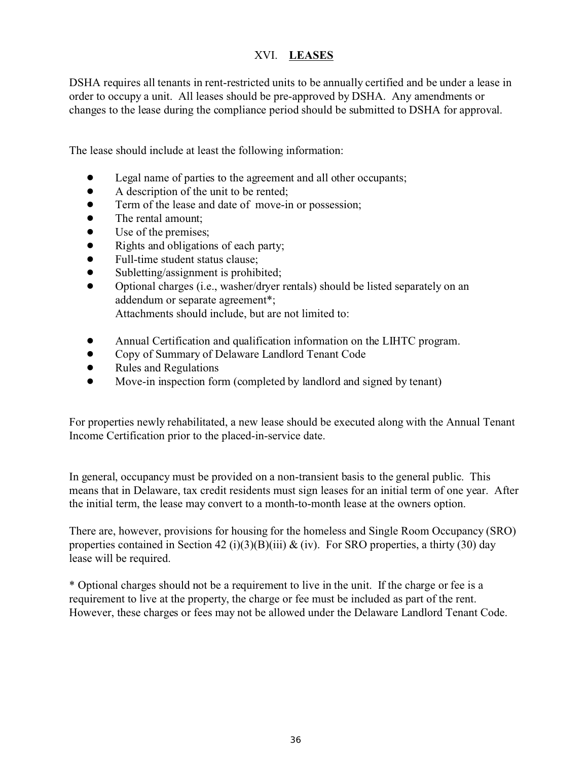# XVI. **LEASES**

DSHA requires all tenants in rent-restricted units to be annually certified and be under a lease in order to occupy a unit. All leases should be pre-approved by DSHA. Any amendments or changes to the lease during the compliance period should be submitted to DSHA for approval.

The lease should include at least the following information:

- Legal name of parties to the agreement and all other occupants;
- A description of the unit to be rented;
- Term of the lease and date of move-in or possession;
- The rental amount:
- Use of the premises;
- Rights and obligations of each party;
- Full-time student status clause;
- Subletting/assignment is prohibited;
- ! Optional charges (i.e., washer/dryer rentals) should be listed separately on an addendum or separate agreement\*; Attachments should include, but are not limited to:
- ! Annual Certification and qualification information on the LIHTC program.
- ! Copy of Summary of Delaware Landlord Tenant Code
- Rules and Regulations
- Move-in inspection form (completed by landlord and signed by tenant)

For properties newly rehabilitated, a new lease should be executed along with the Annual Tenant Income Certification prior to the placed-in-service date.

In general, occupancy must be provided on a non-transient basis to the general public. This means that in Delaware, tax credit residents must sign leases for an initial term of one year. After the initial term, the lease may convert to a month-to-month lease at the owners option.

There are, however, provisions for housing for the homeless and Single Room Occupancy (SRO) properties contained in Section 42 (i)(3)(B)(iii)  $\&$  (iv). For SRO properties, a thirty (30) day lease will be required.

\* Optional charges should not be a requirement to live in the unit. If the charge or fee is a requirement to live at the property, the charge or fee must be included as part of the rent. However, these charges or fees may not be allowed under the Delaware Landlord Tenant Code.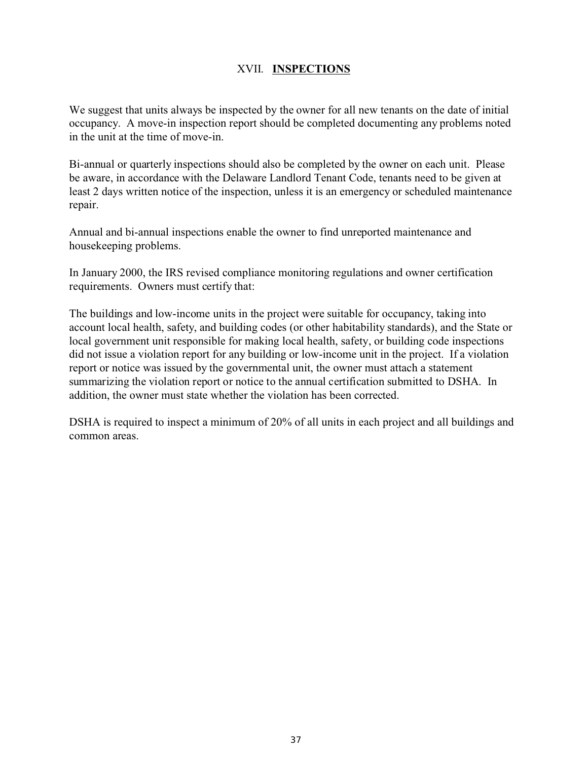# XVII. **INSPECTIONS**

We suggest that units always be inspected by the owner for all new tenants on the date of initial occupancy. A move-in inspection report should be completed documenting any problems noted in the unit at the time of move-in.

Bi-annual or quarterly inspections should also be completed by the owner on each unit. Please be aware, in accordance with the Delaware Landlord Tenant Code, tenants need to be given at least 2 days written notice of the inspection, unless it is an emergency or scheduled maintenance repair.

Annual and bi-annual inspections enable the owner to find unreported maintenance and housekeeping problems.

In January 2000, the IRS revised compliance monitoring regulations and owner certification requirements. Owners must certify that:

The buildings and low-income units in the project were suitable for occupancy, taking into account local health, safety, and building codes (or other habitability standards), and the State or local government unit responsible for making local health, safety, or building code inspections did not issue a violation report for any building or low-income unit in the project. If a violation report or notice was issued by the governmental unit, the owner must attach a statement summarizing the violation report or notice to the annual certification submitted to DSHA. In addition, the owner must state whether the violation has been corrected.

DSHA is required to inspect a minimum of 20% of all units in each project and all buildings and common areas.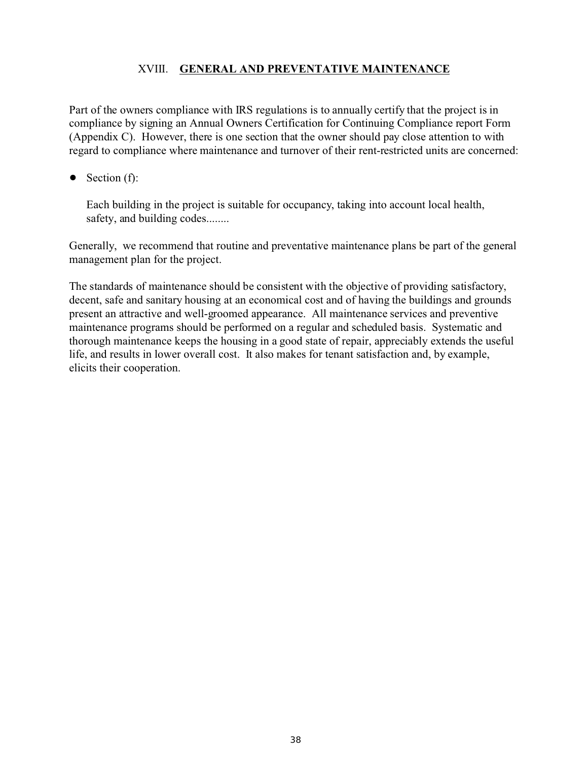## XVIII. **GENERAL AND PREVENTATIVE MAINTENANCE**

Part of the owners compliance with IRS regulations is to annually certify that the project is in compliance by signing an Annual Owners Certification for Continuing Compliance report Form (Appendix C). However, there is one section that the owner should pay close attention to with regard to compliance where maintenance and turnover of their rent-restricted units are concerned:

 $\bullet$  Section (f):

Each building in the project is suitable for occupancy, taking into account local health, safety, and building codes........

Generally, we recommend that routine and preventative maintenance plans be part of the general management plan for the project.

The standards of maintenance should be consistent with the objective of providing satisfactory, decent, safe and sanitary housing at an economical cost and of having the buildings and grounds present an attractive and well-groomed appearance. All maintenance services and preventive maintenance programs should be performed on a regular and scheduled basis. Systematic and thorough maintenance keeps the housing in a good state of repair, appreciably extends the useful life, and results in lower overall cost. It also makes for tenant satisfaction and, by example, elicits their cooperation.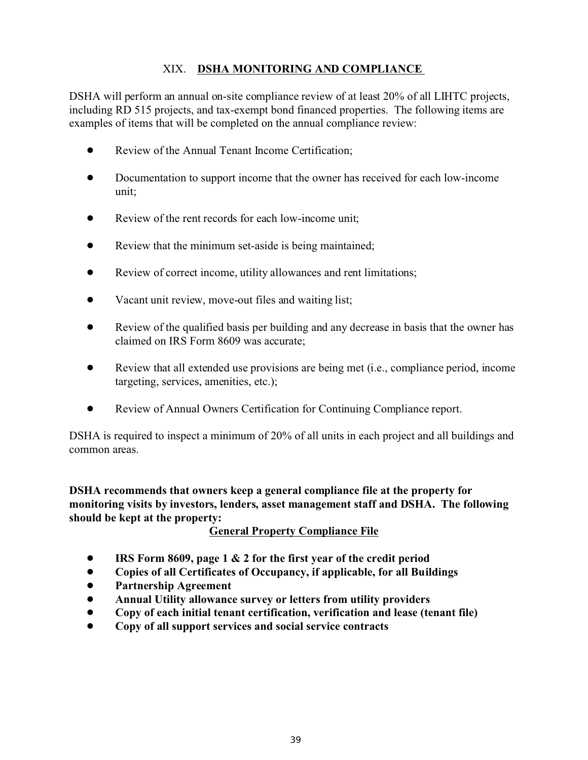# XIX. **DSHA MONITORING AND COMPLIANCE**

DSHA will perform an annual on-site compliance review of at least 20% of all LIHTC projects, including RD 515 projects, and tax-exempt bond financed properties. The following items are examples of items that will be completed on the annual compliance review:

- Review of the Annual Tenant Income Certification;
- Documentation to support income that the owner has received for each low-income unit;
- Review of the rent records for each low-income unit;
- Review that the minimum set-aside is being maintained;
- Review of correct income, utility allowances and rent limitations;
- Vacant unit review, move-out files and waiting list;
- Review of the qualified basis per building and any decrease in basis that the owner has claimed on IRS Form 8609 was accurate;
- ! Review that all extended use provisions are being met (i.e., compliance period, income targeting, services, amenities, etc.);
- ! Review of Annual Owners Certification for Continuing Compliance report.

DSHA is required to inspect a minimum of 20% of all units in each project and all buildings and common areas.

**DSHA recommends that owners keep a general compliance file at the property for monitoring visits by investors, lenders, asset management staff and DSHA. The following should be kept at the property:**

**General Property Compliance File**

- ! **IRS Form 8609, page 1 & 2 for the first year of the credit period**
- ! **Copies of all Certificates of Occupancy, if applicable, for all Buildings**
- ! **Partnership Agreement**
- ! **Annual Utility allowance survey or letters from utility providers**
- ! **Copy of each initial tenant certification, verification and lease (tenant file)**
- ! **Copy of all support services and social service contracts**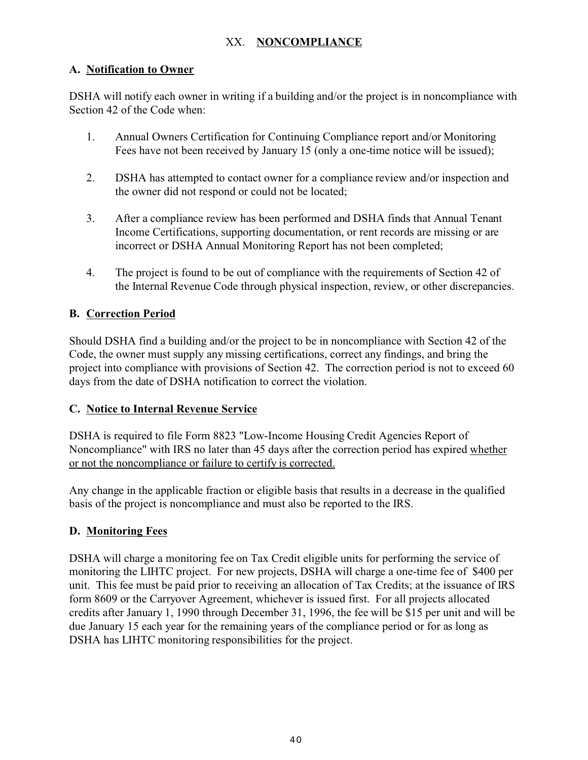## XX. **NONCOMPLIANCE**

## **A. Notification to Owner**

DSHA will notify each owner in writing if a building and/or the project is in noncompliance with Section 42 of the Code when:

- 1. Annual Owners Certification for Continuing Compliance report and/or Monitoring Fees have not been received by January 15 (only a one-time notice will be issued);
- 2. DSHA has attempted to contact owner for a compliance review and/or inspection and the owner did not respond or could not be located;
- 3. After a compliance review has been performed and DSHA finds that Annual Tenant Income Certifications, supporting documentation, or rent records are missing or are incorrect or DSHA Annual Monitoring Report has not been completed;
- 4. The project is found to be out of compliance with the requirements of Section 42 of the Internal Revenue Code through physical inspection, review, or other discrepancies.

# **B. Correction Period**

Should DSHA find a building and/or the project to be in noncompliance with Section 42 of the Code, the owner must supply any missing certifications, correct any findings, and bring the project into compliance with provisions of Section 42. The correction period is not to exceed 60 days from the date of DSHA notification to correct the violation.

## **C. Notice to Internal Revenue Service**

DSHA is required to file Form 8823 "Low-Income Housing Credit Agencies Report of Noncompliance" with IRS no later than 45 days after the correction period has expired whether or not the noncompliance or failure to certify is corrected.

Any change in the applicable fraction or eligible basis that results in a decrease in the qualified basis of the project is noncompliance and must also be reported to the IRS.

# **D. Monitoring Fees**

DSHA will charge a monitoring fee on Tax Credit eligible units for performing the service of monitoring the LIHTC project. For new projects, DSHA will charge a one-time fee of \$400 per unit. This fee must be paid prior to receiving an allocation of Tax Credits; at the issuance of IRS form 8609 or the Carryover Agreement, whichever is issued first. For all projects allocated credits after January 1, 1990 through December 31, 1996, the fee will be \$15 per unit and will be due January 15 each year for the remaining years of the compliance period or for as long as DSHA has LIHTC monitoring responsibilities for the project.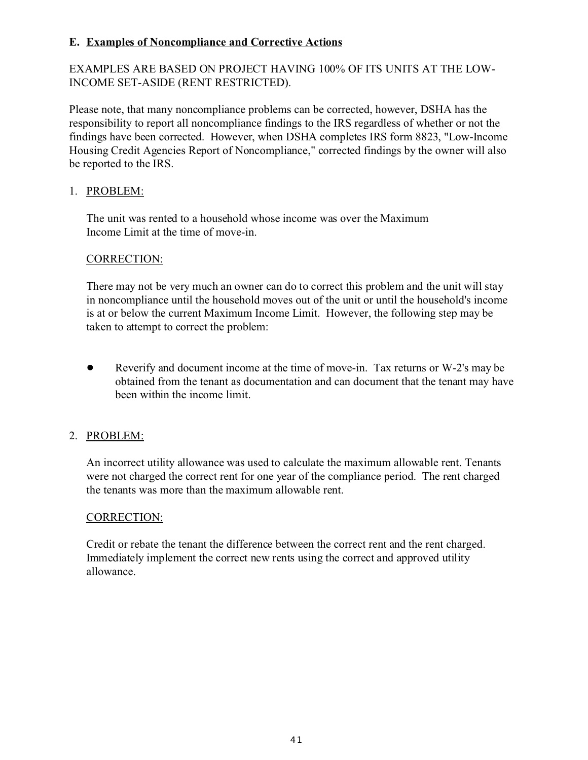## **E. Examples of Noncompliance and Corrective Actions**

EXAMPLES ARE BASED ON PROJECT HAVING 100% OF ITS UNITS AT THE LOW-INCOME SET-ASIDE (RENT RESTRICTED).

Please note, that many noncompliance problems can be corrected, however, DSHA has the responsibility to report all noncompliance findings to the IRS regardless of whether or not the findings have been corrected. However, when DSHA completes IRS form 8823, "Low-Income Housing Credit Agencies Report of Noncompliance," corrected findings by the owner will also be reported to the IRS.

## 1. PROBLEM:

The unit was rented to a household whose income was over the Maximum Income Limit at the time of move-in.

## CORRECTION:

There may not be very much an owner can do to correct this problem and the unit will stay in noncompliance until the household moves out of the unit or until the household's income is at or below the current Maximum Income Limit. However, the following step may be taken to attempt to correct the problem:

! Reverify and document income at the time of move-in. Tax returns or W-2's may be obtained from the tenant as documentation and can document that the tenant may have been within the income limit.

# 2. PROBLEM:

An incorrect utility allowance was used to calculate the maximum allowable rent. Tenants were not charged the correct rent for one year of the compliance period. The rent charged the tenants was more than the maximum allowable rent.

## CORRECTION:

Credit or rebate the tenant the difference between the correct rent and the rent charged. Immediately implement the correct new rents using the correct and approved utility allowance.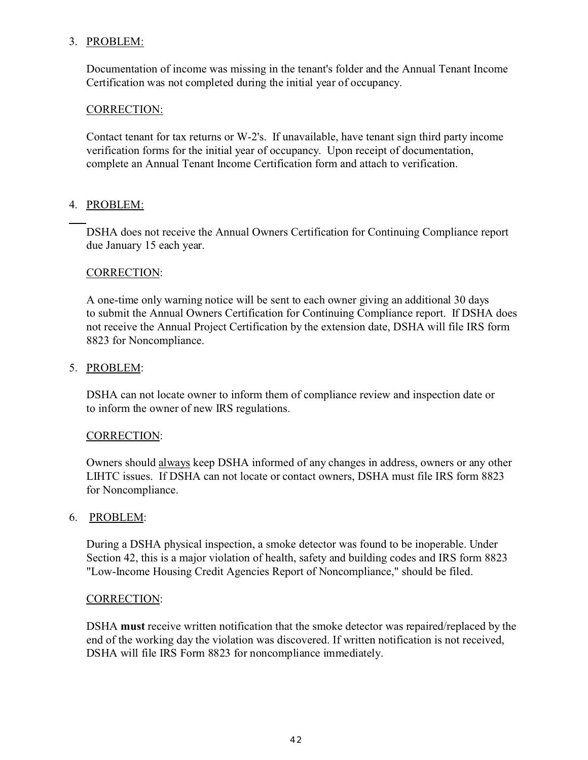## 3. PROBLEM:

Documentation of income was missing in the tenant's folder and the Annual Tenant Income Certification was not completed during the initial year of occupancy.

## CORRECTION:

Contact tenant for tax returns or W-2's. If unavailable, have tenant sign third party income verification forms for the initial year of occupancy. Upon receipt of documentation, complete an Annual Tenant Income Certification form and attach to verification.

## 4. PROBLEM:

DSHA does not receive the Annual Owners Certification for Continuing Compliance report due January 15 each year.

## CORRECTION:

A one-time only warning notice will be sent to each owner giving an additional 30 days to submit the Annual Owners Certification for Continuing Compliance report. If DSHA does not receive the Annual Project Certification by the extension date, DSHA will file IRS form 8823 for Noncompliance.

## 5. PROBLEM:

DSHA can not locate owner to inform them of compliance review and inspection date or to inform the owner of new IRS regulations.

## CORRECTION:

Owners should always keep DSHA informed of any changes in address, owners or any other LIHTC issues. If DSHA can not locate or contact owners, DSHA must file IRS form 8823 for Noncompliance.

## 6. PROBLEM:

During a DSHA physical inspection, a smoke detector was found to be inoperable. Under Section 42, this is a major violation of health, safety and building codes and IRS form 8823 "Low-Income Housing Credit Agencies Report of Noncompliance," should be filed.

## CORRECTION:

DSHA **must** receive written notification that the smoke detector was repaired/replaced by the end of the working day the violation was discovered. If written notification is not received, DSHA will file IRS Form 8823 for noncompliance immediately.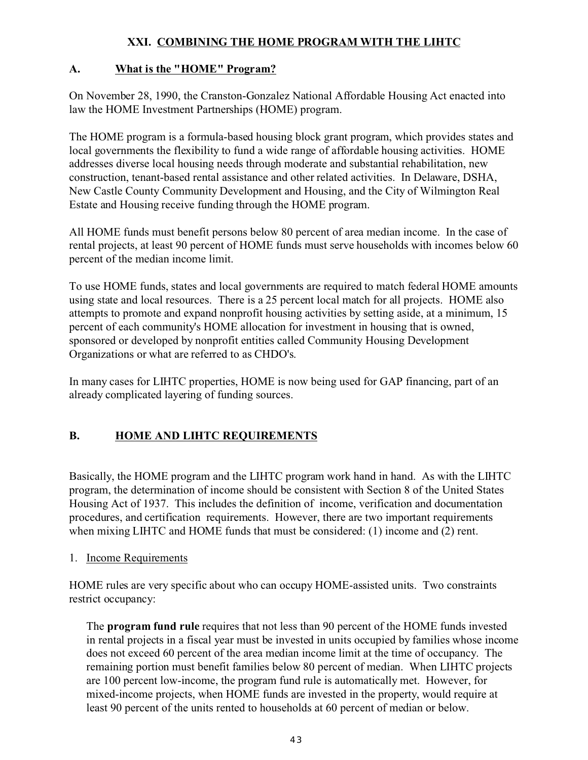# **XXI. COMBINING THE HOME PROGRAM WITH THE LIHTC**

# **A. What is the "HOME" Program?**

On November 28, 1990, the Cranston-Gonzalez National Affordable Housing Act enacted into law the HOME Investment Partnerships (HOME) program.

The HOME program is a formula-based housing block grant program, which provides states and local governments the flexibility to fund a wide range of affordable housing activities. HOME addresses diverse local housing needs through moderate and substantial rehabilitation, new construction, tenant-based rental assistance and other related activities. In Delaware, DSHA, New Castle County Community Development and Housing, and the City of Wilmington Real Estate and Housing receive funding through the HOME program.

All HOME funds must benefit persons below 80 percent of area median income. In the case of rental projects, at least 90 percent of HOME funds must serve households with incomes below 60 percent of the median income limit.

To use HOME funds, states and local governments are required to match federal HOME amounts using state and local resources. There is a 25 percent local match for all projects. HOME also attempts to promote and expand nonprofit housing activities by setting aside, at a minimum, 15 percent of each community's HOME allocation for investment in housing that is owned, sponsored or developed by nonprofit entities called Community Housing Development Organizations or what are referred to as CHDO's.

In many cases for LIHTC properties, HOME is now being used for GAP financing, part of an already complicated layering of funding sources.

# **B. HOME AND LIHTC REQUIREMENTS**

Basically, the HOME program and the LIHTC program work hand in hand. As with the LIHTC program, the determination of income should be consistent with Section 8 of the United States Housing Act of 1937. This includes the definition of income, verification and documentation procedures, and certification requirements. However, there are two important requirements when mixing LIHTC and HOME funds that must be considered: (1) income and (2) rent.

# 1. Income Requirements

HOME rules are very specific about who can occupy HOME-assisted units. Two constraints restrict occupancy:

The **program fund rule** requires that not less than 90 percent of the HOME funds invested in rental projects in a fiscal year must be invested in units occupied by families whose income does not exceed 60 percent of the area median income limit at the time of occupancy. The remaining portion must benefit families below 80 percent of median. When LIHTC projects are 100 percent low-income, the program fund rule is automatically met. However, for mixed-income projects, when HOME funds are invested in the property, would require at least 90 percent of the units rented to households at 60 percent of median or below.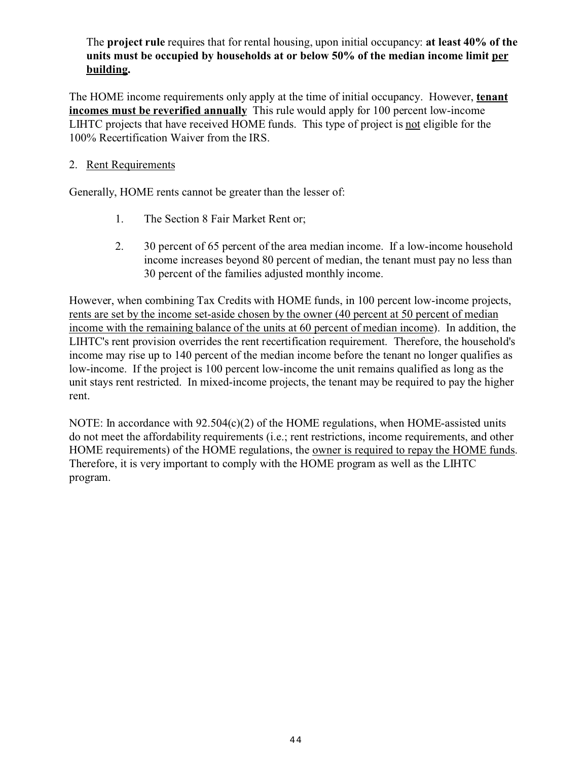## The **project rule** requires that for rental housing, upon initial occupancy: **at least 40% of the units must be occupied by households at or below 50% of the median income limit per building.**

The HOME income requirements only apply at the time of initial occupancy. However, **tenant incomes must be reverified annually** This rule would apply for 100 percent low-income LIHTC projects that have received HOME funds. This type of project is not eligible for the 100% Recertification Waiver from the IRS.

## 2. Rent Requirements

Generally, HOME rents cannot be greater than the lesser of:

- 1. The Section 8 Fair Market Rent or;
- 2. 30 percent of 65 percent of the area median income. If a low-income household income increases beyond 80 percent of median, the tenant must pay no less than 30 percent of the families adjusted monthly income.

However, when combining Tax Credits with HOME funds, in 100 percent low-income projects, rents are set by the income set-aside chosen by the owner (40 percent at 50 percent of median income with the remaining balance of the units at 60 percent of median income). In addition, the LIHTC's rent provision overrides the rent recertification requirement. Therefore, the household's income may rise up to 140 percent of the median income before the tenant no longer qualifies as low-income. If the project is 100 percent low-income the unit remains qualified as long as the unit stays rent restricted. In mixed-income projects, the tenant may be required to pay the higher rent.

NOTE: In accordance with 92.504(c)(2) of the HOME regulations, when HOME-assisted units do not meet the affordability requirements (i.e.; rent restrictions, income requirements, and other HOME requirements) of the HOME regulations, the owner is required to repay the HOME funds. Therefore, it is very important to comply with the HOME program as well as the LIHTC program.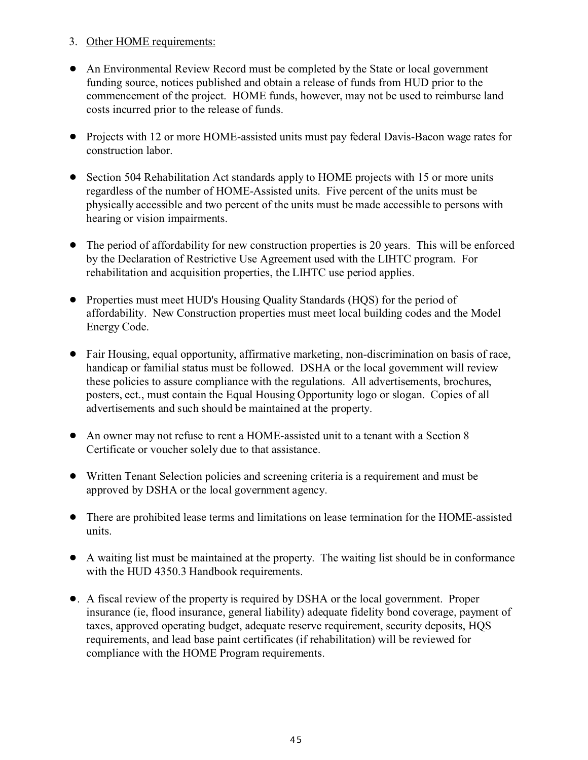- 3. Other HOME requirements:
- ! An Environmental Review Record must be completed by the State or local government funding source, notices published and obtain a release of funds from HUD prior to the commencement of the project. HOME funds, however, may not be used to reimburse land costs incurred prior to the release of funds.
- Projects with 12 or more HOME-assisted units must pay federal Davis-Bacon wage rates for construction labor.
- Section 504 Rehabilitation Act standards apply to HOME projects with 15 or more units regardless of the number of HOME-Assisted units. Five percent of the units must be physically accessible and two percent of the units must be made accessible to persons with hearing or vision impairments.
- The period of affordability for new construction properties is 20 years. This will be enforced by the Declaration of Restrictive Use Agreement used with the LIHTC program. For rehabilitation and acquisition properties, the LIHTC use period applies.
- ! Properties must meet HUD's Housing Quality Standards (HQS) for the period of affordability. New Construction properties must meet local building codes and the Model Energy Code.
- ! Fair Housing, equal opportunity, affirmative marketing, non-discrimination on basis of race, handicap or familial status must be followed. DSHA or the local government will review these policies to assure compliance with the regulations. All advertisements, brochures, posters, ect., must contain the Equal Housing Opportunity logo or slogan. Copies of all advertisements and such should be maintained at the property.
- ! An owner may not refuse to rent a HOME-assisted unit to a tenant with a Section 8 Certificate or voucher solely due to that assistance.
- ! Written Tenant Selection policies and screening criteria is a requirement and must be approved by DSHA or the local government agency.
- ! There are prohibited lease terms and limitations on lease termination for the HOME-assisted units.
- ! A waiting list must be maintained at the property. The waiting list should be in conformance with the HUD 4350.3 Handbook requirements.
- !. A fiscal review of the property is required by DSHA or the local government. Proper insurance (ie, flood insurance, general liability) adequate fidelity bond coverage, payment of taxes, approved operating budget, adequate reserve requirement, security deposits, HQS requirements, and lead base paint certificates (if rehabilitation) will be reviewed for compliance with the HOME Program requirements.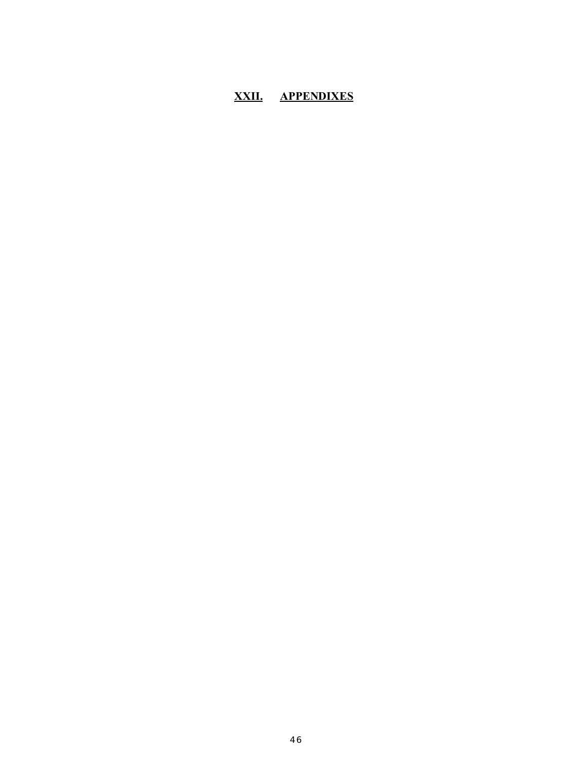# **XXII. APPENDIXES**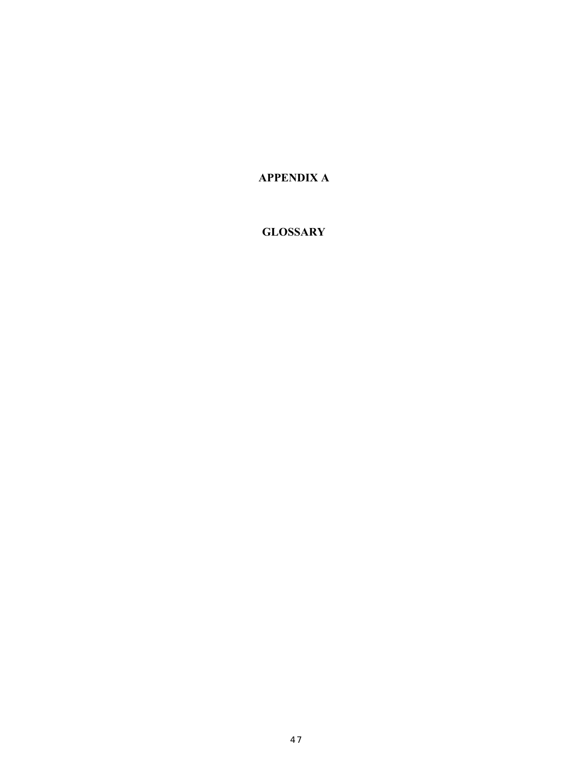**APPENDIX A**

## **GLOSSARY**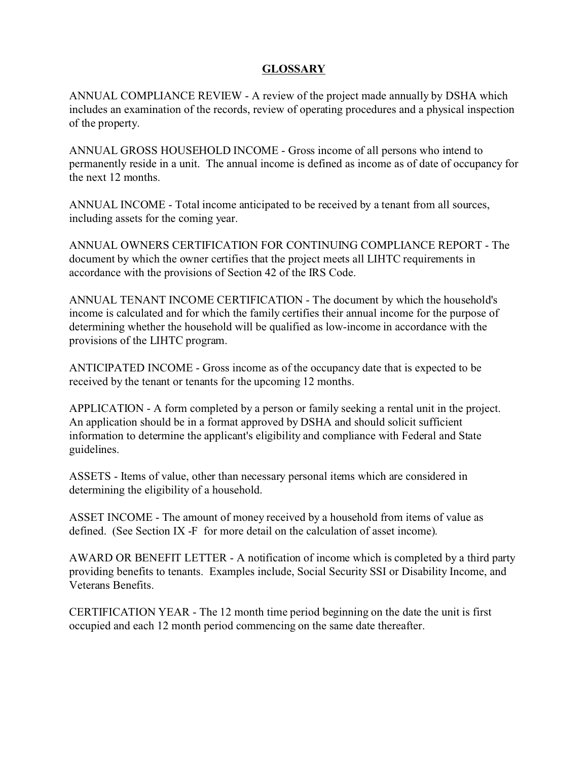## **GLOSSARY**

ANNUAL COMPLIANCE REVIEW - A review of the project made annually by DSHA which includes an examination of the records, review of operating procedures and a physical inspection of the property.

ANNUAL GROSS HOUSEHOLD INCOME - Gross income of all persons who intend to permanently reside in a unit. The annual income is defined as income as of date of occupancy for the next 12 months.

ANNUAL INCOME - Total income anticipated to be received by a tenant from all sources, including assets for the coming year.

ANNUAL OWNERS CERTIFICATION FOR CONTINUING COMPLIANCE REPORT - The document by which the owner certifies that the project meets all LIHTC requirements in accordance with the provisions of Section 42 of the IRS Code.

ANNUAL TENANT INCOME CERTIFICATION - The document by which the household's income is calculated and for which the family certifies their annual income for the purpose of determining whether the household will be qualified as low-income in accordance with the provisions of the LIHTC program.

ANTICIPATED INCOME - Gross income as of the occupancy date that is expected to be received by the tenant or tenants for the upcoming 12 months.

APPLICATION - A form completed by a person or family seeking a rental unit in the project. An application should be in a format approved by DSHA and should solicit sufficient information to determine the applicant's eligibility and compliance with Federal and State guidelines.

ASSETS - Items of value, other than necessary personal items which are considered in determining the eligibility of a household.

ASSET INCOME - The amount of money received by a household from items of value as defined. (See Section IX -F for more detail on the calculation of asset income).

AWARD OR BENEFIT LETTER - A notification of income which is completed by a third party providing benefits to tenants. Examples include, Social Security SSI or Disability Income, and Veterans Benefits.

CERTIFICATION YEAR - The 12 month time period beginning on the date the unit is first occupied and each 12 month period commencing on the same date thereafter.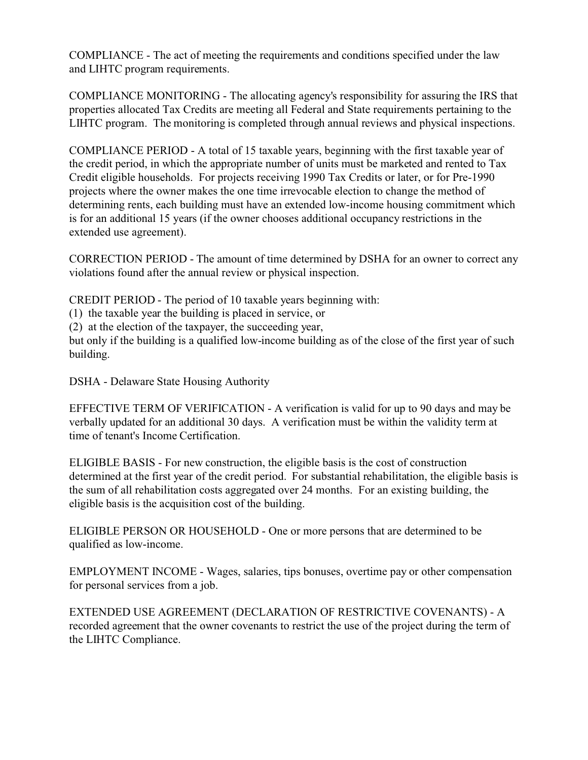COMPLIANCE - The act of meeting the requirements and conditions specified under the law and LIHTC program requirements.

COMPLIANCE MONITORING - The allocating agency's responsibility for assuring the IRS that properties allocated Tax Credits are meeting all Federal and State requirements pertaining to the LIHTC program. The monitoring is completed through annual reviews and physical inspections.

COMPLIANCE PERIOD - A total of 15 taxable years, beginning with the first taxable year of the credit period, in which the appropriate number of units must be marketed and rented to Tax Credit eligible households. For projects receiving 1990 Tax Credits or later, or for Pre-1990 projects where the owner makes the one time irrevocable election to change the method of determining rents, each building must have an extended low-income housing commitment which is for an additional 15 years (if the owner chooses additional occupancy restrictions in the extended use agreement).

CORRECTION PERIOD - The amount of time determined by DSHA for an owner to correct any violations found after the annual review or physical inspection.

CREDIT PERIOD - The period of 10 taxable years beginning with:

(1) the taxable year the building is placed in service, or

(2) at the election of the taxpayer, the succeeding year,

but only if the building is a qualified low-income building as of the close of the first year of such building.

DSHA - Delaware State Housing Authority

EFFECTIVE TERM OF VERIFICATION - A verification is valid for up to 90 days and may be verbally updated for an additional 30 days. A verification must be within the validity term at time of tenant's Income Certification.

ELIGIBLE BASIS - For new construction, the eligible basis is the cost of construction determined at the first year of the credit period. For substantial rehabilitation, the eligible basis is the sum of all rehabilitation costs aggregated over 24 months. For an existing building, the eligible basis is the acquisition cost of the building.

ELIGIBLE PERSON OR HOUSEHOLD - One or more persons that are determined to be qualified as low-income.

EMPLOYMENT INCOME - Wages, salaries, tips bonuses, overtime pay or other compensation for personal services from a job.

EXTENDED USE AGREEMENT (DECLARATION OF RESTRICTIVE COVENANTS) - A recorded agreement that the owner covenants to restrict the use of the project during the term of the LIHTC Compliance.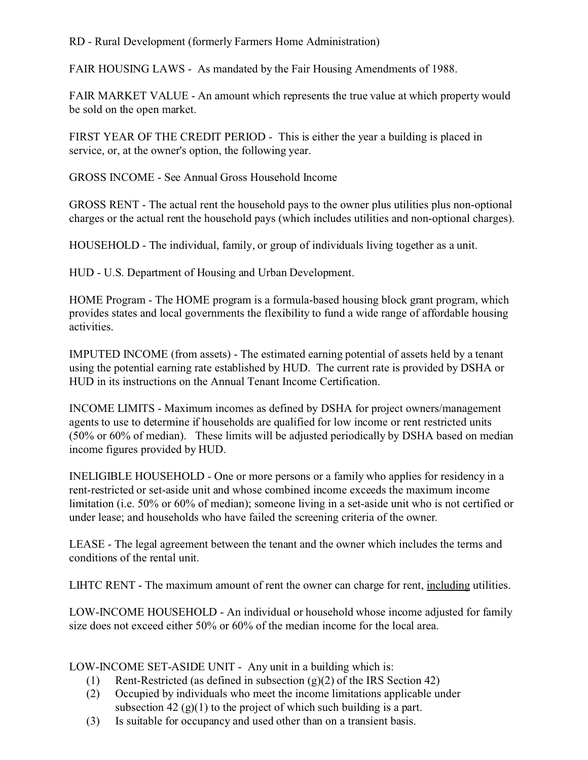## RD - Rural Development (formerly Farmers Home Administration)

FAIR HOUSING LAWS - As mandated by the Fair Housing Amendments of 1988.

FAIR MARKET VALUE - An amount which represents the true value at which property would be sold on the open market.

FIRST YEAR OF THE CREDIT PERIOD - This is either the year a building is placed in service, or, at the owner's option, the following year.

GROSS INCOME - See Annual Gross Household Income

GROSS RENT - The actual rent the household pays to the owner plus utilities plus non-optional charges or the actual rent the household pays (which includes utilities and non-optional charges).

HOUSEHOLD - The individual, family, or group of individuals living together as a unit.

HUD - U.S. Department of Housing and Urban Development.

HOME Program - The HOME program is a formula-based housing block grant program, which provides states and local governments the flexibility to fund a wide range of affordable housing activities.

IMPUTED INCOME (from assets) - The estimated earning potential of assets held by a tenant using the potential earning rate established by HUD. The current rate is provided by DSHA or HUD in its instructions on the Annual Tenant Income Certification.

INCOME LIMITS - Maximum incomes as defined by DSHA for project owners/management agents to use to determine if households are qualified for low income or rent restricted units (50% or 60% of median). These limits will be adjusted periodically by DSHA based on median income figures provided by HUD.

INELIGIBLE HOUSEHOLD - One or more persons or a family who applies for residency in a rent-restricted or set-aside unit and whose combined income exceeds the maximum income limitation (i.e. 50% or 60% of median); someone living in a set-aside unit who is not certified or under lease; and households who have failed the screening criteria of the owner.

LEASE - The legal agreement between the tenant and the owner which includes the terms and conditions of the rental unit.

LIHTC RENT - The maximum amount of rent the owner can charge for rent, including utilities.

LOW-INCOME HOUSEHOLD - An individual or household whose income adjusted for family size does not exceed either 50% or 60% of the median income for the local area.

LOW-INCOME SET-ASIDE UNIT - Any unit in a building which is:

- (1) Rent-Restricted (as defined in subsection  $(g)(2)$  of the IRS Section 42)
- (2) Occupied by individuals who meet the income limitations applicable under subsection 42  $(g)(1)$  to the project of which such building is a part.
- (3) Is suitable for occupancy and used other than on a transient basis.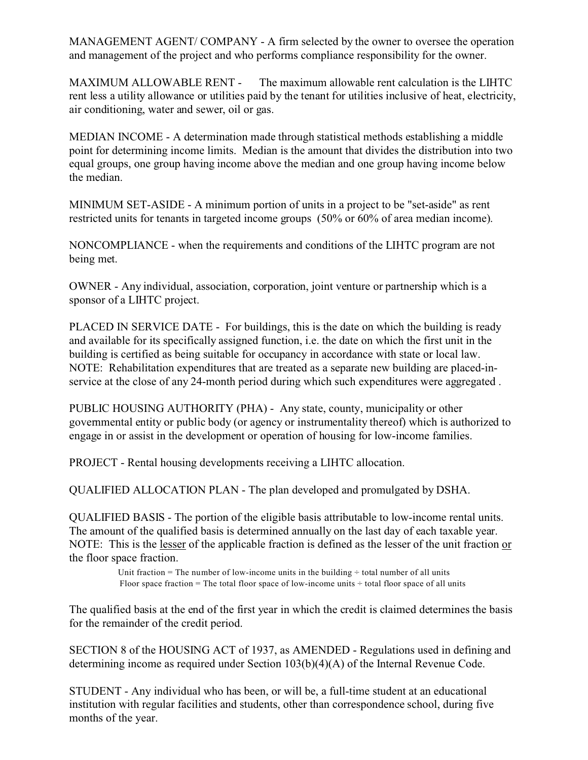MANAGEMENT AGENT/ COMPANY - A firm selected by the owner to oversee the operation and management of the project and who performs compliance responsibility for the owner.

MAXIMUM ALLOWABLE RENT - The maximum allowable rent calculation is the LIHTC rent less a utility allowance or utilities paid by the tenant for utilities inclusive of heat, electricity, air conditioning, water and sewer, oil or gas.

MEDIAN INCOME - A determination made through statistical methods establishing a middle point for determining income limits. Median is the amount that divides the distribution into two equal groups, one group having income above the median and one group having income below the median.

MINIMUM SET-ASIDE - A minimum portion of units in a project to be "set-aside" as rent restricted units for tenants in targeted income groups (50% or 60% of area median income).

NONCOMPLIANCE - when the requirements and conditions of the LIHTC program are not being met.

OWNER - Any individual, association, corporation, joint venture or partnership which is a sponsor of a LIHTC project.

PLACED IN SERVICE DATE - For buildings, this is the date on which the building is ready and available for its specifically assigned function, i.e. the date on which the first unit in the building is certified as being suitable for occupancy in accordance with state or local law. NOTE: Rehabilitation expenditures that are treated as a separate new building are placed-inservice at the close of any 24-month period during which such expenditures were aggregated .

PUBLIC HOUSING AUTHORITY (PHA) - Any state, county, municipality or other governmental entity or public body (or agency or instrumentality thereof) which is authorized to engage in or assist in the development or operation of housing for low-income families.

PROJECT - Rental housing developments receiving a LIHTC allocation.

QUALIFIED ALLOCATION PLAN - The plan developed and promulgated by DSHA.

QUALIFIED BASIS - The portion of the eligible basis attributable to low-income rental units. The amount of the qualified basis is determined annually on the last day of each taxable year. NOTE: This is the lesser of the applicable fraction is defined as the lesser of the unit fraction or the floor space fraction.

> Unit fraction = The number of low-income units in the building  $\div$  total number of all units Floor space fraction = The total floor space of low-income units  $\div$  total floor space of all units

The qualified basis at the end of the first year in which the credit is claimed determines the basis for the remainder of the credit period.

SECTION 8 of the HOUSING ACT of 1937, as AMENDED - Regulations used in defining and determining income as required under Section 103(b)(4)(A) of the Internal Revenue Code.

STUDENT - Any individual who has been, or will be, a full-time student at an educational institution with regular facilities and students, other than correspondence school, during five months of the year.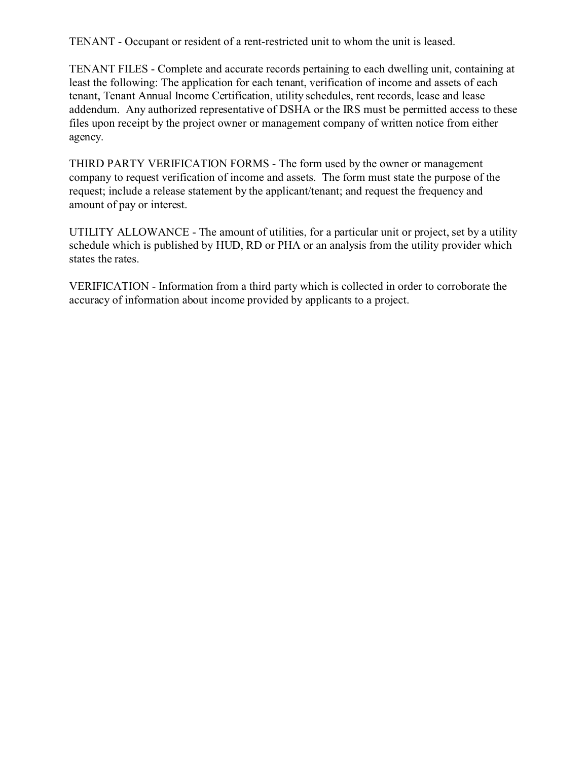TENANT - Occupant or resident of a rent-restricted unit to whom the unit is leased.

TENANT FILES - Complete and accurate records pertaining to each dwelling unit, containing at least the following: The application for each tenant, verification of income and assets of each tenant, Tenant Annual Income Certification, utility schedules, rent records, lease and lease addendum. Any authorized representative of DSHA or the IRS must be permitted access to these files upon receipt by the project owner or management company of written notice from either agency.

THIRD PARTY VERIFICATION FORMS - The form used by the owner or management company to request verification of income and assets. The form must state the purpose of the request; include a release statement by the applicant/tenant; and request the frequency and amount of pay or interest.

UTILITY ALLOWANCE - The amount of utilities, for a particular unit or project, set by a utility schedule which is published by HUD, RD or PHA or an analysis from the utility provider which states the rates.

VERIFICATION - Information from a third party which is collected in order to corroborate the accuracy of information about income provided by applicants to a project.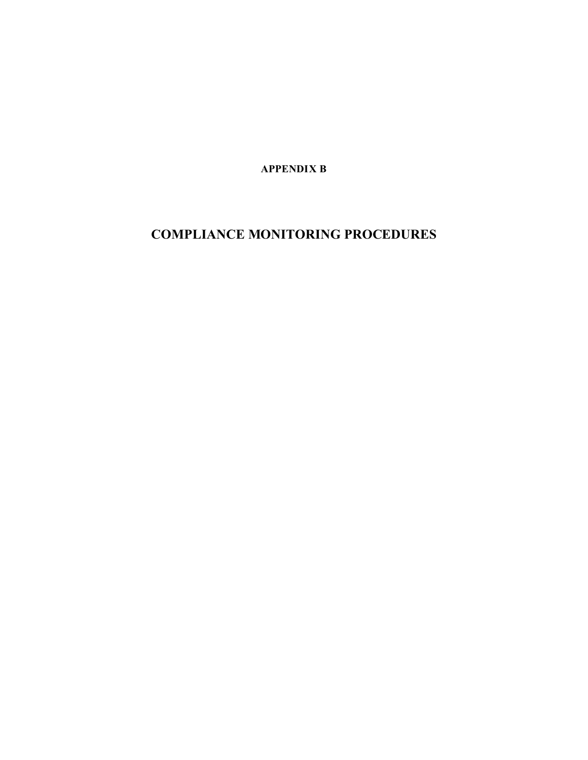**APPENDIX B**

# **COMPLIANCE MONITORING PROCEDURES**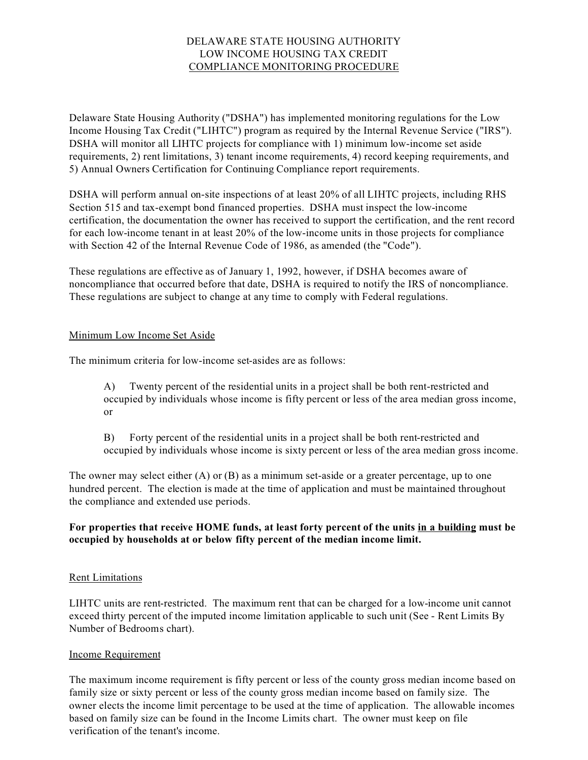#### DELAWARE STATE HOUSING AUTHORITY LOW INCOME HOUSING TAX CREDIT COMPLIANCE MONITORING PROCEDURE

Delaware State Housing Authority ("DSHA") has implemented monitoring regulations for the Low Income Housing Tax Credit ("LIHTC") program as required by the Internal Revenue Service ("IRS"). DSHA will monitor all LIHTC projects for compliance with 1) minimum low-income set aside requirements, 2) rent limitations, 3) tenant income requirements, 4) record keeping requirements, and 5) Annual Owners Certification for Continuing Compliance report requirements.

DSHA will perform annual on-site inspections of at least 20% of all LIHTC projects, including RHS Section 515 and tax-exempt bond financed properties. DSHA must inspect the low-income certification, the documentation the owner has received to support the certification, and the rent record for each low-income tenant in at least 20% of the low-income units in those projects for compliance with Section 42 of the Internal Revenue Code of 1986, as amended (the "Code").

These regulations are effective as of January 1, 1992, however, if DSHA becomes aware of noncompliance that occurred before that date, DSHA is required to notify the IRS of noncompliance. These regulations are subject to change at any time to comply with Federal regulations.

#### Minimum Low Income Set Aside

The minimum criteria for low-income set-asides are as follows:

A) Twenty percent of the residential units in a project shall be both rent-restricted and occupied by individuals whose income is fifty percent or less of the area median gross income, or

B) Forty percent of the residential units in a project shall be both rent-restricted and occupied by individuals whose income is sixty percent or less of the area median gross income.

The owner may select either (A) or (B) as a minimum set-aside or a greater percentage, up to one hundred percent. The election is made at the time of application and must be maintained throughout the compliance and extended use periods.

#### **For properties that receive HOME funds, at least forty percent of the units in a building must be occupied by households at or below fifty percent of the median income limit.**

#### Rent Limitations

LIHTC units are rent-restricted. The maximum rent that can be charged for a low-income unit cannot exceed thirty percent of the imputed income limitation applicable to such unit (See - Rent Limits By Number of Bedrooms chart).

#### Income Requirement

The maximum income requirement is fifty percent or less of the county gross median income based on family size or sixty percent or less of the county gross median income based on family size. The owner elects the income limit percentage to be used at the time of application. The allowable incomes based on family size can be found in the Income Limits chart. The owner must keep on file verification of the tenant's income.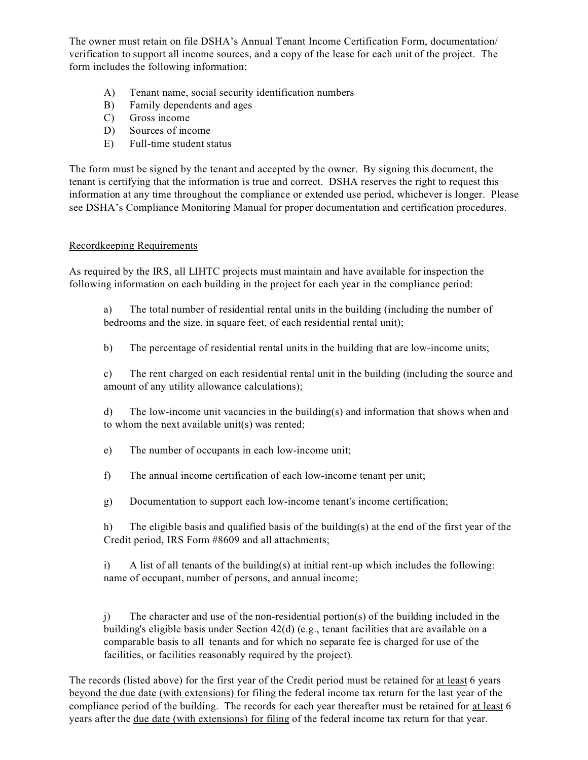The owner must retain on file DSHA's Annual Tenant Income Certification Form, documentation/ verification to support all income sources, and a copy of the lease for each unit of the project. The form includes the following information:

- A) Tenant name, social security identification numbers
- B) Family dependents and ages
- C) Gross income
- D) Sources of income
- E) Full-time student status

The form must be signed by the tenant and accepted by the owner. By signing this document, the tenant is certifying that the information is true and correct. DSHA reserves the right to request this information at any time throughout the compliance or extended use period, whichever is longer. Please see DSHA's Compliance Monitoring Manual for proper documentation and certification procedures.

#### Recordkeeping Requirements

As required by the IRS, all LIHTC projects must maintain and have available for inspection the following information on each building in the project for each year in the compliance period:

a) The total number of residential rental units in the building (including the number of bedrooms and the size, in square feet, of each residential rental unit);

b) The percentage of residential rental units in the building that are low-income units;

c) The rent charged on each residential rental unit in the building (including the source and amount of any utility allowance calculations);

d) The low-income unit vacancies in the building(s) and information that shows when and to whom the next available unit(s) was rented;

e) The number of occupants in each low-income unit;

f) The annual income certification of each low-income tenant per unit;

g) Documentation to support each low-income tenant's income certification;

h) The eligible basis and qualified basis of the building(s) at the end of the first year of the Credit period, IRS Form #8609 and all attachments;

i) A list of all tenants of the building(s) at initial rent-up which includes the following: name of occupant, number of persons, and annual income;

j) The character and use of the non-residential portion(s) of the building included in the building's eligible basis under Section 42(d) (e.g., tenant facilities that are available on a comparable basis to all tenants and for which no separate fee is charged for use of the facilities, or facilities reasonably required by the project).

The records (listed above) for the first year of the Credit period must be retained for at least 6 years beyond the due date (with extensions) for filing the federal income tax return for the last year of the compliance period of the building. The records for each year thereafter must be retained for at least 6 years after the due date (with extensions) for filing of the federal income tax return for that year.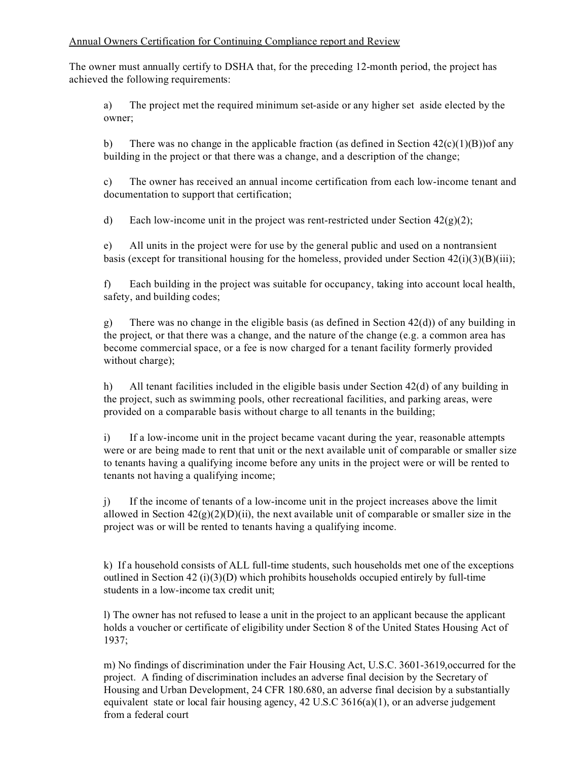#### Annual Owners Certification for Continuing Compliance report and Review

The owner must annually certify to DSHA that, for the preceding 12-month period, the project has achieved the following requirements:

a) The project met the required minimum set-aside or any higher set aside elected by the owner;

b) There was no change in the applicable fraction (as defined in Section  $42(c)(1)(B)$ ) of any building in the project or that there was a change, and a description of the change;

c) The owner has received an annual income certification from each low-income tenant and documentation to support that certification;

d) Each low-income unit in the project was rent-restricted under Section  $42(g)(2)$ ;

e) All units in the project were for use by the general public and used on a nontransient basis (except for transitional housing for the homeless, provided under Section  $42(i)(3)(B)(iii)$ ;

f) Each building in the project was suitable for occupancy, taking into account local health, safety, and building codes;

g) There was no change in the eligible basis (as defined in Section  $42(d)$ ) of any building in the project, or that there was a change, and the nature of the change (e.g. a common area has become commercial space, or a fee is now charged for a tenant facility formerly provided without charge);

h) All tenant facilities included in the eligible basis under Section 42(d) of any building in the project, such as swimming pools, other recreational facilities, and parking areas, were provided on a comparable basis without charge to all tenants in the building;

i) If a low-income unit in the project became vacant during the year, reasonable attempts were or are being made to rent that unit or the next available unit of comparable or smaller size to tenants having a qualifying income before any units in the project were or will be rented to tenants not having a qualifying income;

j) If the income of tenants of a low-income unit in the project increases above the limit allowed in Section  $42(g)(2)(D)(ii)$ , the next available unit of comparable or smaller size in the project was or will be rented to tenants having a qualifying income.

k) If a household consists of ALL full-time students, such households met one of the exceptions outlined in Section 42 (i)(3)(D) which prohibits households occupied entirely by full-time students in a low-income tax credit unit;

l) The owner has not refused to lease a unit in the project to an applicant because the applicant holds a voucher or certificate of eligibility under Section 8 of the United States Housing Act of 1937;

m) No findings of discrimination under the Fair Housing Act, U.S.C. 3601-3619,occurred for the project. A finding of discrimination includes an adverse final decision by the Secretary of Housing and Urban Development, 24 CFR 180.680, an adverse final decision by a substantially equivalent state or local fair housing agency, 42 U.S.C 3616(a)(1), or an adverse judgement from a federal court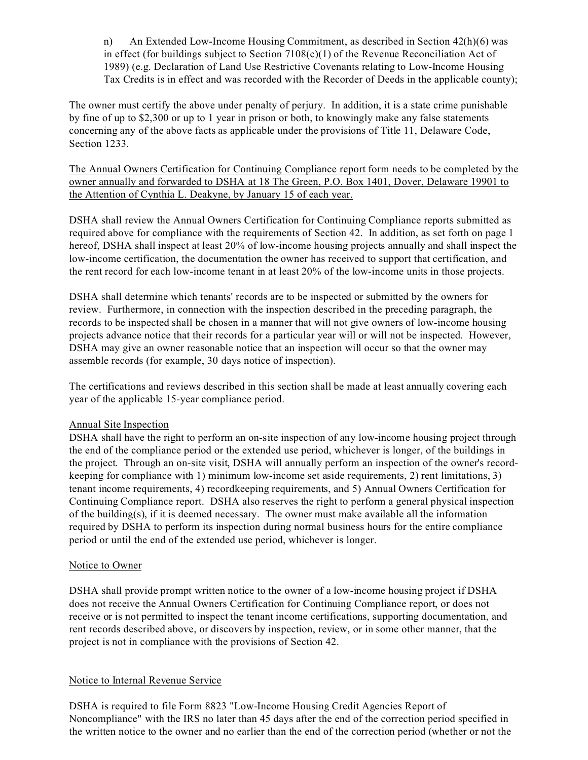n) An Extended Low-Income Housing Commitment, as described in Section 42(h)(6) was in effect (for buildings subject to Section  $7108(c)(1)$  of the Revenue Reconciliation Act of 1989) (e.g. Declaration of Land Use Restrictive Covenants relating to Low-Income Housing Tax Credits is in effect and was recorded with the Recorder of Deeds in the applicable county);

The owner must certify the above under penalty of perjury. In addition, it is a state crime punishable by fine of up to \$2,300 or up to 1 year in prison or both, to knowingly make any false statements concerning any of the above facts as applicable under the provisions of Title 11, Delaware Code, Section 1233.

The Annual Owners Certification for Continuing Compliance report form needs to be completed by the owner annually and forwarded to DSHA at 18 The Green, P.O. Box 1401, Dover, Delaware 19901 to the Attention of Cynthia L. Deakyne, by January 15 of each year.

DSHA shall review the Annual Owners Certification for Continuing Compliance reports submitted as required above for compliance with the requirements of Section 42. In addition, as set forth on page 1 hereof, DSHA shall inspect at least 20% of low-income housing projects annually and shall inspect the low-income certification, the documentation the owner has received to support that certification, and the rent record for each low-income tenant in at least 20% of the low-income units in those projects.

DSHA shall determine which tenants' records are to be inspected or submitted by the owners for review. Furthermore, in connection with the inspection described in the preceding paragraph, the records to be inspected shall be chosen in a manner that will not give owners of low-income housing projects advance notice that their records for a particular year will or will not be inspected. However, DSHA may give an owner reasonable notice that an inspection will occur so that the owner may assemble records (for example, 30 days notice of inspection).

The certifications and reviews described in this section shall be made at least annually covering each year of the applicable 15-year compliance period.

#### Annual Site Inspection

DSHA shall have the right to perform an on-site inspection of any low-income housing project through the end of the compliance period or the extended use period, whichever is longer, of the buildings in the project. Through an on-site visit, DSHA will annually perform an inspection of the owner's recordkeeping for compliance with 1) minimum low-income set aside requirements, 2) rent limitations, 3) tenant income requirements, 4) recordkeeping requirements, and 5) Annual Owners Certification for Continuing Compliance report. DSHA also reserves the right to perform a general physical inspection of the building(s), if it is deemed necessary. The owner must make available all the information required by DSHA to perform its inspection during normal business hours for the entire compliance period or until the end of the extended use period, whichever is longer.

#### Notice to Owner

DSHA shall provide prompt written notice to the owner of a low-income housing project if DSHA does not receive the Annual Owners Certification for Continuing Compliance report, or does not receive or is not permitted to inspect the tenant income certifications, supporting documentation, and rent records described above, or discovers by inspection, review, or in some other manner, that the project is not in compliance with the provisions of Section 42.

#### Notice to Internal Revenue Service

DSHA is required to file Form 8823 "Low-Income Housing Credit Agencies Report of Noncompliance" with the IRS no later than 45 days after the end of the correction period specified in the written notice to the owner and no earlier than the end of the correction period (whether or not the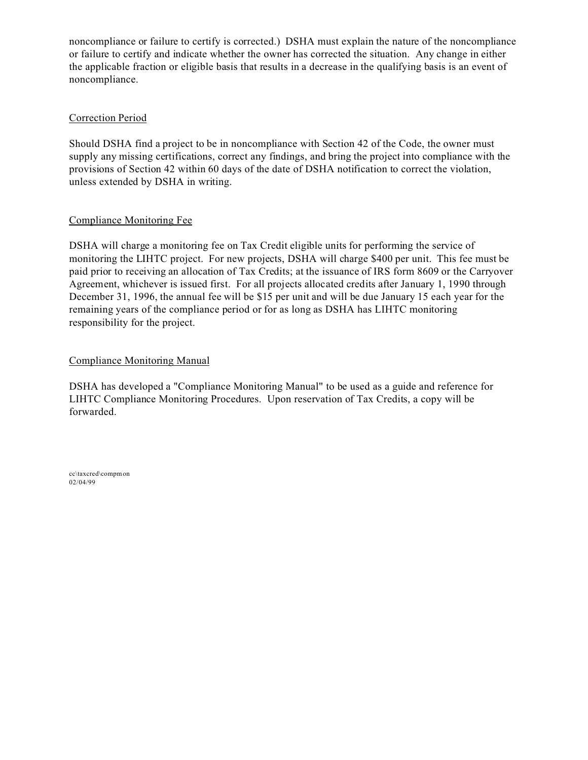noncompliance or failure to certify is corrected.) DSHA must explain the nature of the noncompliance or failure to certify and indicate whether the owner has corrected the situation. Any change in either the applicable fraction or eligible basis that results in a decrease in the qualifying basis is an event of noncompliance.

#### Correction Period

Should DSHA find a project to be in noncompliance with Section 42 of the Code, the owner must supply any missing certifications, correct any findings, and bring the project into compliance with the provisions of Section 42 within 60 days of the date of DSHA notification to correct the violation, unless extended by DSHA in writing.

#### Compliance Monitoring Fee

DSHA will charge a monitoring fee on Tax Credit eligible units for performing the service of monitoring the LIHTC project. For new projects, DSHA will charge \$400 per unit. This fee must be paid prior to receiving an allocation of Tax Credits; at the issuance of IRS form 8609 or the Carryover Agreement, whichever is issued first. For all projects allocated credits after January 1, 1990 through December 31, 1996, the annual fee will be \$15 per unit and will be due January 15 each year for the remaining years of the compliance period or for as long as DSHA has LIHTC monitoring responsibility for the project.

#### Compliance Monitoring Manual

DSHA has developed a "Compliance Monitoring Manual" to be used as a guide and reference for LIHTC Compliance Monitoring Procedures. Upon reservation of Tax Credits, a copy will be forwarded.

cc\taxcred\compmon 02/04/99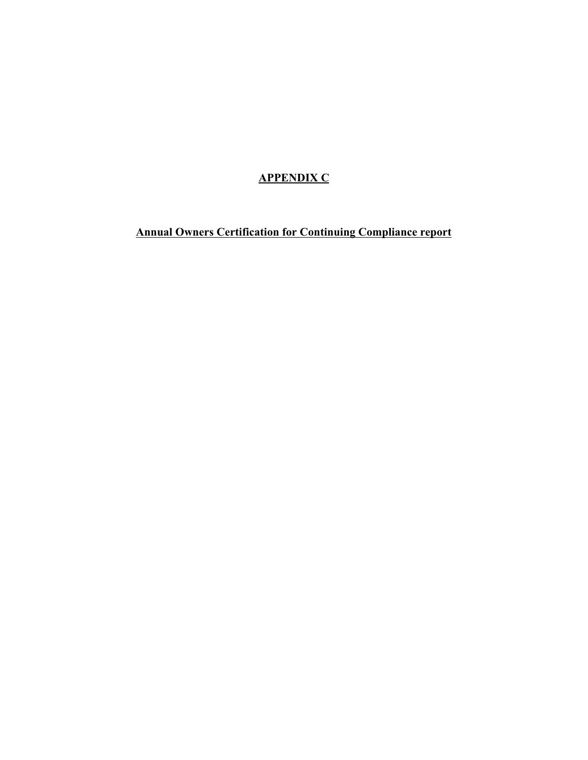# **APPENDIX C**

**Annual Owners Certification for Continuing Compliance report**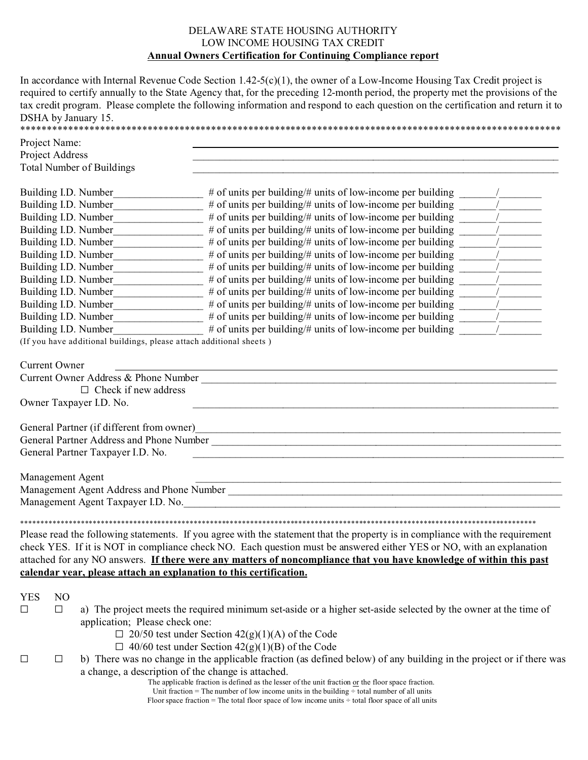#### DELAWARE STATE HOUSING AUTHORITY LOW INCOME HOUSING TAX CREDIT **Annual Owners Certification for Continuing Compliance report**

In accordance with Internal Revenue Code Section 1.42-5(c)(1), the owner of a Low-Income Housing Tax Credit project is required to certify annually to the State Agency that, for the preceding 12-month period, the property met the provisions of the tax credit program. Please complete the following information and respond to each question on the certification and return it to DSHA by January 15.

| Project Name:                |                                                                                                                               |                                                                                                                                                                                                                                                                                                                                                                              |  |  |  |
|------------------------------|-------------------------------------------------------------------------------------------------------------------------------|------------------------------------------------------------------------------------------------------------------------------------------------------------------------------------------------------------------------------------------------------------------------------------------------------------------------------------------------------------------------------|--|--|--|
| Project Address              |                                                                                                                               |                                                                                                                                                                                                                                                                                                                                                                              |  |  |  |
|                              | <b>Total Number of Buildings</b>                                                                                              |                                                                                                                                                                                                                                                                                                                                                                              |  |  |  |
|                              | Building I.D. Number                                                                                                          |                                                                                                                                                                                                                                                                                                                                                                              |  |  |  |
|                              | Building I.D. Number                                                                                                          |                                                                                                                                                                                                                                                                                                                                                                              |  |  |  |
|                              |                                                                                                                               | # of units per building/# units of low-income per building ______                                                                                                                                                                                                                                                                                                            |  |  |  |
|                              |                                                                                                                               |                                                                                                                                                                                                                                                                                                                                                                              |  |  |  |
|                              |                                                                                                                               | Building I.D. Number_____________________# of units per building/# units of low-income per building ______                                                                                                                                                                                                                                                                   |  |  |  |
|                              |                                                                                                                               |                                                                                                                                                                                                                                                                                                                                                                              |  |  |  |
|                              |                                                                                                                               | Building I.D. Number___________________# of units per building/# units of low-income per building _______                                                                                                                                                                                                                                                                    |  |  |  |
|                              |                                                                                                                               | Building I.D. Number___________________# of units per building/# units of low-income per building _______                                                                                                                                                                                                                                                                    |  |  |  |
|                              |                                                                                                                               |                                                                                                                                                                                                                                                                                                                                                                              |  |  |  |
|                              |                                                                                                                               | Building I.D. Number________________# of units per building/# units of low-income per building ______                                                                                                                                                                                                                                                                        |  |  |  |
|                              |                                                                                                                               |                                                                                                                                                                                                                                                                                                                                                                              |  |  |  |
|                              |                                                                                                                               |                                                                                                                                                                                                                                                                                                                                                                              |  |  |  |
|                              |                                                                                                                               | Building I.D. Number____________________# of units per building/# units of low-income per building _______                                                                                                                                                                                                                                                                   |  |  |  |
|                              | (If you have additional buildings, please attach additional sheets)                                                           |                                                                                                                                                                                                                                                                                                                                                                              |  |  |  |
| <b>Current Owner</b>         |                                                                                                                               |                                                                                                                                                                                                                                                                                                                                                                              |  |  |  |
|                              |                                                                                                                               |                                                                                                                                                                                                                                                                                                                                                                              |  |  |  |
|                              | $\Box$ Check if new address                                                                                                   |                                                                                                                                                                                                                                                                                                                                                                              |  |  |  |
|                              | Owner Taxpayer I.D. No.                                                                                                       |                                                                                                                                                                                                                                                                                                                                                                              |  |  |  |
|                              | General Partner Taxpayer I.D. No.                                                                                             | <u> 1989 - Johann Stoff, amerikansk politiker (d. 1989)</u>                                                                                                                                                                                                                                                                                                                  |  |  |  |
| Management Agent             |                                                                                                                               | <u> 1989 - Johann Barbara, margaret eta idazlearia (h. 1989).</u>                                                                                                                                                                                                                                                                                                            |  |  |  |
|                              |                                                                                                                               |                                                                                                                                                                                                                                                                                                                                                                              |  |  |  |
|                              | calendar year, please attach an explanation to this certification.                                                            | Please read the following statements. If you agree with the statement that the property is in compliance with the requirement<br>check YES. If it is NOT in compliance check NO. Each question must be answered either YES or NO, with an explanation<br>attached for any NO answers. If there were any matters of noncompliance that you have knowledge of within this past |  |  |  |
| <b>YES</b><br>N <sub>O</sub> |                                                                                                                               |                                                                                                                                                                                                                                                                                                                                                                              |  |  |  |
| $\Box$<br>$\Box$             |                                                                                                                               | a) The project meets the required minimum set-aside or a higher set-aside selected by the owner at the time of                                                                                                                                                                                                                                                               |  |  |  |
|                              | application; Please check one:                                                                                                |                                                                                                                                                                                                                                                                                                                                                                              |  |  |  |
|                              |                                                                                                                               | $\Box$ 20/50 test under Section 42(g)(1)(A) of the Code                                                                                                                                                                                                                                                                                                                      |  |  |  |
|                              | $\Box$ 40/60 test under Section 42(g)(1)(B) of the Code                                                                       |                                                                                                                                                                                                                                                                                                                                                                              |  |  |  |
| $\Box$                       | b) There was no change in the applicable fraction (as defined below) of any building in the project or if there was<br>$\Box$ |                                                                                                                                                                                                                                                                                                                                                                              |  |  |  |
|                              |                                                                                                                               | a change, a description of the change is attached.<br>The applicable fraction is defined as the lesser of the unit fraction or the floor space fraction.                                                                                                                                                                                                                     |  |  |  |
|                              |                                                                                                                               | Unit fraction = The number of low income units in the building $\div$ total number of all units<br>Floor space fraction = The total floor space of low income units $\div$ total floor space of all units                                                                                                                                                                    |  |  |  |
|                              |                                                                                                                               |                                                                                                                                                                                                                                                                                                                                                                              |  |  |  |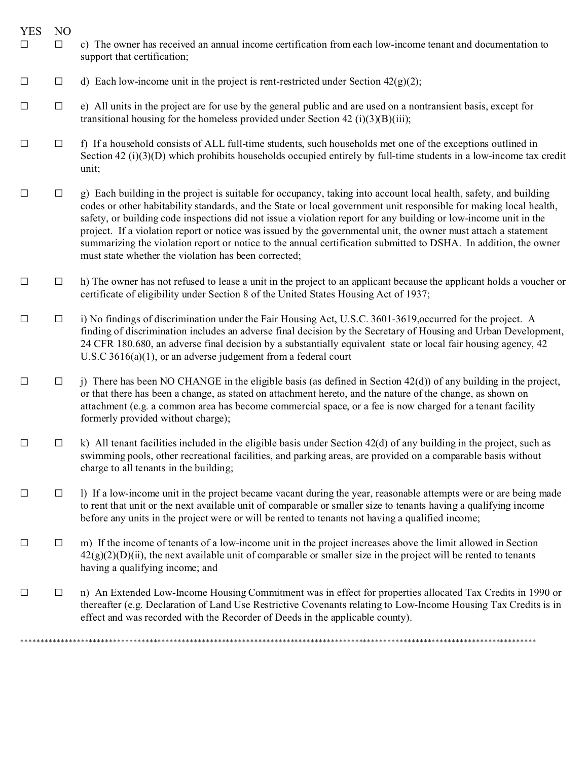- YES NO
- G G C) The owner has received an annual income certification from each low-income tenant and documentation to support that certification;
- $\Box$  d) Each low-income unit in the project is rent-restricted under Section 42(g)(2);
- $\Box$  e) All units in the project are for use by the general public and are used on a nontransient basis, except for transitional housing for the homeless provided under Section 42 (i)(3)(B)(iii);
- $\Box$  f) If a household consists of ALL full-time students, such households met one of the exceptions outlined in Section 42 (i)(3)(D) which prohibits households occupied entirely by full-time students in a low-income tax credit unit;
- $\Box$  g) Each building in the project is suitable for occupancy, taking into account local health, safety, and building codes or other habitability standards, and the State or local government unit responsible for making local health, safety, or building code inspections did not issue a violation report for any building or low-income unit in the project. If a violation report or notice was issued by the governmental unit, the owner must attach a statement summarizing the violation report or notice to the annual certification submitted to DSHA. In addition, the owner must state whether the violation has been corrected;
- $\Box$  h) The owner has not refused to lease a unit in the project to an applicant because the applicant holds a voucher or certificate of eligibility under Section 8 of the United States Housing Act of 1937;
- $\Box$  i) No findings of discrimination under the Fair Housing Act, U.S.C. 3601-3619, occurred for the project. A finding of discrimination includes an adverse final decision by the Secretary of Housing and Urban Development, 24 CFR 180.680, an adverse final decision by a substantially equivalent state or local fair housing agency, 42 U.S.C 3616(a)(1), or an adverse judgement from a federal court
- $\Box$  j) There has been NO CHANGE in the eligible basis (as defined in Section 42(d)) of any building in the project, or that there has been a change, as stated on attachment hereto, and the nature of the change, as shown on attachment (e.g. a common area has become commercial space, or a fee is now charged for a tenant facility formerly provided without charge);
- $\Box$  k) All tenant facilities included in the eligible basis under Section 42(d) of any building in the project, such as swimming pools, other recreational facilities, and parking areas, are provided on a comparable basis without charge to all tenants in the building;
- $\Box$  I) If a low-income unit in the project became vacant during the year, reasonable attempts were or are being made to rent that unit or the next available unit of comparable or smaller size to tenants having a qualifying income before any units in the project were or will be rented to tenants not having a qualified income;
- $\Box$  m) If the income of tenants of a low-income unit in the project increases above the limit allowed in Section  $42(g)(2)(D)(ii)$ , the next available unit of comparable or smaller size in the project will be rented to tenants having a qualifying income; and
- $\Box$  n) An Extended Low-Income Housing Commitment was in effect for properties allocated Tax Credits in 1990 or thereafter (e.g. Declaration of Land Use Restrictive Covenants relating to Low-Income Housing Tax Credits is in effect and was recorded with the Recorder of Deeds in the applicable county).

\*\*\*\*\*\*\*\*\*\*\*\*\*\*\*\*\*\*\*\*\*\*\*\*\*\*\*\*\*\*\*\*\*\*\*\*\*\*\*\*\*\*\*\*\*\*\*\*\*\*\*\*\*\*\*\*\*\*\*\*\*\*\*\*\*\*\*\*\*\*\*\*\*\*\*\*\*\*\*\*\*\*\*\*\*\*\*\*\*\*\*\*\*\*\*\*\*\*\*\*\*\*\*\*\*\*\*\*\*\*\*\*\*\*\*\*\*\*\*\*\*\*\*\*\*\*\*\*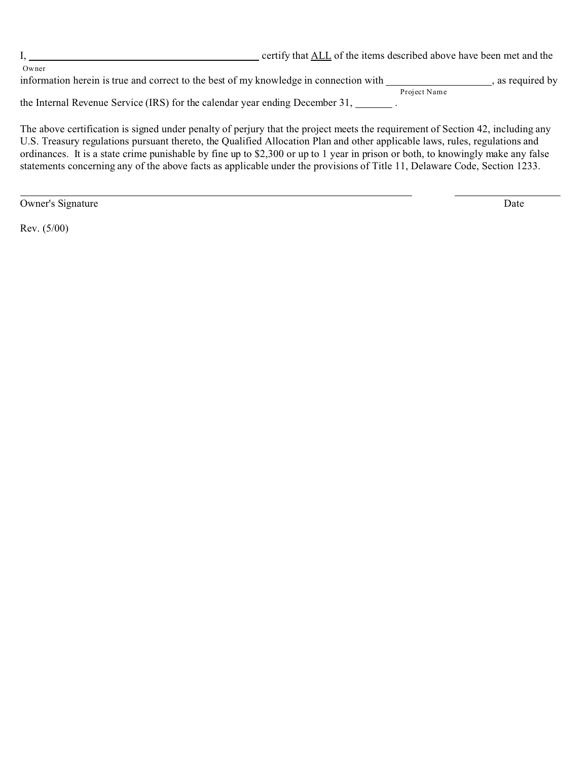|                                                                                       | certify that ALL of the items described above have been met and the |              |                  |
|---------------------------------------------------------------------------------------|---------------------------------------------------------------------|--------------|------------------|
| Owner                                                                                 |                                                                     |              |                  |
| information herein is true and correct to the best of my knowledge in connection with |                                                                     |              | , as required by |
|                                                                                       |                                                                     | Project Name |                  |
| the Internal Revenue Service (IRS) for the calendar year ending December 31,          |                                                                     |              |                  |

The above certification is signed under penalty of perjury that the project meets the requirement of Section 42, including any U.S. Treasury regulations pursuant thereto, the Qualified Allocation Plan and other applicable laws, rules, regulations and ordinances. It is a state crime punishable by fine up to \$2,300 or up to 1 year in prison or both, to knowingly make any false statements concerning any of the above facts as applicable under the provisions of Title 11, Delaware Code, Section 1233.

Owner's Signature Date

Rev. (5/00)

 $\overline{a}$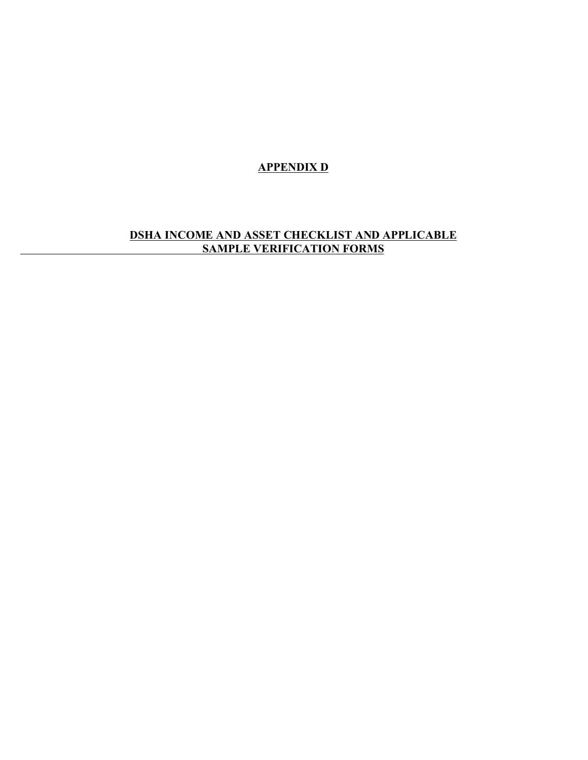**APPENDIX D**

## **DSHA INCOME AND ASSET CHECKLIST AND APPLICABLE SAMPLE VERIFICATION FORMS**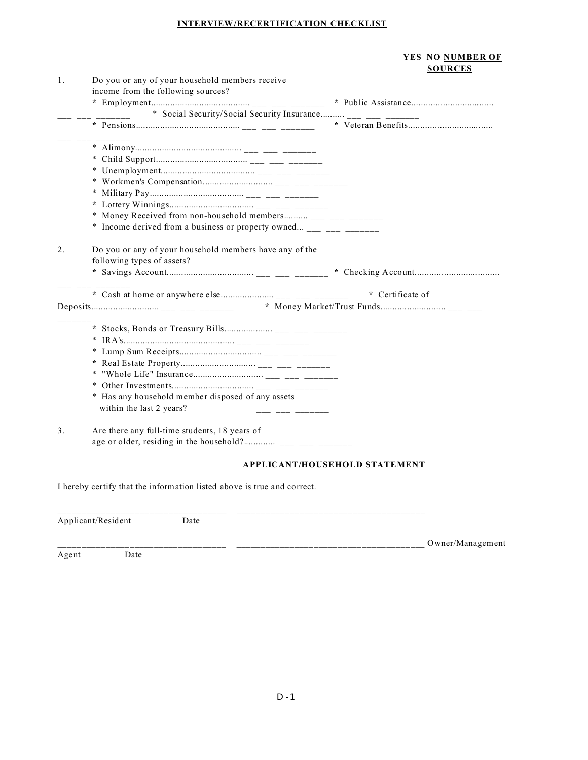#### **INTERVIEW/RECERTIFICATION CHECKLIST**

#### **YES NO NUMBER OF SOURCES**

| 1. | Do you or any of your household members receive                         |                                      |
|----|-------------------------------------------------------------------------|--------------------------------------|
|    | income from the following sources?                                      |                                      |
|    |                                                                         |                                      |
|    | * Social Security/Social Security Insurance ___ ___ ___ _______         |                                      |
|    |                                                                         |                                      |
|    |                                                                         |                                      |
|    |                                                                         |                                      |
|    |                                                                         |                                      |
|    |                                                                         |                                      |
|    |                                                                         |                                      |
|    |                                                                         |                                      |
|    |                                                                         |                                      |
|    | * Money Received from non-household members ___ ___ ___ ________        |                                      |
|    | * Income derived from a business or property owned ____ ___ ________    |                                      |
|    |                                                                         |                                      |
| 2. | Do you or any of your household members have any of the                 |                                      |
|    | following types of assets?                                              |                                      |
|    |                                                                         |                                      |
|    |                                                                         |                                      |
|    |                                                                         | * Certificate of                     |
|    |                                                                         |                                      |
|    |                                                                         |                                      |
|    |                                                                         |                                      |
|    |                                                                         |                                      |
|    |                                                                         |                                      |
|    |                                                                         |                                      |
|    |                                                                         |                                      |
|    |                                                                         |                                      |
|    | Has any household member disposed of any assets<br>×                    |                                      |
|    | within the last 2 years?<br><u> 222 122 122 122 12</u>                  |                                      |
|    |                                                                         |                                      |
| 3. | Are there any full-time students, 18 years of                           |                                      |
|    |                                                                         |                                      |
|    |                                                                         | <b>APPLICANT/HOUSEHOLD STATEMENT</b> |
|    |                                                                         |                                      |
|    | I hereby certify that the information listed above is true and correct. |                                      |
|    |                                                                         |                                      |

| Applicant/Resident |      | Date |                  |
|--------------------|------|------|------------------|
| Agent              | Date |      | Owner/Management |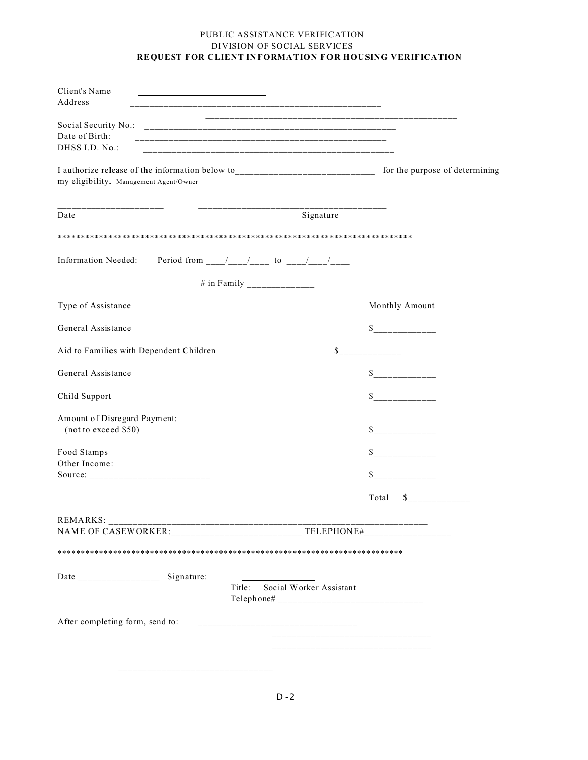#### PUBLIC ASSISTANCE VERIFICATION DIVISION OF SOCIAL SERVICES **REQUEST FOR CLIENT INFORMATION FOR HOUSING VERIFICATION**

| Client's Name<br>Address                                                                                                                                   |                                                                                                                      |                       |
|------------------------------------------------------------------------------------------------------------------------------------------------------------|----------------------------------------------------------------------------------------------------------------------|-----------------------|
| Date of Birth:<br>DHSS LD. No.:                                                                                                                            |                                                                                                                      |                       |
| I authorize release of the information below to _________________________________ for the purpose of determining<br>my eligibility. Management Agent/Owner |                                                                                                                      |                       |
| Date                                                                                                                                                       | Signature                                                                                                            |                       |
|                                                                                                                                                            |                                                                                                                      |                       |
| Information Needed: Period from ___/___/___ to ___/___/____                                                                                                |                                                                                                                      |                       |
|                                                                                                                                                            |                                                                                                                      |                       |
| Type of Assistance                                                                                                                                         |                                                                                                                      | Monthly Amount        |
| General Assistance                                                                                                                                         |                                                                                                                      | $\mathbb{S}$          |
| Aid to Families with Dependent Children                                                                                                                    |                                                                                                                      | $\mathbb{S}$          |
| General Assistance                                                                                                                                         |                                                                                                                      | s                     |
| Child Support                                                                                                                                              |                                                                                                                      | $\sim$                |
| Amount of Disregard Payment:<br>(not to exceed \$50)                                                                                                       |                                                                                                                      | S                     |
| Food Stamps<br>Other Income:                                                                                                                               |                                                                                                                      |                       |
|                                                                                                                                                            |                                                                                                                      | \$                    |
|                                                                                                                                                            |                                                                                                                      | Total<br>$\mathbb{S}$ |
| REMARKS:                                                                                                                                                   |                                                                                                                      |                       |
|                                                                                                                                                            |                                                                                                                      |                       |
| Signature:                                                                                                                                                 | Social Worker Assistant<br>Title:                                                                                    |                       |
| After completing form, send to:                                                                                                                            | <u> 1980 - Jan Bernard Bernard, mars and de la provincia de la provincia de la provincia de la provincia de la p</u> |                       |
|                                                                                                                                                            | _______________________________                                                                                      |                       |
|                                                                                                                                                            |                                                                                                                      |                       |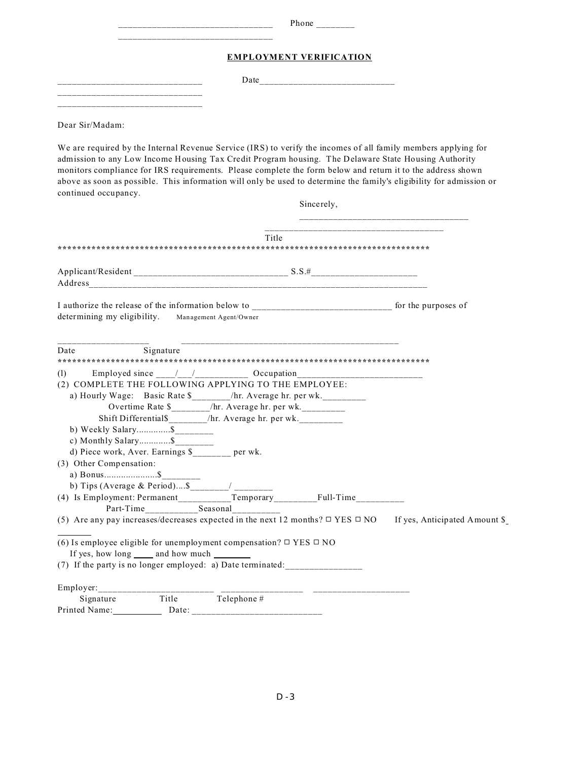| Phone<br>________              |  |  |
|--------------------------------|--|--|
| <b>EMPLOYMENT VERIFICATION</b> |  |  |
| Date                           |  |  |
|                                |  |  |
|                                |  |  |

Dear Sir/Madam:

We are required by the Internal Revenue Service (IRS) to verify the incomes of all family members applying for admission to any Low Income Housing Tax Credit Program housing. The Delaware State Housing Authority monitors compliance for IRS requirements. Please complete the form below and return it to the address shown above as soon as possible. This information will only be used to determine the family's eligibility for admission or continued occupancy.

|                                                                                                                        | Sincerely, |
|------------------------------------------------------------------------------------------------------------------------|------------|
| Title                                                                                                                  |            |
|                                                                                                                        |            |
| Address                                                                                                                |            |
|                                                                                                                        |            |
| determining my eligibility. Management Agent/Owner                                                                     |            |
| Date<br>Signature                                                                                                      |            |
| (1)                                                                                                                    |            |
| (2) COMPLETE THE FOLLOWING APPLYING TO THE EMPLOYEE:                                                                   |            |
| a) Hourly Wage: Basic Rate \$_______/hr. Average hr. per wk._________                                                  |            |
| Overtime Rate \$_______/hr. Average hr. per wk._________                                                               |            |
| Shift Differential\$_______/hr. Average hr. per wk._________                                                           |            |
| b) Weekly Salary\$                                                                                                     |            |
|                                                                                                                        |            |
| d) Piece work, Aver. Earnings \$________ per wk.                                                                       |            |
| (3) Other Compensation:                                                                                                |            |
|                                                                                                                        |            |
|                                                                                                                        |            |
| (4) Is Employment: Permanent_____________Temporary______________Full-Time________                                      |            |
| (5) Are any pay increases/decreases expected in the next 12 months? $\Box$ YES $\Box$ NO If yes, Anticipated Amount \$ |            |
| (6) Is employee eligible for unemployment compensation? $\Box$ YES $\Box$ NO                                           |            |
| If yes, how long _____ and how much ________                                                                           |            |
| (7) If the party is no longer employed: a) Date terminated: ____________________                                       |            |
|                                                                                                                        |            |
| Title<br>Telephone #<br>Signature                                                                                      |            |
| Printed Name:<br>Date:                                                                                                 |            |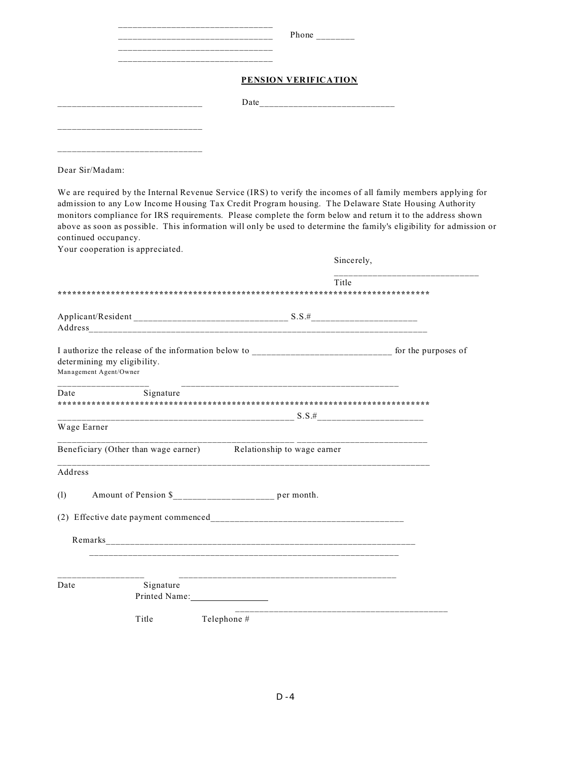|             | Phone                |
|-------------|----------------------|
|             | PENSION VERIFICATION |
|             | Date                 |
| ___________ |                      |

Dear Sir/Madam:

We are required by the Internal Revenue Service (IRS) to verify the incomes of all family members applying for admission to any Low Income Housing Tax Credit Program housing. The Delaware State Housing Authority monitors compliance for IRS requirements. Please complete the form below and return it to the address shown above as soon as possible. This information will only be used to determine the family's eligibility for admission or continued occupancy.

Your cooperation is appreciated.

|                                                                  | Sincerely,                                                          |
|------------------------------------------------------------------|---------------------------------------------------------------------|
|                                                                  | Title                                                               |
|                                                                  |                                                                     |
|                                                                  |                                                                     |
|                                                                  |                                                                     |
| determining my eligibility.<br>Management Agent/Owner            |                                                                     |
| Signature<br>Date                                                |                                                                     |
|                                                                  |                                                                     |
| Wage Earner                                                      |                                                                     |
| Beneficiary (Other than wage earner) Relationship to wage earner | فالمستحدث والمستحدث والمستحدث والمستحدث والمستحدث والمستحدث المستحد |
| Address                                                          |                                                                     |
| (1)                                                              |                                                                     |
|                                                                  |                                                                     |
|                                                                  |                                                                     |
|                                                                  |                                                                     |
| Signature<br>Date<br>Printed Name:                               |                                                                     |
| Title                                                            | Telephone #                                                         |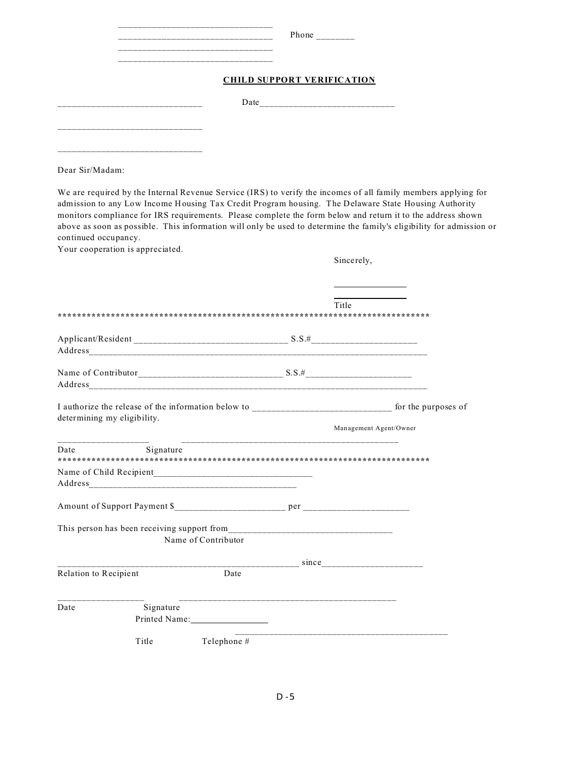| Phone                             |
|-----------------------------------|
| <b>CHILD SUPPORT VERIFICATION</b> |
| Date                              |
|                                   |

Dear Sir/Madam:

We are required by the Internal Revenue Service (IRS) to verify the incomes of all family members applying for admission to any Low Income Housing Tax Credit Program housing. The Delaware State Housing Authority monitors compliance for IRS requirements. Please complete the form below and return it to the address shown above as soon as possible. This information will only be used to determine the family's eligibility for admission or continued occupancy.

Your cooperation is appreciated.

Sincerely,

֦

|                       |                             |             | Title                  |
|-----------------------|-----------------------------|-------------|------------------------|
|                       |                             |             |                        |
|                       |                             |             |                        |
|                       | determining my eligibility. |             | Management Agent/Owner |
| Date                  | Signature                   |             |                        |
|                       |                             |             |                        |
|                       | Name of Contributor         |             |                        |
|                       |                             |             |                        |
| Relation to Recipient |                             | Date        |                        |
| Date                  | Signature<br>Printed Name:  |             |                        |
|                       | Title                       | Telephone # |                        |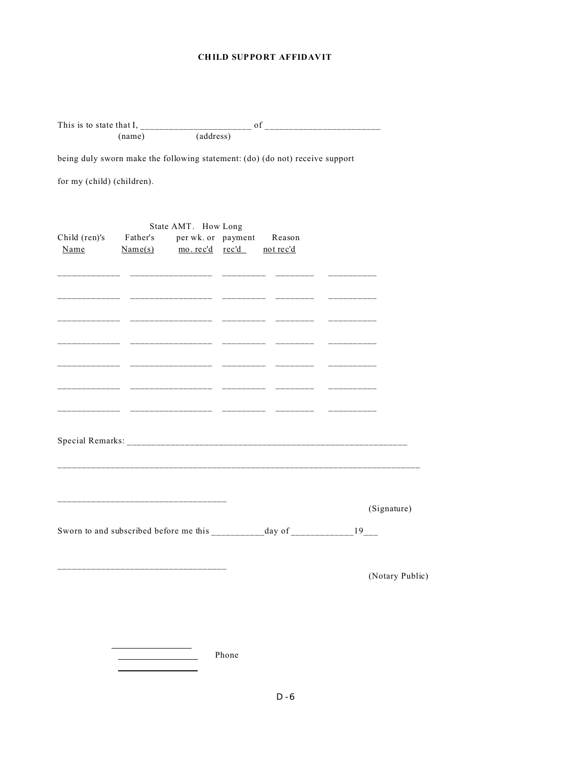#### **CHILD SUPPORT AFFIDAVIT**

| being duly sworn make the following statement: (do) (do not) receive support |                                                                                                                        |                     |             |  |                 |
|------------------------------------------------------------------------------|------------------------------------------------------------------------------------------------------------------------|---------------------|-------------|--|-----------------|
| for my (child) (children).                                                   |                                                                                                                        |                     |             |  |                 |
| Child (ren)'s Father's per wk. or payment Reason<br>Name                     | $Name(s)$ mo. rec'd rec'd not rec'd                                                                                    | State AMT. How Long |             |  |                 |
|                                                                              | <u> Alabara - Alabaratar Alabaratzar - Alabaratza - Alabaratza - Alabaratza - Alabaratza - Alabaratza - Alabaratza</u> |                     | ___________ |  |                 |
|                                                                              |                                                                                                                        |                     |             |  |                 |
|                                                                              | ________________________________                                                                                       |                     |             |  | (Signature)     |
|                                                                              |                                                                                                                        |                     |             |  | (Notary Public) |
|                                                                              |                                                                                                                        |                     | Phone       |  |                 |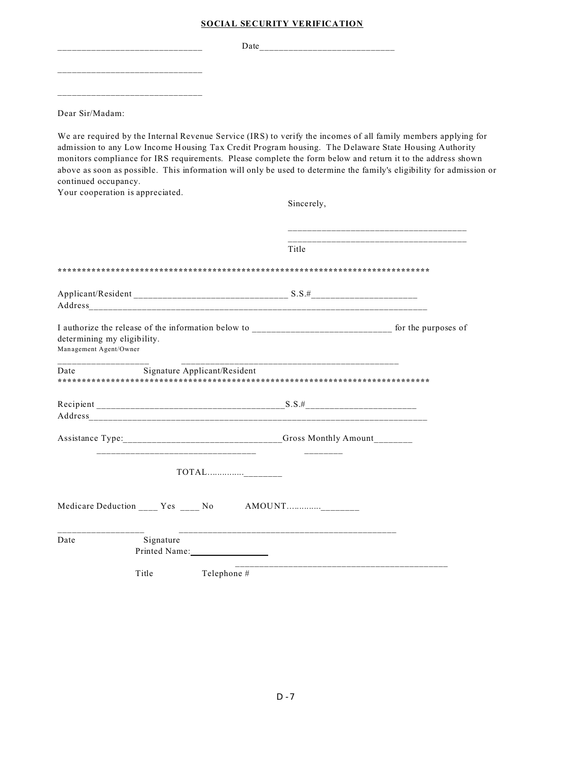|  | <b>SOCIAL SECURITY VERIFICATION</b> |
|--|-------------------------------------|
|  |                                     |

\_\_\_\_\_\_\_\_\_\_\_\_\_\_\_\_\_\_\_\_\_\_\_\_\_\_\_\_\_\_ Date\_\_\_\_\_\_\_\_\_\_\_\_\_\_\_\_\_\_\_\_\_\_\_\_\_\_\_\_ \_\_\_\_\_\_\_\_\_\_\_\_\_\_\_\_\_\_\_\_\_\_\_\_\_\_\_\_\_\_ \_\_\_\_\_\_\_\_\_\_\_\_\_\_\_\_\_\_\_\_\_\_\_\_\_\_\_\_\_\_

Dear Sir/Madam:

We are required by the Internal Revenue Service (IRS) to verify the incomes of all family members applying for admission to any Low Income Housing Tax Credit Program housing. The Delaware State Housing Authority monitors compliance for IRS requirements. Please complete the form below and return it to the address shown above as soon as possible. This information will only be used to determine the family's eligibility for admission or continued occupancy.

Your cooperation is appreciated.

|                                                                                  | Sincerely, |
|----------------------------------------------------------------------------------|------------|
|                                                                                  | Title      |
|                                                                                  |            |
|                                                                                  |            |
| determining my eligibility.<br>Management Agent/Owner                            |            |
| Signature Applicant/Resident<br>Date                                             |            |
|                                                                                  |            |
| Assistance Type: ________________________________Gross Monthly Amount___________ |            |
|                                                                                  |            |
| Medicare Deduction ____ Yes ____ No AMOUNT                                       |            |
| Date<br>Signature                                                                |            |
| Title<br>Telephone #                                                             |            |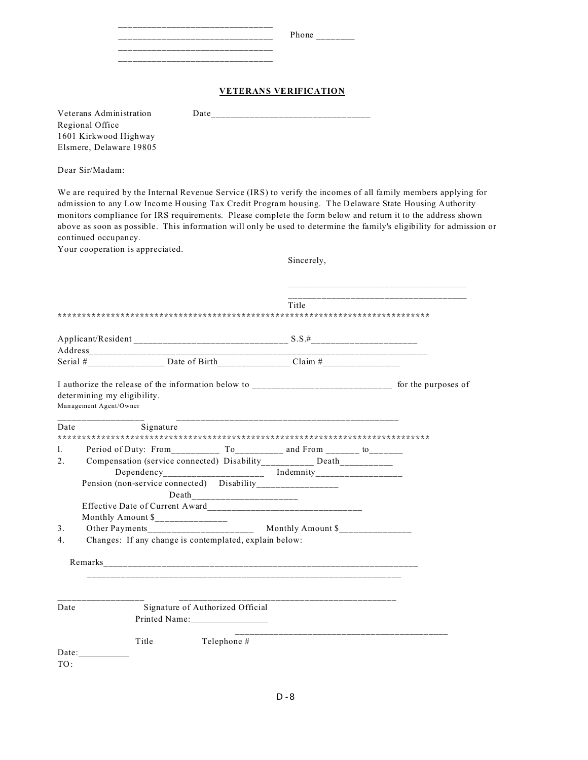|  | Phone<br>_________ |
|--|--------------------|
|  |                    |
|  |                    |

#### **VETERANS VERIFICATION**

| Veterans Administration | Date |
|-------------------------|------|
| Regional Office         |      |
| 1601 Kirkwood Highway   |      |
| Elsmere, Delaware 19805 |      |

Dear Sir/Madam:

We are required by the Internal Revenue Service (IRS) to verify the incomes of all family members applying for admission to any Low Income Housing Tax Credit Program housing. The Delaware State Housing Authority monitors compliance for IRS requirements. Please complete the form below and return it to the address shown above as soon as possible. This information will only be used to determine the family's eligibility for admission or continued occupancy.

Your cooperation is appreciated.

Sincerely,

|                                  | Title                                                                 |  |
|----------------------------------|-----------------------------------------------------------------------|--|
|                                  |                                                                       |  |
|                                  |                                                                       |  |
|                                  |                                                                       |  |
|                                  | determining my eligibility.<br>Management Agent/Owner                 |  |
| Date                             | Signature                                                             |  |
| 1.                               |                                                                       |  |
| 2.                               | Compensation (service connected) Disability__________ Death__________ |  |
|                                  |                                                                       |  |
|                                  | Pension (non-service connected) Disability_________________           |  |
|                                  |                                                                       |  |
|                                  |                                                                       |  |
|                                  | Monthly Amount \$________________                                     |  |
| $\mathbf{3}$ .<br>4 <sup>1</sup> | Changes: If any change is contemplated, explain below:                |  |
|                                  |                                                                       |  |
|                                  |                                                                       |  |
|                                  |                                                                       |  |
| Date                             | Signature of Authorized Official<br>Printed Name:                     |  |
|                                  | Telephone #<br>Title<br>Date:                                         |  |
| TO:                              |                                                                       |  |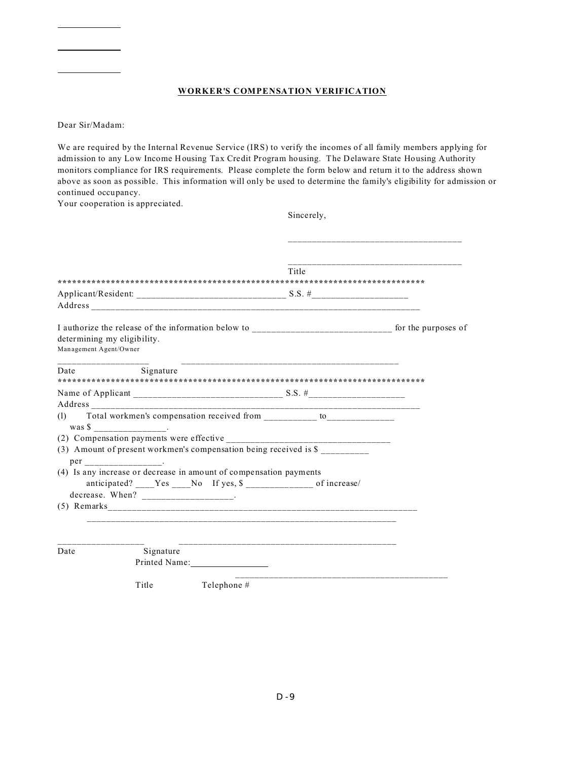#### **WORKER'S COMPENSATION VERIFICATION**

Dear Sir/Madam:

֦

֦

 $\overline{a}$ 

We are required by the Internal Revenue Service (IRS) to verify the incomes of all family members applying for admission to any Low Income Housing Tax Credit Program housing. The Delaware State Housing Authority monitors compliance for IRS requirements. Please complete the form below and return it to the address shown above as soon as possible. This information will only be used to determine the family's eligibility for admission or continued occupancy.

Your cooperation is appreciated.

|                                                                                                                                                             | Sincerely,       |  |
|-------------------------------------------------------------------------------------------------------------------------------------------------------------|------------------|--|
|                                                                                                                                                             |                  |  |
|                                                                                                                                                             | Title            |  |
|                                                                                                                                                             |                  |  |
| determining my eligibility.<br>Management Agent/Owner                                                                                                       |                  |  |
| Date<br>Signature                                                                                                                                           |                  |  |
|                                                                                                                                                             |                  |  |
| (1)                                                                                                                                                         |                  |  |
| (2) Compensation payments were effective<br>(3) Amount of present workmen's compensation being received is \$                                               | ________________ |  |
| (4) Is any increase or decrease in amount of compensation payments<br>anticipated? Yes No If yes, \$ of increase/<br>decrease. When? _____________________. |                  |  |
|                                                                                                                                                             |                  |  |
| Signature<br>Date<br>Printed Name:                                                                                                                          |                  |  |
| Title<br>Telephone #                                                                                                                                        |                  |  |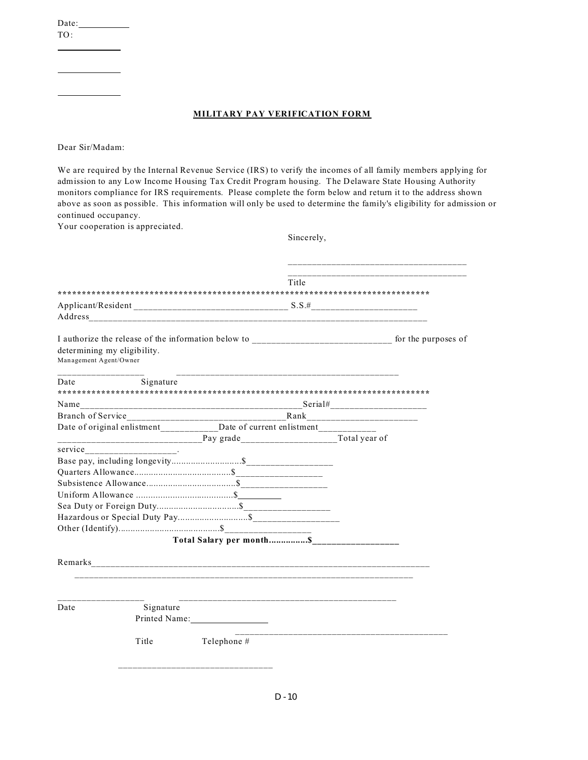Date:

TO: ֦

 $\overline{a}$ 

֦

#### **MILITARY PAY VERIFICATION FORM**

Dear Sir/Madam:

We are required by the Internal Revenue Service (IRS) to verify the incomes of all family members applying for admission to any Low Income Housing Tax Credit Program housing. The Delaware State Housing Authority monitors compliance for IRS requirements. Please complete the form below and return it to the address shown above as soon as possible. This information will only be used to determine the family's eligibility for admission or continued occupancy.

Your cooperation is appreciated.

Sincerely,

|                                                                                 |               | Title |
|---------------------------------------------------------------------------------|---------------|-------|
|                                                                                 |               |       |
|                                                                                 |               |       |
| Address                                                                         |               |       |
|                                                                                 |               |       |
| determining my eligibility.<br>Management Agent/Owner                           |               |       |
| Date<br>Signature                                                               |               |       |
|                                                                                 |               |       |
|                                                                                 |               |       |
|                                                                                 |               |       |
| Date of original enlistment____________Date of current enlistment______________ |               |       |
|                                                                                 |               |       |
|                                                                                 |               |       |
|                                                                                 |               |       |
|                                                                                 |               |       |
|                                                                                 |               |       |
|                                                                                 |               |       |
|                                                                                 |               |       |
|                                                                                 |               |       |
|                                                                                 |               |       |
|                                                                                 |               |       |
|                                                                                 |               |       |
|                                                                                 |               |       |
|                                                                                 |               |       |
| Date<br>Signature                                                               |               |       |
|                                                                                 | Printed Name: |       |
| Title                                                                           | Telephone #   |       |
|                                                                                 |               |       |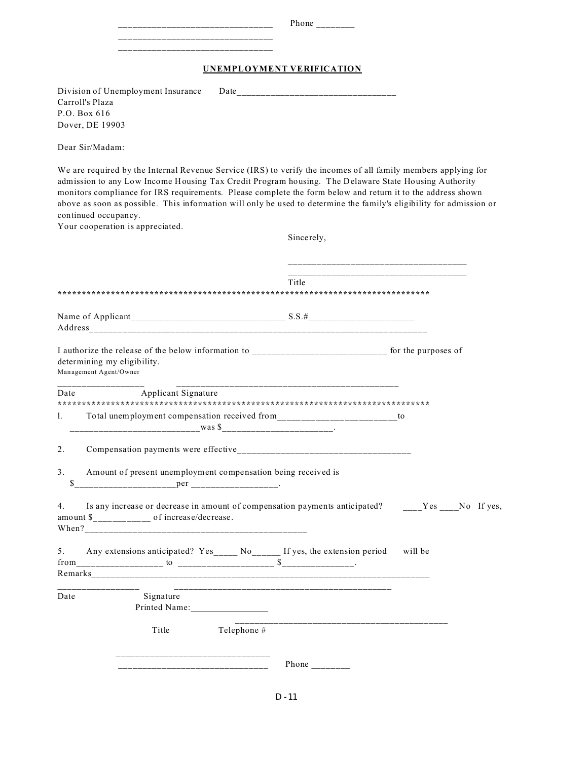|                                    | Phone |                           |  |
|------------------------------------|-------|---------------------------|--|
|                                    |       | UNEMPLOYMENT VERIFICATION |  |
| Division of Unemployment Insurance |       |                           |  |
| Carroll's Plaza                    |       |                           |  |
| P.O. Box 616                       |       |                           |  |
| Dover, DE 19903                    |       |                           |  |
| Dear Sir/Madam:                    |       |                           |  |

We are required by the Internal Revenue Service (IRS) to verify the incomes of all family members applying for admission to any Low Income Housing Tax Credit Program housing. The Delaware State Housing Authority monitors compliance for IRS requirements. Please complete the form below and return it to the address shown above as soon as possible. This information will only be used to determine the family's eligibility for admission or continued occupancy.

Your cooperation is appreciated.

Sincerely,

|          |                                                                                                                                                              | Title                                                                                             |
|----------|--------------------------------------------------------------------------------------------------------------------------------------------------------------|---------------------------------------------------------------------------------------------------|
|          |                                                                                                                                                              |                                                                                                   |
|          | I authorize the release of the below information to ___________________________ for the purposes of<br>determining my eligibility.<br>Management Agent/Owner |                                                                                                   |
| Date     | <b>Applicant Signature</b>                                                                                                                                   |                                                                                                   |
| 1.       | Total unemployment compensation received from__________________________to                                                                                    |                                                                                                   |
| 2.       |                                                                                                                                                              |                                                                                                   |
| 3.<br>\$ | Amount of present unemployment compensation being received is                                                                                                |                                                                                                   |
| 4.       | amount \$___________ of increase/decrease.                                                                                                                   | Is any increase or decrease in amount of compensation payments anticipated? ____Yes ___No If yes, |
|          |                                                                                                                                                              | will be                                                                                           |
| Date     | Signature<br>Printed Name:                                                                                                                                   |                                                                                                   |
|          | Telephone #<br>Title                                                                                                                                         |                                                                                                   |
|          |                                                                                                                                                              | Phone $\frac{1}{1}$                                                                               |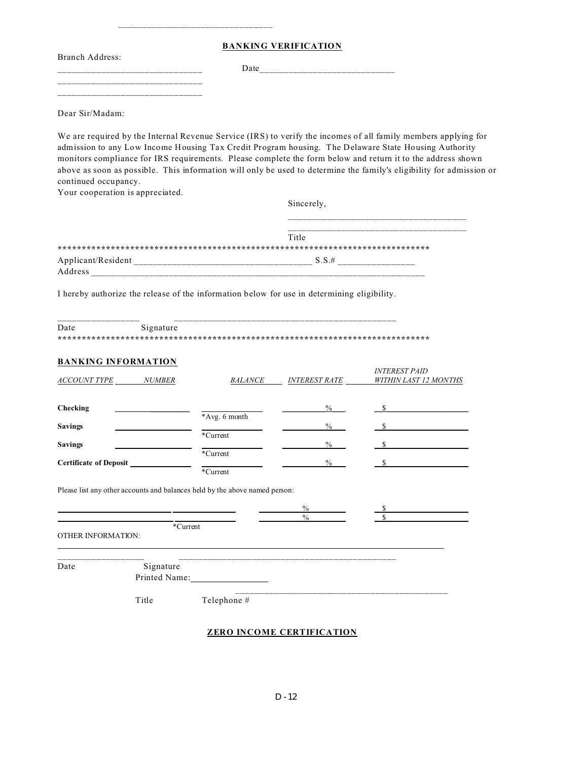**BANKING VERIFICATION**

Branch Address:

\_\_\_\_\_\_\_\_\_\_\_\_\_\_\_\_\_\_\_\_\_\_\_\_\_\_\_\_\_\_ Date\_\_\_\_\_\_\_\_\_\_\_\_\_\_\_\_\_\_\_\_\_\_\_\_\_\_\_\_

Dear Sir/Madam:

We are required by the Internal Revenue Service (IRS) to verify the incomes of all family members applying for admission to any Low Income Housing Tax Credit Program housing. The Delaware State Housing Authority monitors compliance for IRS requirements. Please complete the form below and return it to the address shown above as soon as possible. This information will only be used to determine the family's eligibility for admission or continued occupancy.

Your cooperation is appreciated.

\_\_\_\_\_\_\_\_\_\_\_\_\_\_\_\_\_\_\_\_\_\_\_\_\_\_\_\_\_\_ \_\_\_\_\_\_\_\_\_\_\_\_\_\_\_\_\_\_\_\_\_\_\_\_\_\_\_\_\_\_

\_\_\_\_\_\_\_\_\_\_\_\_\_\_\_\_\_\_\_\_\_\_\_\_\_\_\_\_\_\_\_\_

Sincerely,

*INTEREST PAID*

|                    | Title    |
|--------------------|----------|
|                    |          |
| Applicant/Resident | $S.S.$ # |
| Address            |          |

I hereby authorize the release of the information below for use in determining eligibility.

| Date | Signature |
|------|-----------|
|      |           |

|  |  |  |  |  | <b>BANKING INFORMATION</b> |  |
|--|--|--|--|--|----------------------------|--|
|  |  |  |  |  |                            |  |

| <b>ACCOUNT TYPE</b><br><i>NUMBER</i> | <b>BALANCE</b>       | <b>INTEREST RATE</b> | INI EKESI PAID<br><b>WITHIN LAST 12 MONTHS</b> |
|--------------------------------------|----------------------|----------------------|------------------------------------------------|
| Checking                             |                      | $\frac{0}{0}$        |                                                |
| <b>Savings</b>                       | *Avg. 6 month        | $\frac{0}{0}$        |                                                |
| <b>Savings</b>                       | *Current             | $\frac{0}{0}$        |                                                |
| <b>Certificate of Deposit</b>        | *Current<br>*Current | $\frac{0}{0}$        |                                                |

Please list any other accounts and balances held by the above named person:

|                           |                             | $\frac{0}{0}$<br>$\frac{0}{0}$ |  |
|---------------------------|-----------------------------|--------------------------------|--|
|                           | *Current                    |                                |  |
| <b>OTHER INFORMATION:</b> |                             |                                |  |
|                           |                             |                                |  |
|                           |                             |                                |  |
| Date                      |                             |                                |  |
|                           | Signature<br>Printed Name:  |                                |  |
|                           |                             |                                |  |
|                           | $-1$<br>$-1$ $-1$ $-1$ $-1$ |                                |  |

Title Telephone #

**ZERO INCOME CERTIFICATION**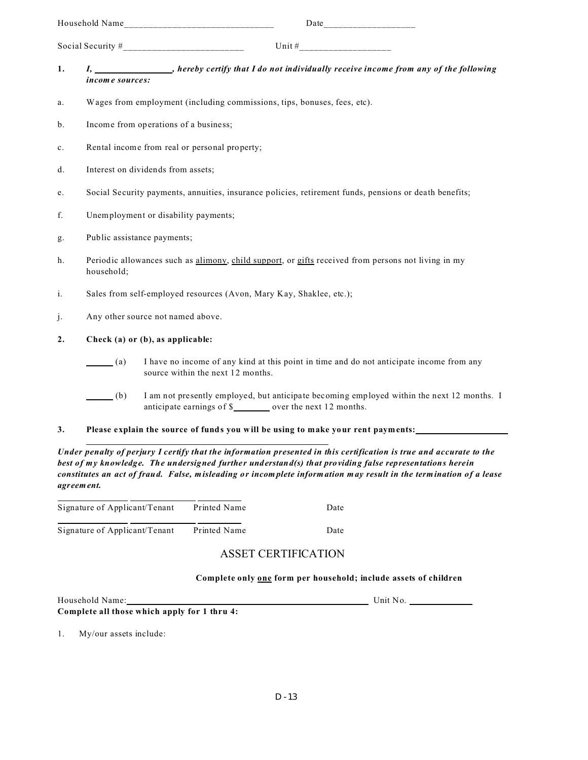| Household Name      | Date     |  |
|---------------------|----------|--|
| Social Security $#$ | Unit $#$ |  |

- **1.** *I,**I,**hereby certify that I do not individually receive income from any of the following income sources:*
- a. Wages from employment (including commissions, tips, bonuses, fees, etc).
- b. Income from operations of a business;
- c. Rental income from real or personal property;
- d. Interest on dividends from assets;
- e. Social Security payments, annuities, insurance policies, retirement funds, pensions or death benefits;
- f. Unemployment or disability payments;
- g. Public assistance payments;
- h. Periodic allowances such as alimony, child support, or gifts received from persons not living in my household;
- i. Sales from self-employed resources (Avon, Mary Kay, Shaklee, etc.);
- j. Any other source not named above.

#### **2. Check (a) or (b), as applicable:**

- (a) I have no income of any kind at this point in time and do not anticipate income from any source within the next 12 months.
- (b) I am not presently employed, but anticipate becoming employed within the next 12 months. I anticipate earnings of  $\frac{1}{2}$  over the next 12 months.
- **3. Please explain the source of funds you will be using to make your rent payments:**

*Under penalty of perjury I certify that the information presented in this certification is true and accurate to the best of my knowledge. The undersigned further understand(s) that providing false representations herein constitutes an act of fraud. False, misleading or incomplete information may result in the termination of a lease agreement.*

| Signature of Applicant/Tenant | Printed Name | Date |
|-------------------------------|--------------|------|
| Signature of Applicant/Tenant | Printed Name | Date |

### ASSET CERTIFICATION

#### **Complete only one form per household; include assets of children**

| Household Name:                              | Unit $No.$ |
|----------------------------------------------|------------|
| Complete all those which apply for 1 thru 4: |            |

1. My/our assets include: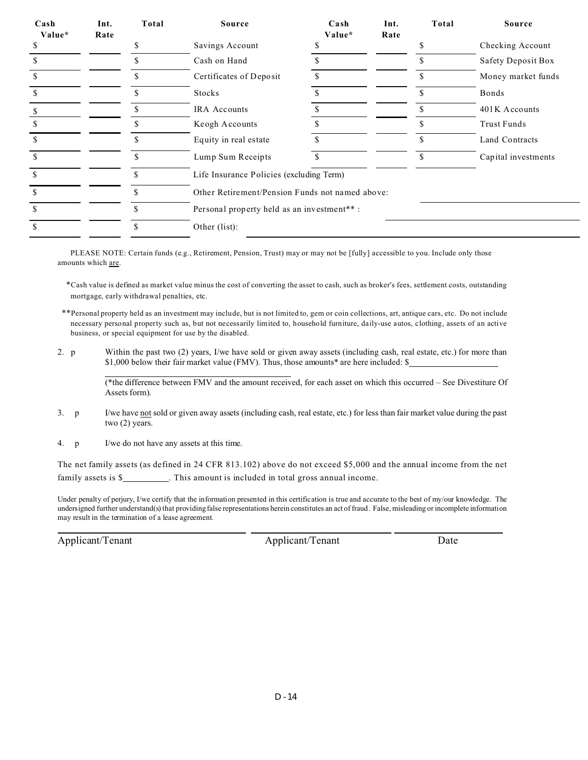| Cash<br>Value* | Int.<br>Rate | Total | <b>Source</b>                                   | Cash<br>Value* | Int.<br>Rate | Total | Source              |
|----------------|--------------|-------|-------------------------------------------------|----------------|--------------|-------|---------------------|
|                |              |       | Savings Account                                 |                |              |       | Checking Account    |
|                |              |       | Cash on Hand                                    |                |              | S     | Safety Deposit Box  |
|                |              |       | Certificates of Deposit                         |                |              |       | Money market funds  |
|                |              |       | Stocks                                          |                |              |       | Bonds               |
|                |              |       | <b>IRA</b> Accounts                             |                |              |       | 401K Accounts       |
|                |              |       | Keogh Accounts                                  |                |              | S     | Trust Funds         |
|                |              |       | Equity in real estate                           |                |              | S     | Land Contracts      |
|                |              |       | Lump Sum Receipts                               |                |              | \$    | Capital investments |
|                |              | \$    | Life Insurance Policies (excluding Term)        |                |              |       |                     |
|                |              |       | Other Retirement/Pension Funds not named above: |                |              |       |                     |
|                |              | \$    | Personal property held as an investment**:      |                |              |       |                     |
|                |              | \$.   | Other (list):                                   |                |              |       |                     |

PLEASE NOTE: Certain funds (e.g., Retirement, Pension, Trust) may or may not be [fully] accessible to you. Include only those amounts which are.

\*Cash value is defined as market value minus the cost of converting the asset to cash, such as broker's fees, settlement costs, outstanding mortgage, early withdrawal penalties, etc.

- \*\*Personal property held as an investment may include, but is not limited to, gem or coin collections, art, antique cars, etc. Do not include necessary personal property such as, but not necessarily limited to, household furniture, daily-use autos, clothing, assets of an active business, or special equipment for use by the disabled.
- 2. p Within the past two (2) years, I/we have sold or given away assets (including cash, real estate, etc.) for more than \$1,000 below their fair market value (FMV). Thus, those amounts\* are here included: \$

(\*the difference between FMV and the amount received, for each asset on which this occurred – See Divestiture Of Assets form).

- 3. p I/we have not sold or given away assets (including cash, real estate, etc.) for less than fair market value during the past two (2) years.
- 4. p I/we do not have any assets at this time.

The net family assets (as defined in 24 CFR 813.102) above do not exceed \$5,000 and the annual income from the net family assets is \$\_\_\_\_\_\_\_\_\_\_. This amount is included in total gross annual income.

Under penalty of perjury, I/we certify that the information presented in this certification is true and accurate to the best of my/our knowledge. The undersigned further understand(s) that providing false representations herein constitutes an act of fraud. False, misleading or incomplete information may result in the termination of a lease agreement.

 $\overline{a}$ 

Applicant/Tenant Date Applicant/Tenant Date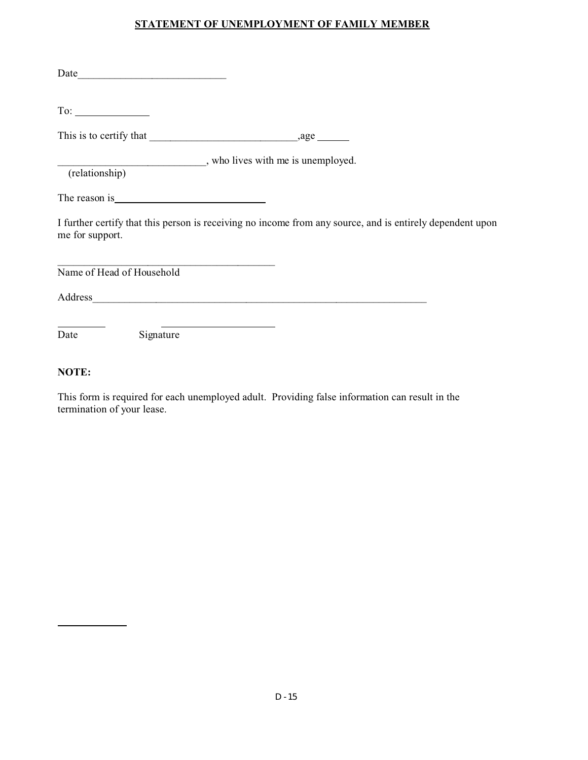### **STATEMENT OF UNEMPLOYMENT OF FAMILY MEMBER**

| (relationship) who lives with me is unemployed.                                                                                                                                                                               |           |  |  |
|-------------------------------------------------------------------------------------------------------------------------------------------------------------------------------------------------------------------------------|-----------|--|--|
| The reason is expression of the reason is the set of the set of the set of the set of the set of the set of the set of the set of the set of the set of the set of the set of the set of the set of the set of the set of the |           |  |  |
| I further certify that this person is receiving no income from any source, and is entirely dependent upon<br>me for support.                                                                                                  |           |  |  |
| Name of Head of Household                                                                                                                                                                                                     |           |  |  |
|                                                                                                                                                                                                                               |           |  |  |
| Date                                                                                                                                                                                                                          | Signature |  |  |
| NOTE:                                                                                                                                                                                                                         |           |  |  |

This form is required for each unemployed adult. Providing false information can result in the termination of your lease.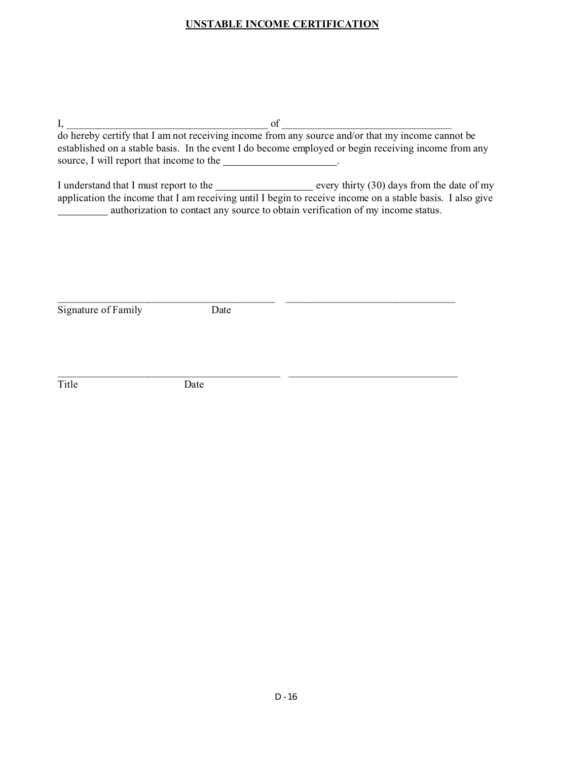### **UNSTABLE INCOME CERTIFICATION**

 $I,$   $\hspace{0.5cm}$  of  $\hspace{0.5cm}$ 

do hereby certify that I am not receiving income from any source and/or that my income cannot be established on a stable basis. In the event I do become employed or begin receiving income from any source, I will report that income to the \_\_\_\_\_\_\_\_\_\_\_\_\_\_\_\_\_\_.

I understand that I must report to the every thirty  $(30)$  days from the date of my application the income that I am receiving until I begin to receive income on a stable basis. I also give **EXECUTE:** authorization to contact any source to obtain verification of my income status.

Signature of Family Date

 $\_$  , and the set of the set of the set of the set of the set of the set of the set of the set of the set of the set of the set of the set of the set of the set of the set of the set of the set of the set of the set of th

\_\_\_\_\_\_\_\_\_\_\_\_\_\_\_\_\_\_\_\_\_\_\_\_\_\_\_\_\_\_\_\_\_\_\_\_\_\_\_\_\_\_ \_\_\_\_\_\_\_\_\_\_\_\_\_\_\_\_\_\_\_\_\_\_\_\_\_\_\_\_\_\_\_\_

Title Date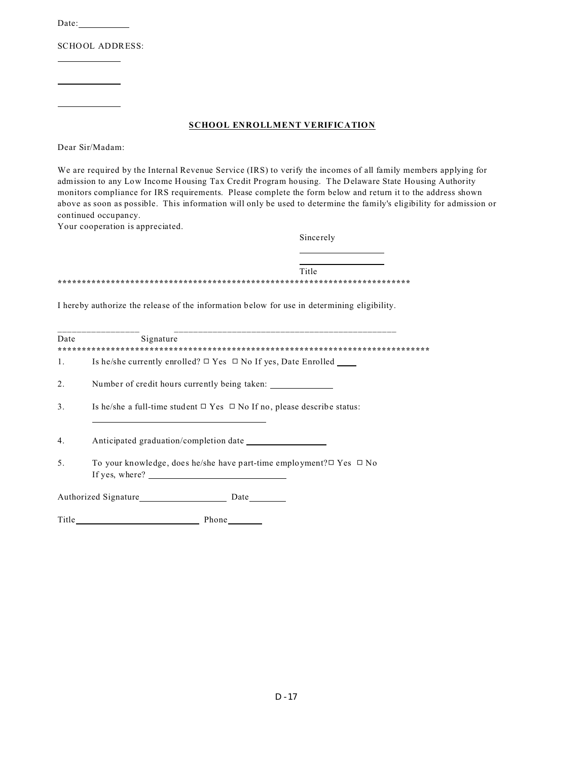Date:

**SCHOOL ADDRESS:** 

#### **SCHOOL ENROLLMENT VERIFICATION**

Dear Sir/Madam:

We are required by the Internal Revenue Service (IRS) to verify the incomes of all family members applying for admission to any Low Income Housing Tax Credit Program housing. The Delaware State Housing Authority monitors compliance for IRS requirements. Please complete the form below and return it to the address shown above as soon as possible. This information will only be used to determine the family's eligibility for admission or continued occupancy.

Your cooperation is appreciated.

Sincerely

Title 

I hereby authorize the release of the information below for use in determining eligibility.

| Date | Signature                                                                                        |
|------|--------------------------------------------------------------------------------------------------|
| 1.   | Is he/she currently enrolled? $\Box$ Yes $\Box$ No If yes, Date Enrolled                         |
| 2.   | Number of credit hours currently being taken:                                                    |
| 3.   | Is he/she a full-time student $\Box$ Yes $\Box$ No If no, please describe status:                |
| 4.   | Anticipated graduation/completion date                                                           |
| 5.   | To your knowledge, does he/she have part-time employment? $\Box$ Yes $\Box$ No<br>If yes, where? |
|      | Authorized Signature<br>Date                                                                     |

Title Phone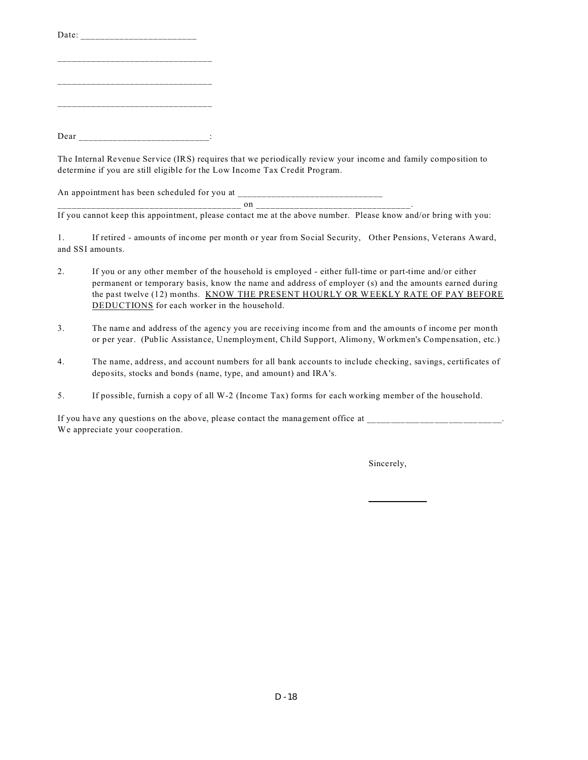| Dear |  |  |
|------|--|--|

The Internal Revenue Service (IRS) requires that we periodically review your income and family composition to determine if you are still eligible for the Low Income Tax Credit Program.

An appointment has been scheduled for you at \_

 $_{\rm on}$   $_{\rm on}$   $_{\rm on}$   $_{\rm on}$   $_{\rm on}$   $_{\rm on}$   $_{\rm on}$   $_{\rm on}$   $_{\rm on}$   $_{\rm on}$   $_{\rm on}$   $_{\rm on}$   $_{\rm on}$   $_{\rm on}$   $_{\rm on}$   $_{\rm on}$   $_{\rm on}$   $_{\rm on}$   $_{\rm on}$   $_{\rm on}$   $_{\rm on}$   $_{\rm on}$   $_{\rm on}$   $_{\rm on}$   $_{\rm on}$   $_{\rm on}$   $_{\rm on}$   $_{\rm on$ 

If you cannot keep this appointment, please contact me at the above number. Please know and/or bring with you:

1. If retired - amounts of income per month or year from Social Security, Other Pensions, Veterans Award, and SSI amounts.

- 2. If you or any other member of the household is employed either full-time or part-time and/or either permanent or temporary basis, know the name and address of employer (s) and the amounts earned during the past twelve (12) months. KNOW THE PRESENT HOURLY OR WEEKLY RATE OF PAY BEFORE DEDUCTIONS for each worker in the household.
- 3. The name and address of the agency you are receiving income from and the amounts of income per month or per year. (Public Assistance, Unemployment, Child Support, Alimony, Workmen's Compensation, etc.)
- 4. The name, address, and account numbers for all bank accounts to include checking, savings, certificates of deposits, stocks and bonds (name, type, and amount) and IRA's.
- 5. If possible, furnish a copy of all W-2 (Income Tax) forms for each working member of the household.

If you have any questions on the above, please contact the management office at We appreciate your cooperation.

Sincerely,

֦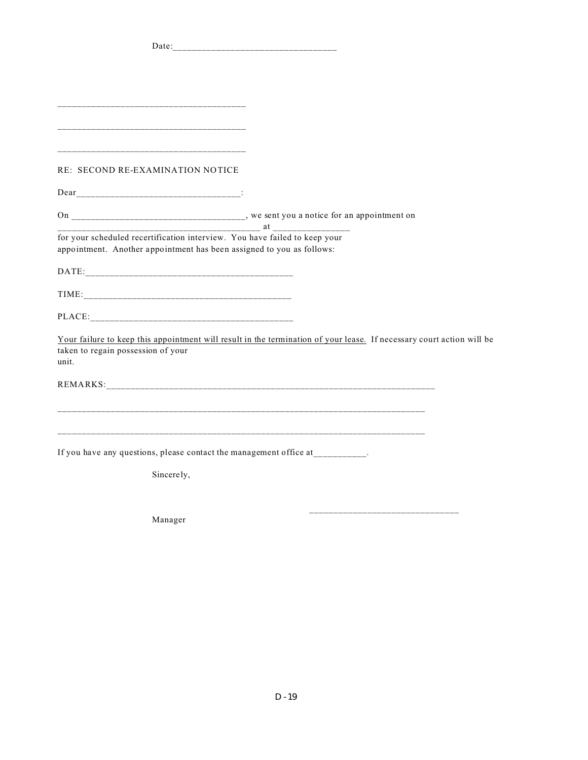| RE: SECOND RE-EXAMINATION NOTICE                                              |                                                                                                                       |
|-------------------------------------------------------------------------------|-----------------------------------------------------------------------------------------------------------------------|
|                                                                               |                                                                                                                       |
|                                                                               |                                                                                                                       |
| for your scheduled recertification interview. You have failed to keep your    |                                                                                                                       |
| appointment. Another appointment has been assigned to you as follows:         |                                                                                                                       |
|                                                                               |                                                                                                                       |
|                                                                               |                                                                                                                       |
|                                                                               |                                                                                                                       |
|                                                                               | Your failure to keep this appointment will result in the termination of your lease. If necessary court action will be |
| taken to regain possession of your<br>unit.                                   |                                                                                                                       |
|                                                                               |                                                                                                                       |
|                                                                               |                                                                                                                       |
|                                                                               |                                                                                                                       |
|                                                                               |                                                                                                                       |
| If you have any questions, please contact the management office at _________. |                                                                                                                       |
|                                                                               |                                                                                                                       |
| Sincerely,                                                                    |                                                                                                                       |
|                                                                               |                                                                                                                       |
|                                                                               |                                                                                                                       |

Manager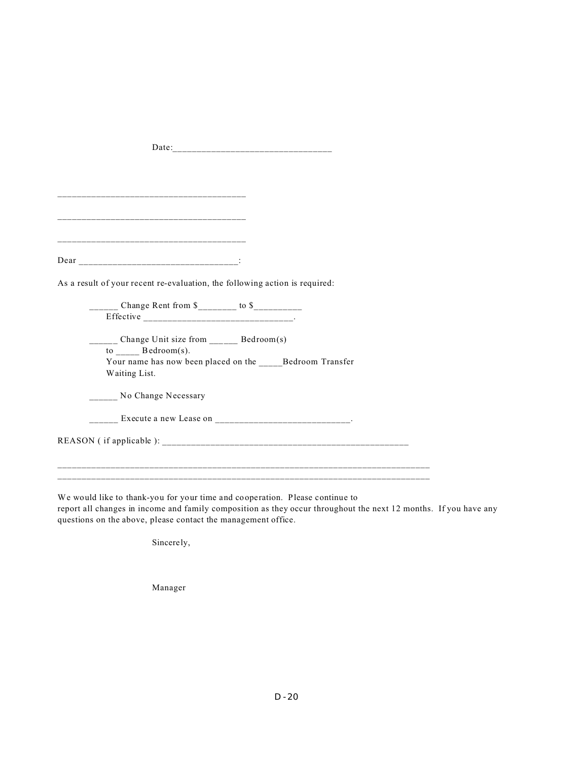| As a result of your recent re-evaluation, the following action is required: |
|-----------------------------------------------------------------------------|
|                                                                             |
| $\frac{1}{2}$ Change Rent from \$                                           |
|                                                                             |
|                                                                             |
| _____ Change Unit size from _____ Bedroom(s)                                |
| $to$ Bedroom(s).                                                            |
| Your name has now been placed on the Bedroom Transfer                       |
| Waiting List.                                                               |
|                                                                             |
| No Change Necessary                                                         |
|                                                                             |
|                                                                             |
|                                                                             |
|                                                                             |
|                                                                             |
|                                                                             |
|                                                                             |

We would like to thank-you for your time and cooperation. Please continue to report all changes in income and family composition as they occur throughout the next 12 months. If you have any questions on the above, please contact the management office.

Sincerely,

Manager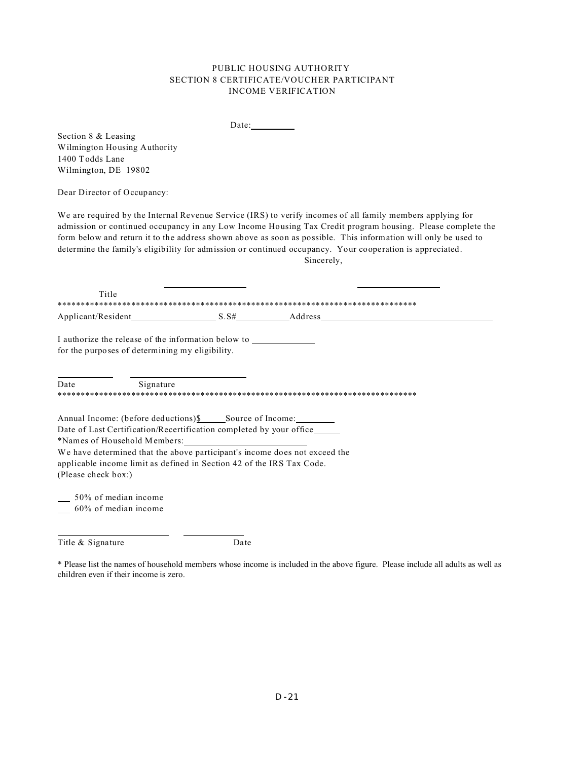Date:

Section 8 & Leasing Wilmington Housing Authority 1400 Todds Lane Wilmington, DE 19802

Dear Director of Occupancy:

Title & Signature

We are required by the Internal Revenue Service (IRS) to verify incomes of all family members applying for admission or continued occupancy in any Low Income Housing Tax Credit program housing. Please complete the form below and return it to the address shown above as soon as possible. This information will only be used to determine the family's eligibility for admission or continued occupancy. Your cooperation is appreciated. Sincerely,

| Title                                                     |                                                                                                                                                                              |                                                                            |  |
|-----------------------------------------------------------|------------------------------------------------------------------------------------------------------------------------------------------------------------------------------|----------------------------------------------------------------------------|--|
|                                                           |                                                                                                                                                                              |                                                                            |  |
|                                                           | I authorize the release of the information below to<br>for the purposes of determining my eligibility.                                                                       |                                                                            |  |
| <b>Date</b>                                               | Signature                                                                                                                                                                    |                                                                            |  |
| (Please check box:)                                       | Date of Last Certification/Recertification completed by your office<br>*Names of Household Members:<br>applicable income limit as defined in Section 42 of the IRS Tax Code. | We have determined that the above participant's income does not exceed the |  |
| $\frac{50\%}{2}$ of median income<br>60% of median income |                                                                                                                                                                              |                                                                            |  |

\* Please list the names of household members whose income is included in the above figure. Please include all adults as well as children even if their income is zero.

Date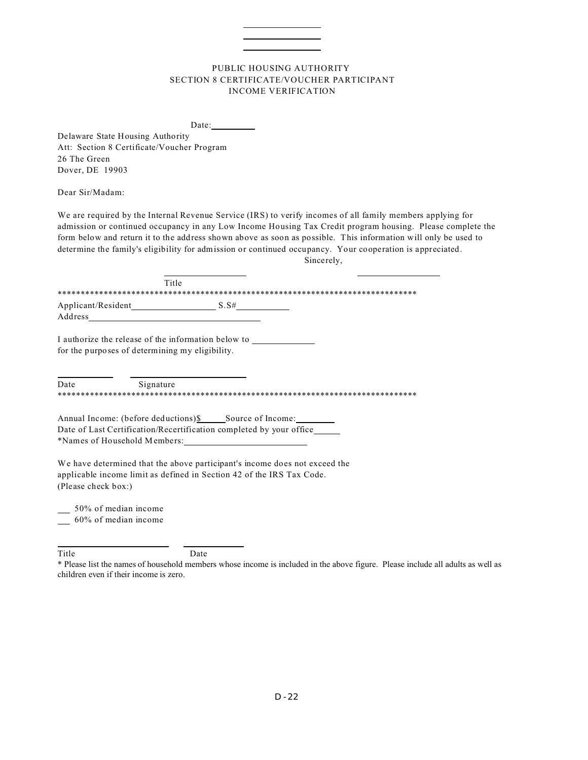Date: Delaware State Housing Authority Att: Section 8 Certificate/Voucher Program 26 The Green Dover, DE 19903 Dear Sir/Madam: We are required by the Internal Revenue Service (IRS) to verify incomes of all family members applying for admission or continued occupancy in any Low Income Housing Tax Credit program housing. Please complete the form below and return it to the address shown above as soon as possible. This information will only be used to determine the family's eligibility for admission or continued occupancy. Your cooperation is appreciated. Sincerely, Title Applicant/Resident  $S.S#$ Address I authorize the release of the information below to for the purposes of determining my eligibility. Date Signature Date of Last Certification/Recertification completed by your office\_ \*Names of Household Members: We have determined that the above participant's income does not exceed the applicable income limit as defined in Section 42 of the IRS Tax Code. (Please check box:) 50% of median income 60% of median income

Date

Title

<sup>\*</sup> Please list the names of household members whose income is included in the above figure. Please include all adults as well as children even if their income is zero.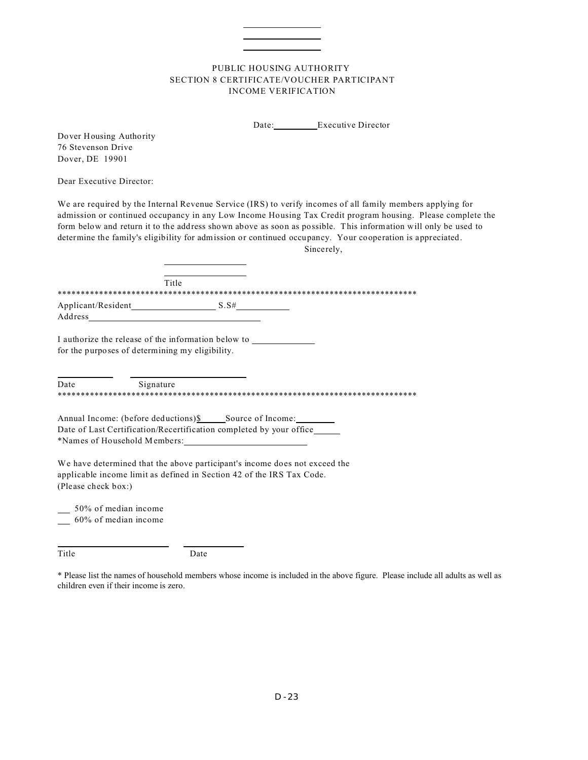Date: Executive Director

Dover Housing Authority 76 Stevenson Drive Dover, DE 19901

Dear Executive Director:

We are required by the Internal Revenue Service (IRS) to verify incomes of all family members applying for admission or continued occupancy in any Low Income Housing Tax Credit program housing. Please complete the form below and return it to the address shown above as soon as possible. This information will only be used to determine the family's eligibility for admission or continued occupancy. Your cooperation is appreciated.

Sincerely,

|                               | Title |
|-------------------------------|-------|
|                               |       |
| Applicant/Resident<br>Address | S.S#  |

I authorize the release of the information below to for the purposes of determining my eligibility.

Date Signature 

Annual Income: (before deductions) \$ \_\_\_\_\_\_\_ Source of Income: Date of Last Certification/Recertification completed by your office\_ \*Names of Household Members:

We have determined that the above participant's income does not exceed the applicable income limit as defined in Section 42 of the IRS Tax Code. (Please check box:)

50% of median income

60% of median income

Title

Date

<sup>\*</sup> Please list the names of household members whose income is included in the above figure. Please include all adults as well as children even if their income is zero.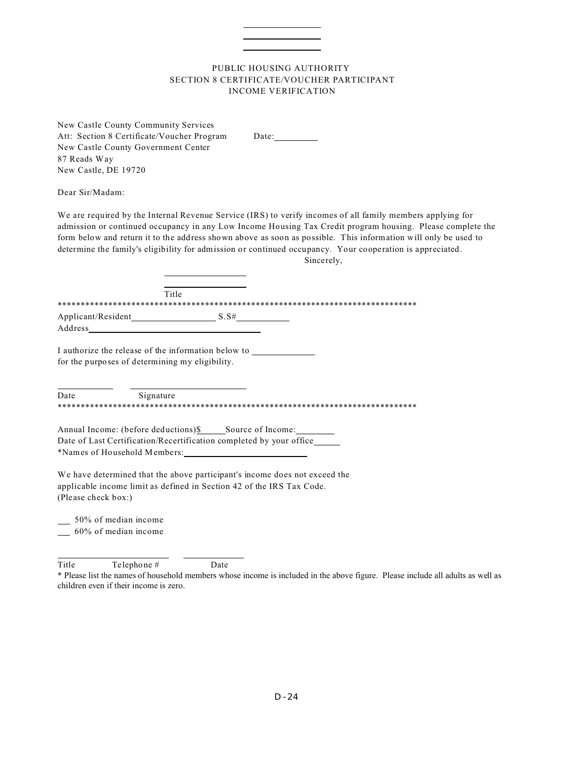New Castle County Community Services Att: Section 8 Certificate/Voucher Program Date: New Castle County Government Center 87 Reads Way New Castle, DE 19720

Dear Sir/Madam:

We are required by the Internal Revenue Service (IRS) to verify incomes of all family members applying for admission or continued occupancy in any Low Income Housing Tax Credit program housing. Please complete the form below and return it to the address shown above as soon as possible. This information will only be used to determine the family's eligibility for admission or continued occupancy. Your cooperation is appreciated.

Sincerely,

|                               | Title |  |
|-------------------------------|-------|--|
|                               |       |  |
| Applicant/Resident<br>Address | S.S#  |  |

I authorize the release of the information below to for the purposes of determining my eligibility.

Date Signature 

Date of Last Certification/Recertification completed by your office\_ \*Names of Household Members:

We have determined that the above participant's income does not exceed the applicable income limit as defined in Section 42 of the IRS Tax Code. (Please check box:)

50% of median income

\_60% of median income

Title Telephone # Date

\* Please list the names of household members whose income is included in the above figure. Please include all adults as well as children even if their income is zero.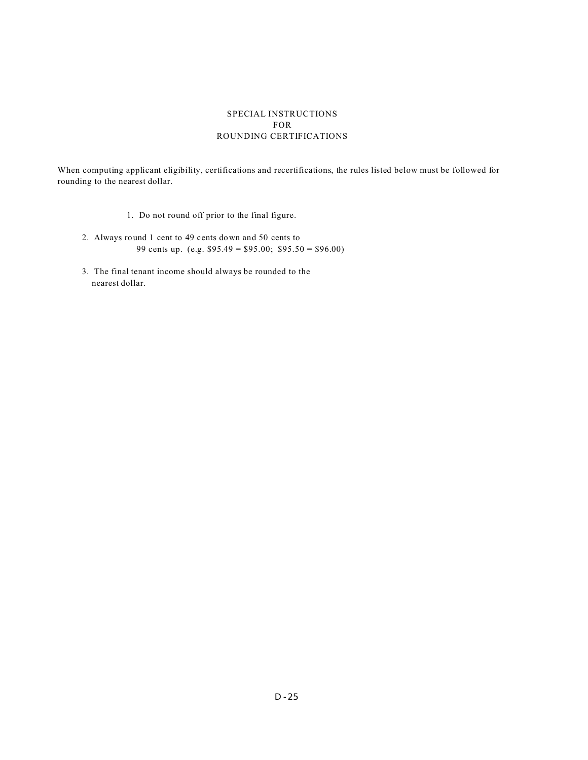#### SPECIAL INSTRUCTIONS FOR ROUNDING CERTIFICATIONS

When computing applicant eligibility, certifications and recertifications, the rules listed below must be followed for rounding to the nearest dollar.

- 1. Do not round off prior to the final figure.
- 2. Always round 1 cent to 49 cents down and 50 cents to 99 cents up. (e.g. \$95.49 = \$95.00; \$95.50 = \$96.00)
- 3. The final tenant income should always be rounded to the nearest dollar.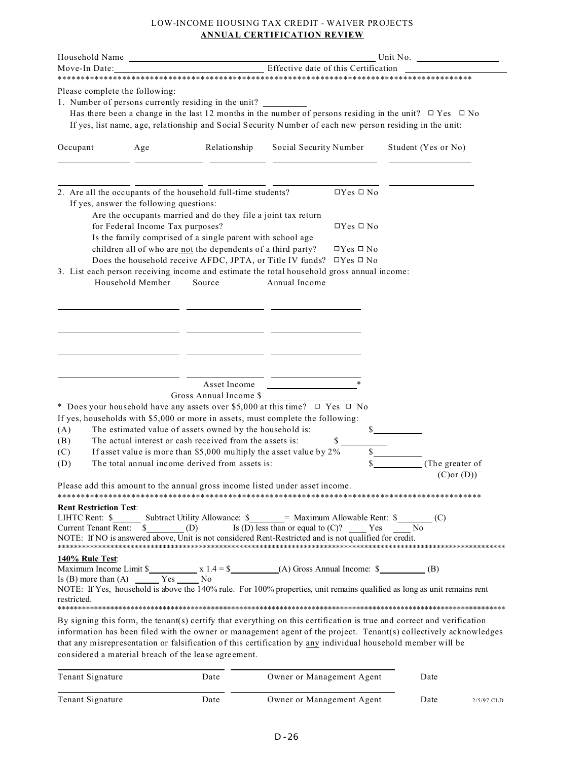#### LOW-INCOME HOUSING TAX CREDIT - WAIVER PROJECTS **ANNUAL CERTIFICATION REVIEW**

| Household Name                                        |                                                      |                                                                                                                                                                                                                                                                                                                                                                                                                                                                        | Unit No.                                                                                                                                                                                                                             |                                                                                            |               |                                                                                                                   |
|-------------------------------------------------------|------------------------------------------------------|------------------------------------------------------------------------------------------------------------------------------------------------------------------------------------------------------------------------------------------------------------------------------------------------------------------------------------------------------------------------------------------------------------------------------------------------------------------------|--------------------------------------------------------------------------------------------------------------------------------------------------------------------------------------------------------------------------------------|--------------------------------------------------------------------------------------------|---------------|-------------------------------------------------------------------------------------------------------------------|
| Effective date of this Certification<br>Move-In Date: |                                                      |                                                                                                                                                                                                                                                                                                                                                                                                                                                                        |                                                                                                                                                                                                                                      |                                                                                            |               |                                                                                                                   |
| Please complete the following:                        |                                                      | 1. Number of persons currently residing in the unit?<br>Has there been a change in the last 12 months in the number of persons residing in the unit? $\Box$ Yes $\Box$ No<br>If yes, list name, age, relationship and Social Security Number of each new person residing in the unit:                                                                                                                                                                                  |                                                                                                                                                                                                                                      |                                                                                            |               |                                                                                                                   |
| Occupant                                              | Age                                                  | Relationship                                                                                                                                                                                                                                                                                                                                                                                                                                                           | Social Security Number                                                                                                                                                                                                               |                                                                                            |               | Student (Yes or No)                                                                                               |
| If yes, answer the following questions:               | for Federal Income Tax purposes?<br>Household Member | 2. Are all the occupants of the household full-time students?<br>Are the occupants married and do they file a joint tax return<br>Is the family comprised of a single parent with school age<br>children all of who are not the dependents of a third party?<br>Does the household receive AFDC, JPTA, or Title IV funds?<br>3. List each person receiving income and estimate the total household gross annual income:<br>Source                                      | Annual Income                                                                                                                                                                                                                        | $\Box Yes \Box No$<br>$\Box$ Yes $\Box$ No<br>$\Box$ Yes $\Box$ No<br>$\Box$ Yes $\Box$ No |               |                                                                                                                   |
| (A)<br>(B)<br>(C)<br>(D)                              |                                                      | Asset Income<br>Gross Annual Income \$<br>* Does your household have any assets over \$5,000 at this time? $\Box$ Yes $\Box$ No<br>If yes, households with \$5,000 or more in assets, must complete the following:<br>The estimated value of assets owned by the household is:<br>The actual interest or cash received from the assets is:<br>If asset value is more than \$5,000 multiply the asset value by $2\%$<br>The total annual income derived from assets is: | <u>and the company of the company of the company of the company of the company of the company of the company of the company of the company of the company of the company of the company of the company of the company of the com</u> | \$<br>$\mathbb{S}$<br>\$                                                                   | $\frac{1}{2}$ | (The greater of<br>$(C)$ or $(D)$                                                                                 |
| <b>Rent Restriction Test:</b><br>LIHTC Rent: \$       |                                                      | Please add this amount to the annual gross income listed under asset income.<br>Subtract Utility Allowance: \$ _______ Maximum Allowable Rent: \$ _________ (C)<br>NOTE: If NO is answered above, Unit is not considered Rent-Restricted and is not qualified for credit.                                                                                                                                                                                              |                                                                                                                                                                                                                                      |                                                                                            |               |                                                                                                                   |
| 140% Rule Test:<br>restricted.                        |                                                      | NOTE: If Yes, household is above the 140% rule. For 100% properties, unit remains qualified as long as unit remains rent<br>By signing this form, the tenant(s) certify that everything on this certification is true and correct and verification                                                                                                                                                                                                                     |                                                                                                                                                                                                                                      |                                                                                            |               |                                                                                                                   |
|                                                       |                                                      | that any misrepresentation or falsification of this certification by any individual household member will be<br>considered a material breach of the lease agreement.                                                                                                                                                                                                                                                                                                   |                                                                                                                                                                                                                                      |                                                                                            |               | information has been filed with the owner or management agent of the project. Tenant(s) collectively acknowledges |
| Tenant Signature                                      |                                                      | Date                                                                                                                                                                                                                                                                                                                                                                                                                                                                   | Owner or Management Agent                                                                                                                                                                                                            |                                                                                            |               | Date                                                                                                              |

 $\overline{a}$ Tenant Signature Date Date Owner or Management Agent Date 2/5/97 CLD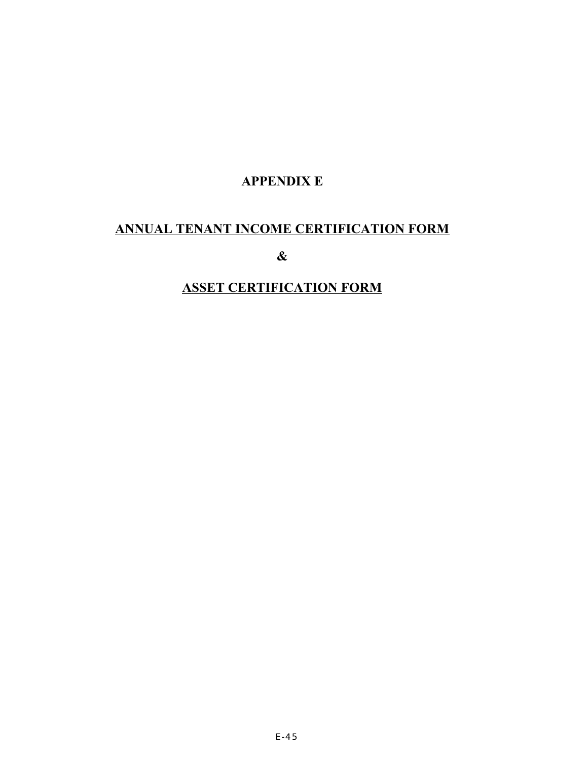### **APPENDIX E**

# **ANNUAL TENANT INCOME CERTIFICATION FORM**

**&**

# **ASSET CERTIFICATION FORM**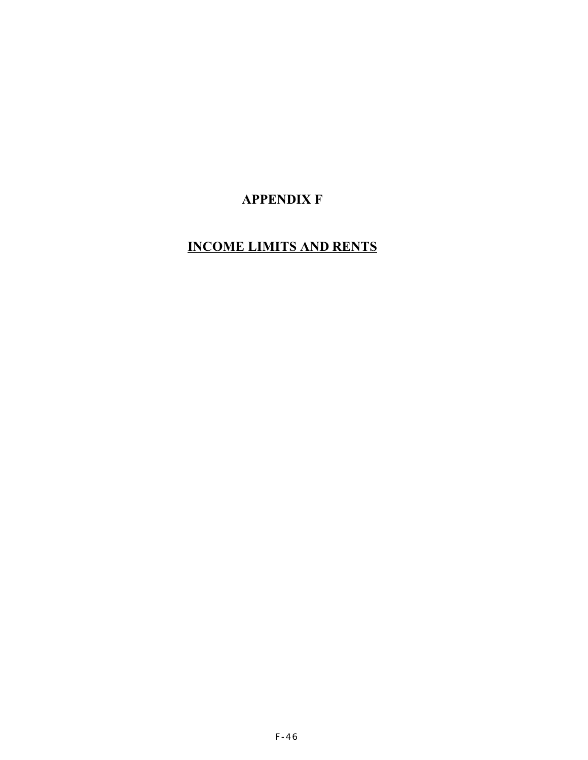## **APPENDIX F**

# **INCOME LIMITS AND RENTS**